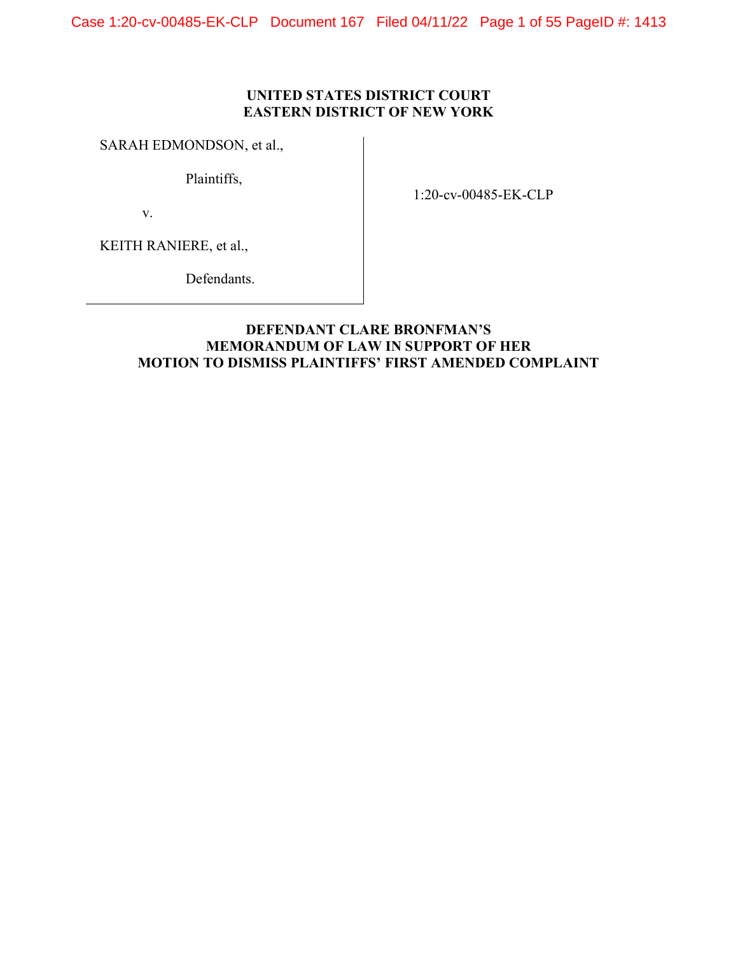Case 1:20-cv-00485-EK-CLP Document 167 Filed 04/11/22 Page 1 of 55 PageID #: 1413

# UNITED STATES DISTRICT COURT EASTERN DISTRICT OF NEW YORK

# SARAH EDMONDSON, et al.,

Plaintiffs,

v.

1:20-cv-00485-EK-CLP

KEITH RANIERE, et al.,

Defendants.

# DEFENDANT CLARE BRONFMAN'S MEMORANDUM OF LAW IN SUPPORT OF HER MOTION TO DISMISS PLAINTIFFS' FIRST AMENDED COMPLAINT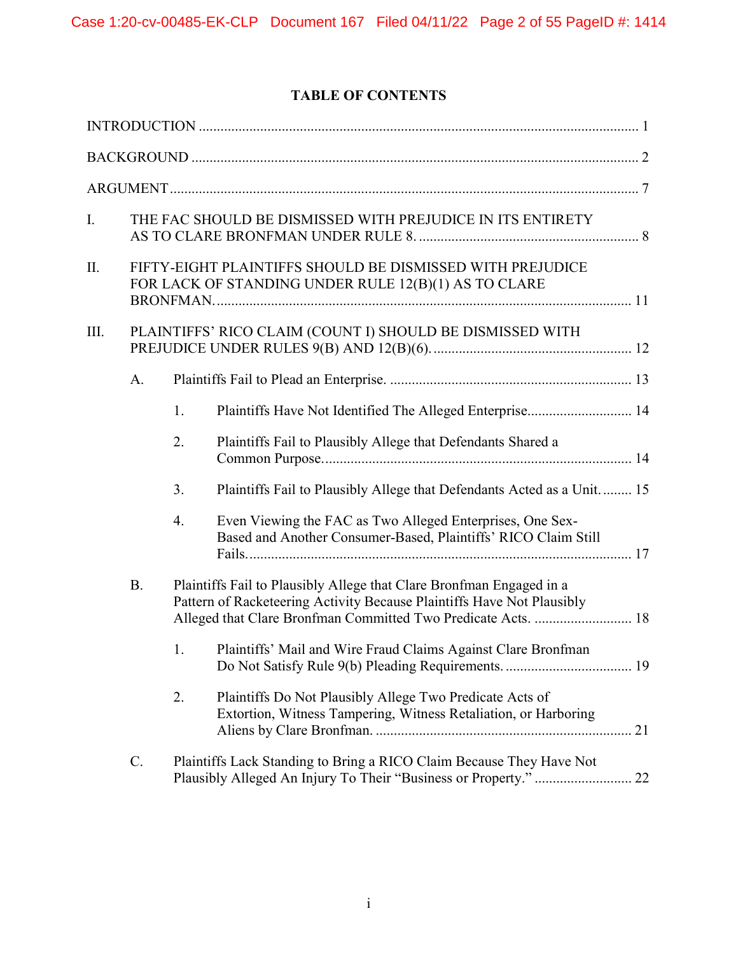# TABLE OF CONTENTS

| I.                                                                | THE FAC SHOULD BE DISMISSED WITH PREJUDICE IN ITS ENTIRETY                                                        |                                                                                                                                          |                                                                                                                                                                                                                 |
|-------------------------------------------------------------------|-------------------------------------------------------------------------------------------------------------------|------------------------------------------------------------------------------------------------------------------------------------------|-----------------------------------------------------------------------------------------------------------------------------------------------------------------------------------------------------------------|
| Π.                                                                | FIFTY-EIGHT PLAINTIFFS SHOULD BE DISMISSED WITH PREJUDICE<br>FOR LACK OF STANDING UNDER RULE 12(B)(1) AS TO CLARE |                                                                                                                                          |                                                                                                                                                                                                                 |
| III.<br>PLAINTIFFS' RICO CLAIM (COUNT I) SHOULD BE DISMISSED WITH |                                                                                                                   |                                                                                                                                          |                                                                                                                                                                                                                 |
|                                                                   | A.                                                                                                                |                                                                                                                                          |                                                                                                                                                                                                                 |
|                                                                   |                                                                                                                   | 1.                                                                                                                                       | Plaintiffs Have Not Identified The Alleged Enterprise 14                                                                                                                                                        |
|                                                                   |                                                                                                                   | 2.                                                                                                                                       | Plaintiffs Fail to Plausibly Allege that Defendants Shared a                                                                                                                                                    |
|                                                                   |                                                                                                                   | 3.                                                                                                                                       | Plaintiffs Fail to Plausibly Allege that Defendants Acted as a Unit 15                                                                                                                                          |
|                                                                   |                                                                                                                   | 4.                                                                                                                                       | Even Viewing the FAC as Two Alleged Enterprises, One Sex-<br>Based and Another Consumer-Based, Plaintiffs' RICO Claim Still                                                                                     |
| <b>B.</b>                                                         |                                                                                                                   |                                                                                                                                          | Plaintiffs Fail to Plausibly Allege that Clare Bronfman Engaged in a<br>Pattern of Racketeering Activity Because Plaintiffs Have Not Plausibly<br>Alleged that Clare Bronfman Committed Two Predicate Acts.  18 |
|                                                                   |                                                                                                                   | 1.                                                                                                                                       | Plaintiffs' Mail and Wire Fraud Claims Against Clare Bronfman                                                                                                                                                   |
|                                                                   |                                                                                                                   | 2.                                                                                                                                       | Plaintiffs Do Not Plausibly Allege Two Predicate Acts of<br>Extortion, Witness Tampering, Witness Retaliation, or Harboring                                                                                     |
| $C$ .                                                             |                                                                                                                   | Plaintiffs Lack Standing to Bring a RICO Claim Because They Have Not<br>Plausibly Alleged An Injury To Their "Business or Property."  22 |                                                                                                                                                                                                                 |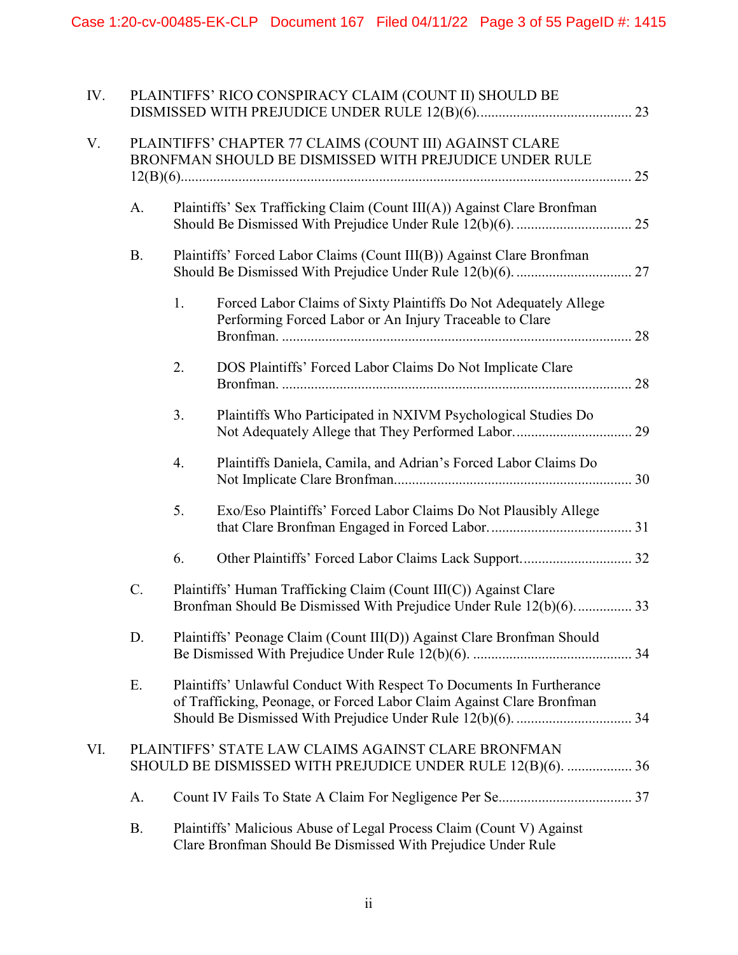| IV. |                                                                                                                   | PLAINTIFFS' RICO CONSPIRACY CLAIM (COUNT II) SHOULD BE                                                                                 |                                                                                                                                                |  |
|-----|-------------------------------------------------------------------------------------------------------------------|----------------------------------------------------------------------------------------------------------------------------------------|------------------------------------------------------------------------------------------------------------------------------------------------|--|
| V.  | PLAINTIFFS' CHAPTER 77 CLAIMS (COUNT III) AGAINST CLARE<br>BRONFMAN SHOULD BE DISMISSED WITH PREJUDICE UNDER RULE |                                                                                                                                        |                                                                                                                                                |  |
|     | A.                                                                                                                | Plaintiffs' Sex Trafficking Claim (Count III(A)) Against Clare Bronfman                                                                |                                                                                                                                                |  |
|     | <b>B.</b>                                                                                                         | Plaintiffs' Forced Labor Claims (Count III(B)) Against Clare Bronfman                                                                  |                                                                                                                                                |  |
|     |                                                                                                                   | 1.                                                                                                                                     | Forced Labor Claims of Sixty Plaintiffs Do Not Adequately Allege<br>Performing Forced Labor or An Injury Traceable to Clare                    |  |
|     |                                                                                                                   | 2.                                                                                                                                     | DOS Plaintiffs' Forced Labor Claims Do Not Implicate Clare                                                                                     |  |
|     |                                                                                                                   | 3.                                                                                                                                     | Plaintiffs Who Participated in NXIVM Psychological Studies Do                                                                                  |  |
|     |                                                                                                                   | 4.                                                                                                                                     | Plaintiffs Daniela, Camila, and Adrian's Forced Labor Claims Do                                                                                |  |
|     |                                                                                                                   | 5.                                                                                                                                     | Exo/Eso Plaintiffs' Forced Labor Claims Do Not Plausibly Allege                                                                                |  |
|     |                                                                                                                   | 6.                                                                                                                                     |                                                                                                                                                |  |
|     | C.                                                                                                                | Plaintiffs' Human Trafficking Claim (Count III(C)) Against Clare<br>Bronfman Should Be Dismissed With Prejudice Under Rule 12(b)(6) 33 |                                                                                                                                                |  |
|     | D.                                                                                                                | Plaintiffs' Peonage Claim (Count III(D)) Against Clare Bronfman Should                                                                 |                                                                                                                                                |  |
|     | Ε.                                                                                                                |                                                                                                                                        | Plaintiffs' Unlawful Conduct With Respect To Documents In Furtherance<br>of Trafficking, Peonage, or Forced Labor Claim Against Clare Bronfman |  |
| VI. |                                                                                                                   |                                                                                                                                        | PLAINTIFFS' STATE LAW CLAIMS AGAINST CLARE BRONFMAN<br>SHOULD BE DISMISSED WITH PREJUDICE UNDER RULE 12(B)(6).  36                             |  |
|     | A.                                                                                                                |                                                                                                                                        |                                                                                                                                                |  |
|     | <b>B.</b>                                                                                                         |                                                                                                                                        | Plaintiffs' Malicious Abuse of Legal Process Claim (Count V) Against<br>Clare Bronfman Should Be Dismissed With Prejudice Under Rule           |  |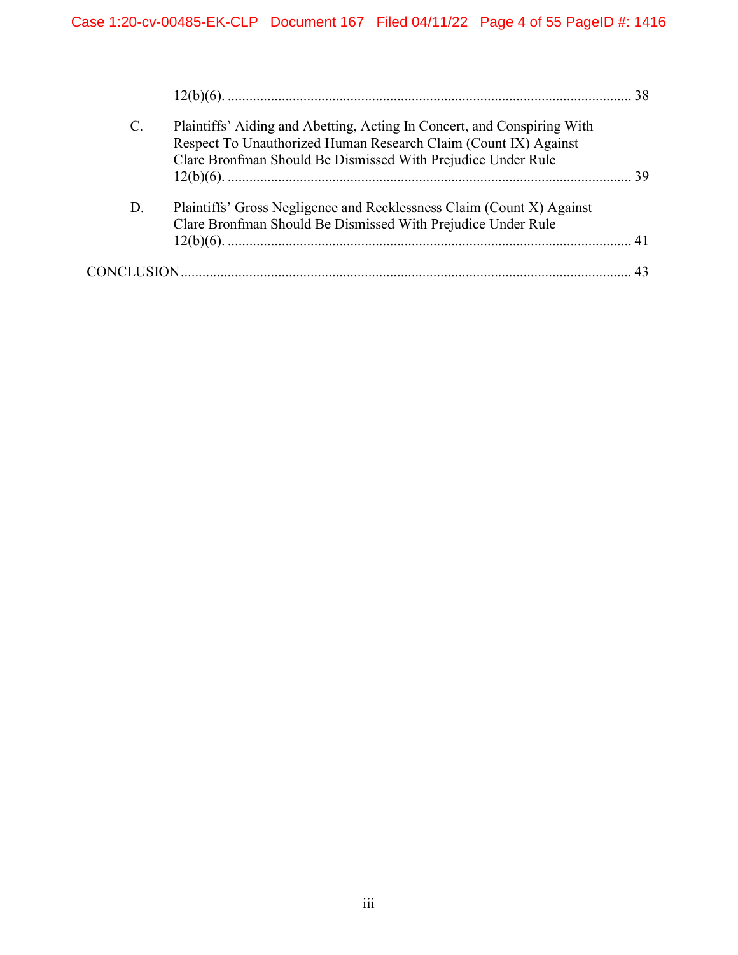| $\mathcal{C}$ . | Plaintiffs' Aiding and Abetting, Acting In Concert, and Conspiring With<br>Respect To Unauthorized Human Research Claim (Count IX) Against<br>Clare Bronfman Should Be Dismissed With Prejudice Under Rule |  |
|-----------------|------------------------------------------------------------------------------------------------------------------------------------------------------------------------------------------------------------|--|
|                 |                                                                                                                                                                                                            |  |
| D.              | Plaintiffs' Gross Negligence and Recklessness Claim (Count X) Against<br>Clare Bronfman Should Be Dismissed With Prejudice Under Rule                                                                      |  |
|                 |                                                                                                                                                                                                            |  |
|                 |                                                                                                                                                                                                            |  |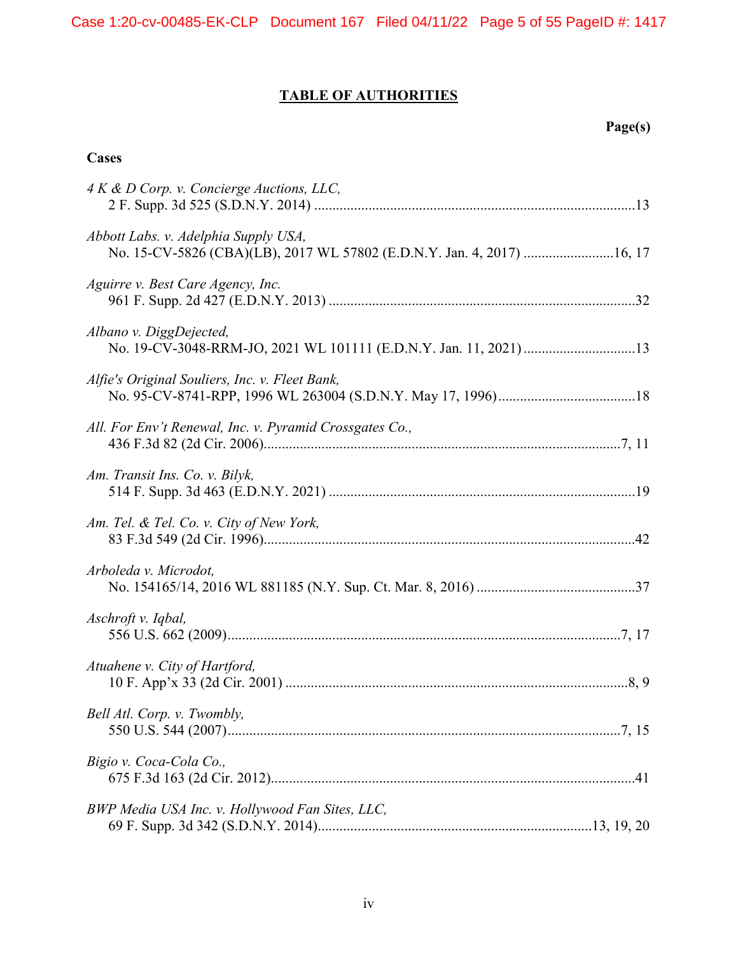# TABLE OF AUTHORITIES

# Page(s)

# **Cases**

| 4 K & D Corp. v. Concierge Auctions, LLC,                                                                       |
|-----------------------------------------------------------------------------------------------------------------|
| Abbott Labs. v. Adelphia Supply USA,<br>No. 15-CV-5826 (CBA)(LB), 2017 WL 57802 (E.D.N.Y. Jan. 4, 2017)  16, 17 |
| Aguirre v. Best Care Agency, Inc.                                                                               |
| Albano v. DiggDejected,                                                                                         |
| Alfie's Original Souliers, Inc. v. Fleet Bank,                                                                  |
| All. For Env't Renewal, Inc. v. Pyramid Crossgates Co.,                                                         |
| Am. Transit Ins. Co. v. Bilyk,                                                                                  |
| Am. Tel. & Tel. Co. v. City of New York,                                                                        |
| Arboleda v. Microdot,                                                                                           |
| Aschroft v. Iqbal,                                                                                              |
| Atuahene v. City of Hartford,                                                                                   |
| Bell Atl. Corp. v. Twombly,                                                                                     |
| Bigio v. Coca-Cola Co.,                                                                                         |
| BWP Media USA Inc. v. Hollywood Fan Sites, LLC,                                                                 |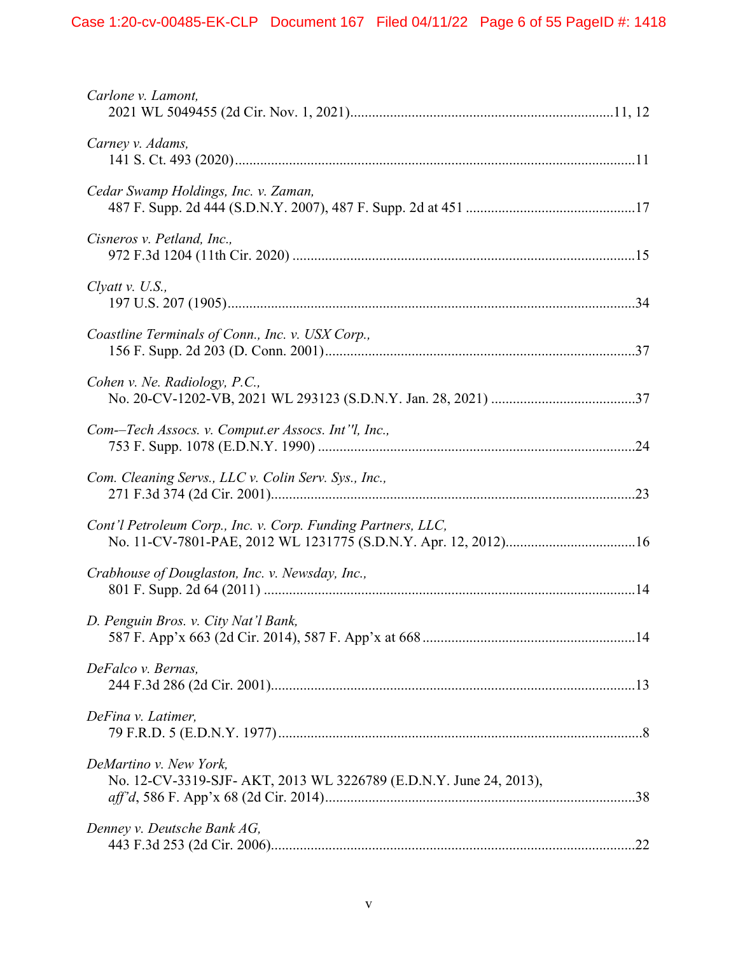| Carlone v. Lamont,                                                                           |
|----------------------------------------------------------------------------------------------|
| Carney v. Adams,                                                                             |
| Cedar Swamp Holdings, Inc. v. Zaman,                                                         |
| Cisneros v. Petland, Inc.,                                                                   |
| Clyatt v. U.S.,                                                                              |
| Coastline Terminals of Conn., Inc. v. USX Corp.,                                             |
| Cohen v. Ne. Radiology, P.C.,                                                                |
| Com--Tech Assocs. v. Comput.er Assocs. Int'l, Inc.,                                          |
| Com. Cleaning Servs., LLC v. Colin Serv. Sys., Inc.,                                         |
| Cont'l Petroleum Corp., Inc. v. Corp. Funding Partners, LLC,                                 |
| Crabhouse of Douglaston, Inc. v. Newsday, Inc.,                                              |
| D. Penguin Bros. v. City Nat'l Bank,                                                         |
| DeFalco v. Bernas,                                                                           |
| DeFina v. Latimer,                                                                           |
| DeMartino v. New York,<br>No. 12-CV-3319-SJF- AKT, 2013 WL 3226789 (E.D.N.Y. June 24, 2013), |
| Denney v. Deutsche Bank AG,                                                                  |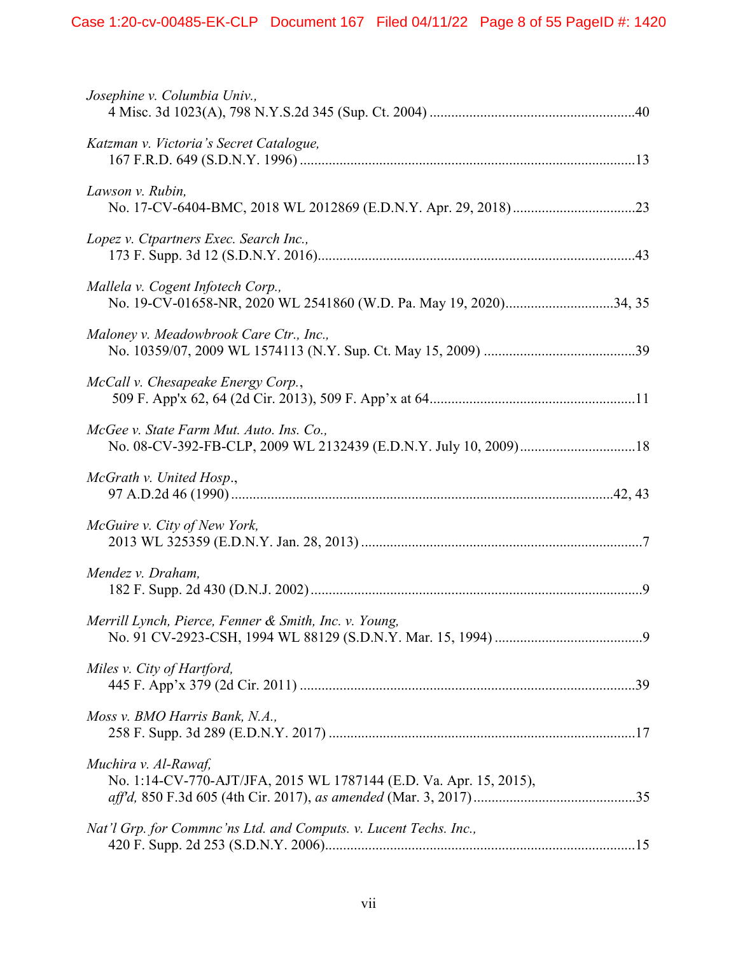| Josephine v. Columbia Univ.,                                                                           |
|--------------------------------------------------------------------------------------------------------|
| Katzman v. Victoria's Secret Catalogue,                                                                |
| Lawson v. Rubin,                                                                                       |
| Lopez v. Ctpartners Exec. Search Inc.,                                                                 |
| Mallela v. Cogent Infotech Corp.,<br>No. 19-CV-01658-NR, 2020 WL 2541860 (W.D. Pa. May 19, 2020)34, 35 |
| Maloney v. Meadowbrook Care Ctr., Inc.,                                                                |
| McCall v. Chesapeake Energy Corp.,                                                                     |
| McGee v. State Farm Mut. Auto. Ins. Co.,                                                               |
| McGrath v. United Hosp.,                                                                               |
| McGuire v. City of New York,                                                                           |
| Mendez v. Draham,                                                                                      |
| Merrill Lynch, Pierce, Fenner & Smith, Inc. v. Young,                                                  |
| Miles v. City of Hartford,                                                                             |
| Moss v. BMO Harris Bank, N.A.,                                                                         |
| Muchira v. Al-Rawaf,<br>No. 1:14-CV-770-AJT/JFA, 2015 WL 1787144 (E.D. Va. Apr. 15, 2015),             |
| Nat'l Grp. for Commnc'ns Ltd. and Computs. v. Lucent Techs. Inc.,                                      |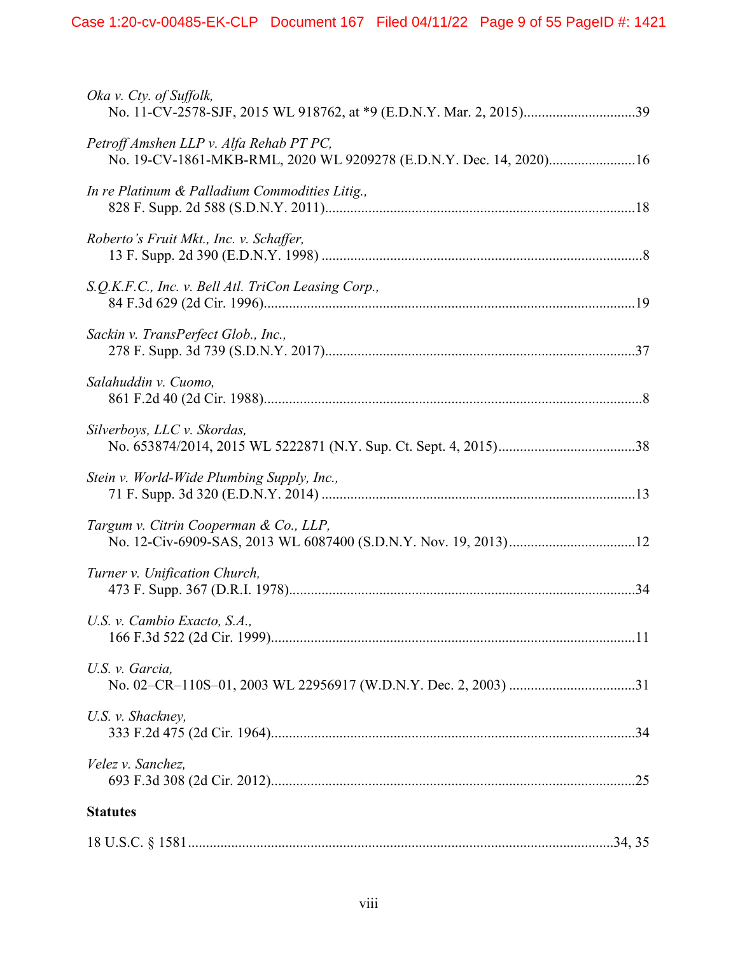| Oka v. Cty. of Suffolk,                                                                                       |
|---------------------------------------------------------------------------------------------------------------|
| Petroff Amshen LLP v. Alfa Rehab PT PC,<br>No. 19-CV-1861-MKB-RML, 2020 WL 9209278 (E.D.N.Y. Dec. 14, 2020)16 |
| In re Platinum & Palladium Commodities Litig.,                                                                |
| Roberto's Fruit Mkt., Inc. v. Schaffer,                                                                       |
| S.Q.K.F.C., Inc. v. Bell Atl. TriCon Leasing Corp.,                                                           |
| Sackin v. TransPerfect Glob., Inc.,                                                                           |
| Salahuddin v. Cuomo,                                                                                          |
| Silverboys, LLC v. Skordas,                                                                                   |
| Stein v. World-Wide Plumbing Supply, Inc.,                                                                    |
| Targum v. Citrin Cooperman & Co., LLP,                                                                        |
| Turner v. Unification Church,                                                                                 |
| U.S. v. Cambio Exacto, S.A.,                                                                                  |
| U.S. v. Garcia,                                                                                               |
| U.S. v. Shackney,                                                                                             |
| Velez v. Sanchez,                                                                                             |
| <b>Statutes</b>                                                                                               |
|                                                                                                               |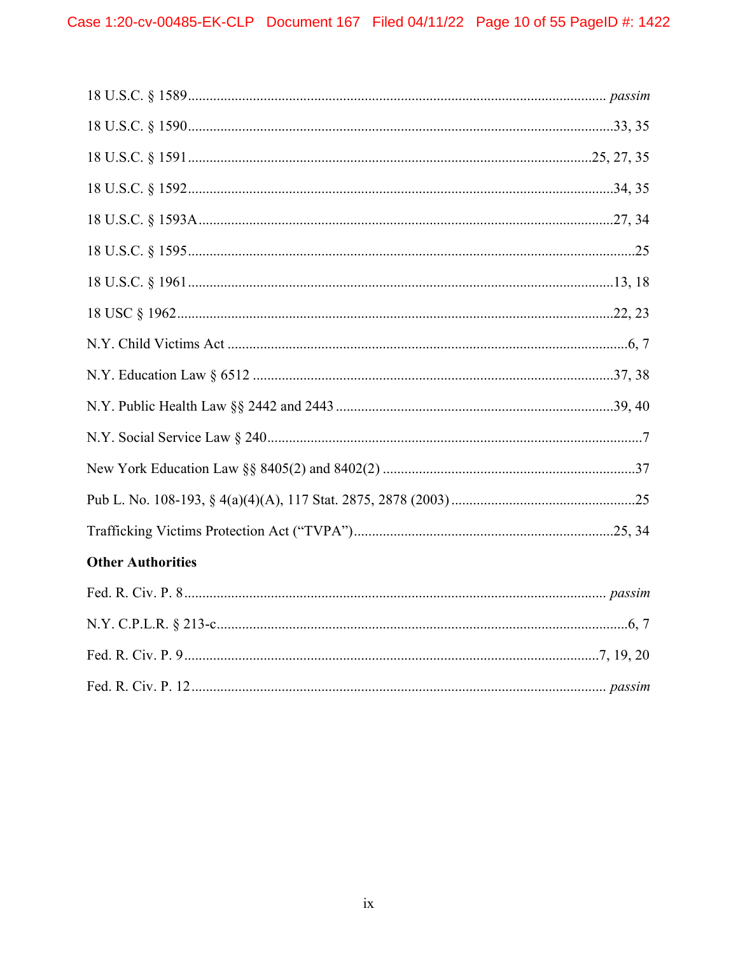| <b>Other Authorities</b> |
|--------------------------|
|                          |
|                          |
|                          |
|                          |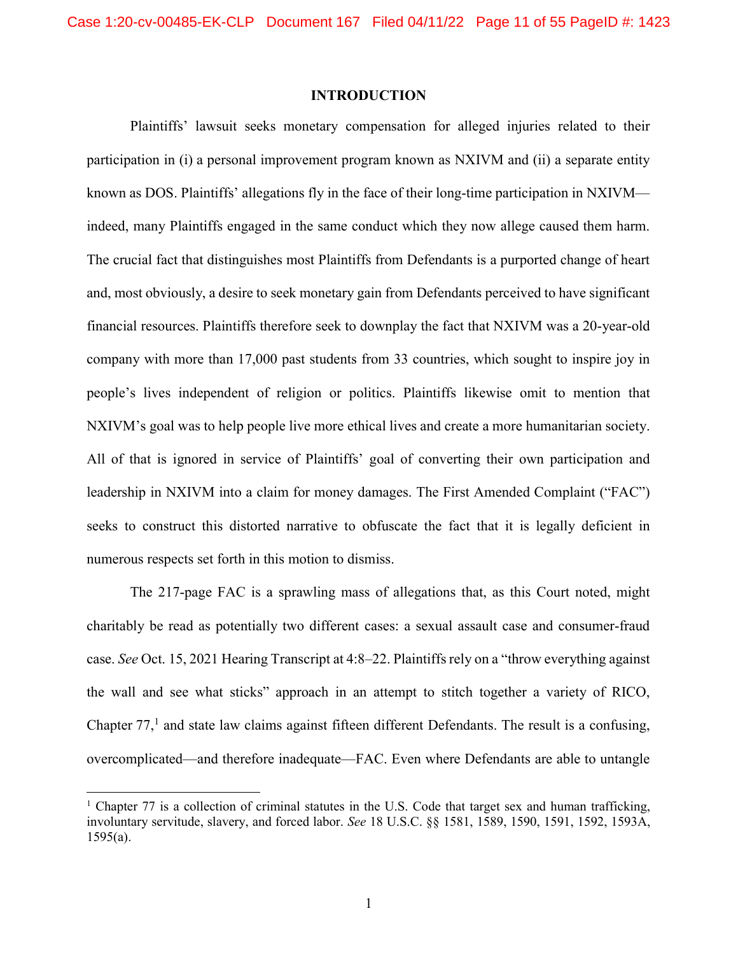#### INTRODUCTION

Plaintiffs' lawsuit seeks monetary compensation for alleged injuries related to their participation in (i) a personal improvement program known as NXIVM and (ii) a separate entity known as DOS. Plaintiffs' allegations fly in the face of their long-time participation in NXIVM indeed, many Plaintiffs engaged in the same conduct which they now allege caused them harm. The crucial fact that distinguishes most Plaintiffs from Defendants is a purported change of heart and, most obviously, a desire to seek monetary gain from Defendants perceived to have significant financial resources. Plaintiffs therefore seek to downplay the fact that NXIVM was a 20-year-old company with more than 17,000 past students from 33 countries, which sought to inspire joy in people's lives independent of religion or politics. Plaintiffs likewise omit to mention that NXIVM's goal was to help people live more ethical lives and create a more humanitarian society. All of that is ignored in service of Plaintiffs' goal of converting their own participation and leadership in NXIVM into a claim for money damages. The First Amended Complaint ("FAC") seeks to construct this distorted narrative to obfuscate the fact that it is legally deficient in numerous respects set forth in this motion to dismiss.

The 217-page FAC is a sprawling mass of allegations that, as this Court noted, might charitably be read as potentially two different cases: a sexual assault case and consumer-fraud case. See Oct. 15, 2021 Hearing Transcript at 4:8–22. Plaintiffs rely on a "throw everything against the wall and see what sticks" approach in an attempt to stitch together a variety of RICO, Chapter  $77<sup>1</sup>$  and state law claims against fifteen different Defendants. The result is a confusing, overcomplicated—and therefore inadequate—FAC. Even where Defendants are able to untangle

<sup>&</sup>lt;sup>1</sup> Chapter 77 is a collection of criminal statutes in the U.S. Code that target sex and human trafficking, involuntary servitude, slavery, and forced labor. See 18 U.S.C. §§ 1581, 1589, 1590, 1591, 1592, 1593A,  $1595(a)$ .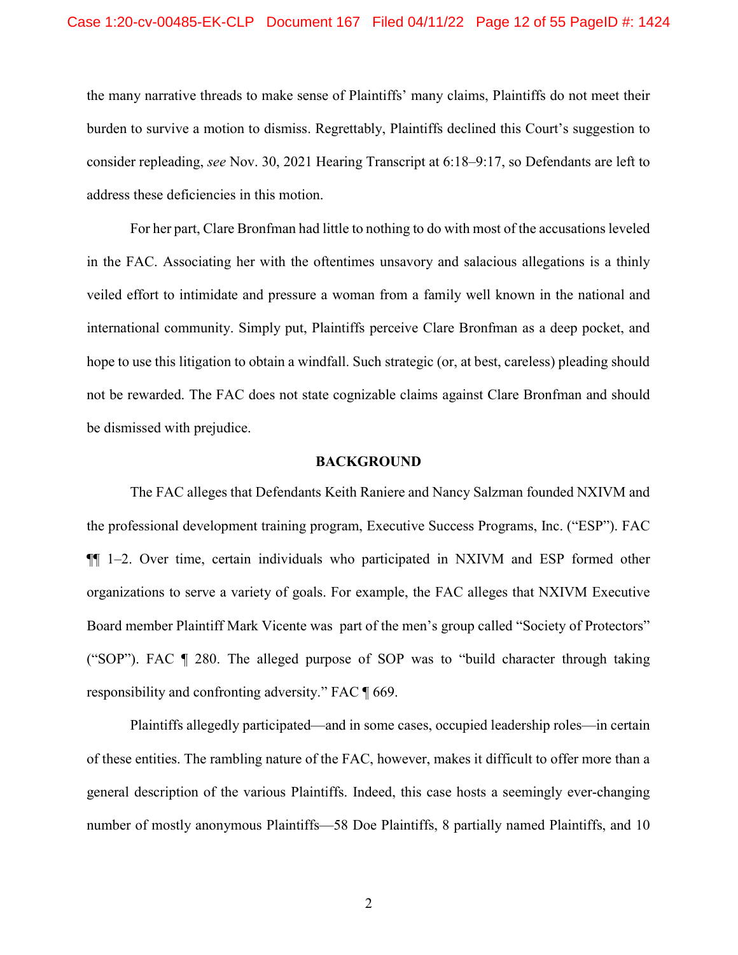the many narrative threads to make sense of Plaintiffs' many claims, Plaintiffs do not meet their burden to survive a motion to dismiss. Regrettably, Plaintiffs declined this Court's suggestion to consider repleading, see Nov. 30, 2021 Hearing Transcript at 6:18–9:17, so Defendants are left to address these deficiencies in this motion.

For her part, Clare Bronfman had little to nothing to do with most of the accusations leveled in the FAC. Associating her with the oftentimes unsavory and salacious allegations is a thinly veiled effort to intimidate and pressure a woman from a family well known in the national and international community. Simply put, Plaintiffs perceive Clare Bronfman as a deep pocket, and hope to use this litigation to obtain a windfall. Such strategic (or, at best, careless) pleading should not be rewarded. The FAC does not state cognizable claims against Clare Bronfman and should be dismissed with prejudice.

#### BACKGROUND

The FAC alleges that Defendants Keith Raniere and Nancy Salzman founded NXIVM and the professional development training program, Executive Success Programs, Inc. ("ESP"). FAC ¶¶ 1–2. Over time, certain individuals who participated in NXIVM and ESP formed other organizations to serve a variety of goals. For example, the FAC alleges that NXIVM Executive Board member Plaintiff Mark Vicente was part of the men's group called "Society of Protectors" ("SOP"). FAC ¶ 280. The alleged purpose of SOP was to "build character through taking responsibility and confronting adversity." FAC ¶ 669.

Plaintiffs allegedly participated—and in some cases, occupied leadership roles—in certain of these entities. The rambling nature of the FAC, however, makes it difficult to offer more than a general description of the various Plaintiffs. Indeed, this case hosts a seemingly ever-changing number of mostly anonymous Plaintiffs—58 Doe Plaintiffs, 8 partially named Plaintiffs, and 10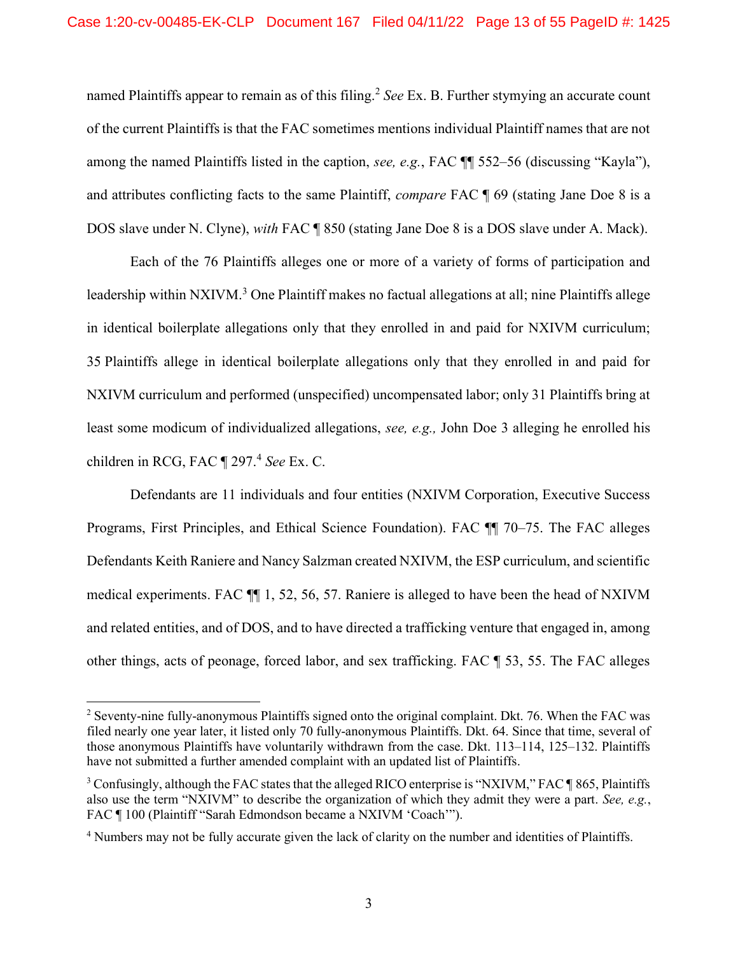named Plaintiffs appear to remain as of this filing.<sup>2</sup> See Ex. B. Further stymying an accurate count of the current Plaintiffs is that the FAC sometimes mentions individual Plaintiff names that are not among the named Plaintiffs listed in the caption, see, e.g., FAC ¶¶ 552–56 (discussing "Kayla"), and attributes conflicting facts to the same Plaintiff, compare FAC ¶ 69 (stating Jane Doe 8 is a DOS slave under N. Clyne), with FAC ¶ 850 (stating Jane Doe 8 is a DOS slave under A. Mack).

Each of the 76 Plaintiffs alleges one or more of a variety of forms of participation and leadership within NXIVM.<sup>3</sup> One Plaintiff makes no factual allegations at all; nine Plaintiffs allege in identical boilerplate allegations only that they enrolled in and paid for NXIVM curriculum; 35 Plaintiffs allege in identical boilerplate allegations only that they enrolled in and paid for NXIVM curriculum and performed (unspecified) uncompensated labor; only 31 Plaintiffs bring at least some modicum of individualized allegations, see, e.g., John Doe 3 alleging he enrolled his children in RCG, FAC ¶ 297.<sup>4</sup> See Ex. C.

Defendants are 11 individuals and four entities (NXIVM Corporation, Executive Success Programs, First Principles, and Ethical Science Foundation). FAC ¶¶ 70–75. The FAC alleges Defendants Keith Raniere and Nancy Salzman created NXIVM, the ESP curriculum, and scientific medical experiments. FAC ¶¶ 1, 52, 56, 57. Raniere is alleged to have been the head of NXIVM and related entities, and of DOS, and to have directed a trafficking venture that engaged in, among other things, acts of peonage, forced labor, and sex trafficking. FAC ¶ 53, 55. The FAC alleges

 $2$  Seventy-nine fully-anonymous Plaintiffs signed onto the original complaint. Dkt. 76. When the FAC was filed nearly one year later, it listed only 70 fully-anonymous Plaintiffs. Dkt. 64. Since that time, several of those anonymous Plaintiffs have voluntarily withdrawn from the case. Dkt. 113–114, 125–132. Plaintiffs have not submitted a further amended complaint with an updated list of Plaintiffs.

 $3$  Confusingly, although the FAC states that the alleged RICO enterprise is "NXIVM," FAC  $\P$ 865, Plaintiffs also use the term "NXIVM" to describe the organization of which they admit they were a part. See, e.g., FAC ¶ 100 (Plaintiff "Sarah Edmondson became a NXIVM 'Coach'").

<sup>&</sup>lt;sup>4</sup> Numbers may not be fully accurate given the lack of clarity on the number and identities of Plaintiffs.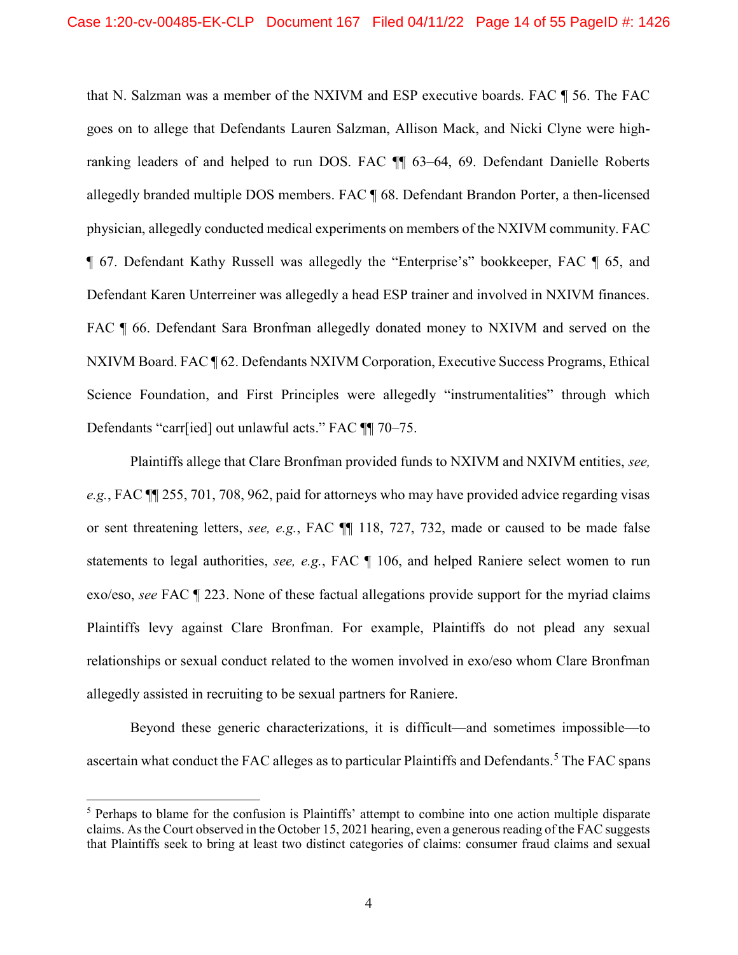that N. Salzman was a member of the NXIVM and ESP executive boards. FAC ¶ 56. The FAC goes on to allege that Defendants Lauren Salzman, Allison Mack, and Nicki Clyne were highranking leaders of and helped to run DOS. FAC ¶¶ 63–64, 69. Defendant Danielle Roberts allegedly branded multiple DOS members. FAC ¶ 68. Defendant Brandon Porter, a then-licensed physician, allegedly conducted medical experiments on members of the NXIVM community. FAC ¶ 67. Defendant Kathy Russell was allegedly the "Enterprise's" bookkeeper, FAC ¶ 65, and Defendant Karen Unterreiner was allegedly a head ESP trainer and involved in NXIVM finances. FAC  $\P$  66. Defendant Sara Bronfman allegedly donated money to NXIVM and served on the NXIVM Board. FAC ¶ 62. Defendants NXIVM Corporation, Executive Success Programs, Ethical Science Foundation, and First Principles were allegedly "instrumentalities" through which Defendants "carr[ied] out unlawful acts." FAC ¶¶ 70–75.

Plaintiffs allege that Clare Bronfman provided funds to NXIVM and NXIVM entities, see, e.g., FAC ¶¶ 255, 701, 708, 962, paid for attorneys who may have provided advice regarding visas or sent threatening letters, see, e.g., FAC ¶¶ 118, 727, 732, made or caused to be made false statements to legal authorities, see, e.g., FAC ¶ 106, and helped Raniere select women to run exo/eso, see FAC ¶ 223. None of these factual allegations provide support for the myriad claims Plaintiffs levy against Clare Bronfman. For example, Plaintiffs do not plead any sexual relationships or sexual conduct related to the women involved in exo/eso whom Clare Bronfman allegedly assisted in recruiting to be sexual partners for Raniere.

Beyond these generic characterizations, it is difficult—and sometimes impossible—to ascertain what conduct the FAC alleges as to particular Plaintiffs and Defendants.<sup>5</sup> The FAC spans

<sup>&</sup>lt;sup>5</sup> Perhaps to blame for the confusion is Plaintiffs' attempt to combine into one action multiple disparate claims. As the Court observed in the October 15, 2021 hearing, even a generous reading of the FAC suggests that Plaintiffs seek to bring at least two distinct categories of claims: consumer fraud claims and sexual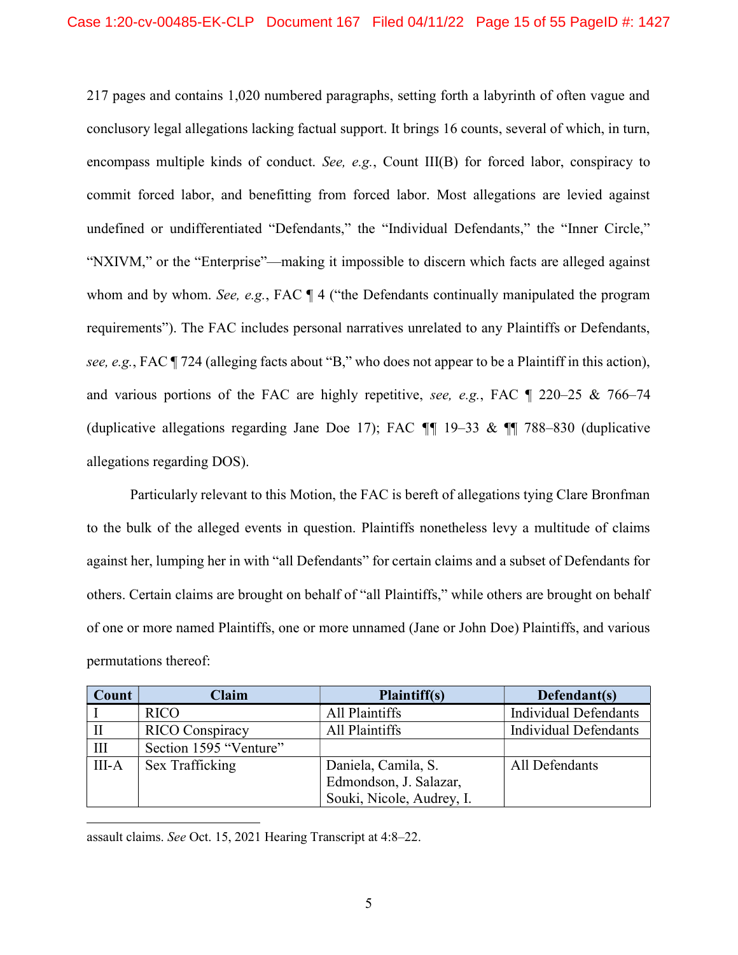217 pages and contains 1,020 numbered paragraphs, setting forth a labyrinth of often vague and conclusory legal allegations lacking factual support. It brings 16 counts, several of which, in turn, encompass multiple kinds of conduct. See, e.g., Count III(B) for forced labor, conspiracy to commit forced labor, and benefitting from forced labor. Most allegations are levied against undefined or undifferentiated "Defendants," the "Individual Defendants," the "Inner Circle," "NXIVM," or the "Enterprise"—making it impossible to discern which facts are alleged against whom and by whom. See, e.g., FAC  $\P$  4 ("the Defendants continually manipulated the program requirements"). The FAC includes personal narratives unrelated to any Plaintiffs or Defendants, see, e.g., FAC ¶ 724 (alleging facts about "B," who does not appear to be a Plaintiff in this action), and various portions of the FAC are highly repetitive, see, e.g., FAC ¶ 220–25 & 766–74 (duplicative allegations regarding Jane Doe 17); FAC  $\P$  19-33 &  $\P$  788-830 (duplicative allegations regarding DOS).

Particularly relevant to this Motion, the FAC is bereft of allegations tying Clare Bronfman to the bulk of the alleged events in question. Plaintiffs nonetheless levy a multitude of claims against her, lumping her in with "all Defendants" for certain claims and a subset of Defendants for others. Certain claims are brought on behalf of "all Plaintiffs," while others are brought on behalf of one or more named Plaintiffs, one or more unnamed (Jane or John Doe) Plaintiffs, and various permutations thereof:

| Count | <b>Claim</b>           | Plaintiff(s)                                  | Defendant(s)                 |
|-------|------------------------|-----------------------------------------------|------------------------------|
|       | <b>RICO</b>            | All Plaintiffs                                | <b>Individual Defendants</b> |
|       | <b>RICO</b> Conspiracy | All Plaintiffs                                | <b>Individual Defendants</b> |
| Ш     | Section 1595 "Venture" |                                               |                              |
| III-A | Sex Trafficking        | Daniela, Camila, S.<br>Edmondson, J. Salazar, | All Defendants               |
|       |                        | Souki, Nicole, Audrey, I.                     |                              |

assault claims. See Oct. 15, 2021 Hearing Transcript at 4:8–22.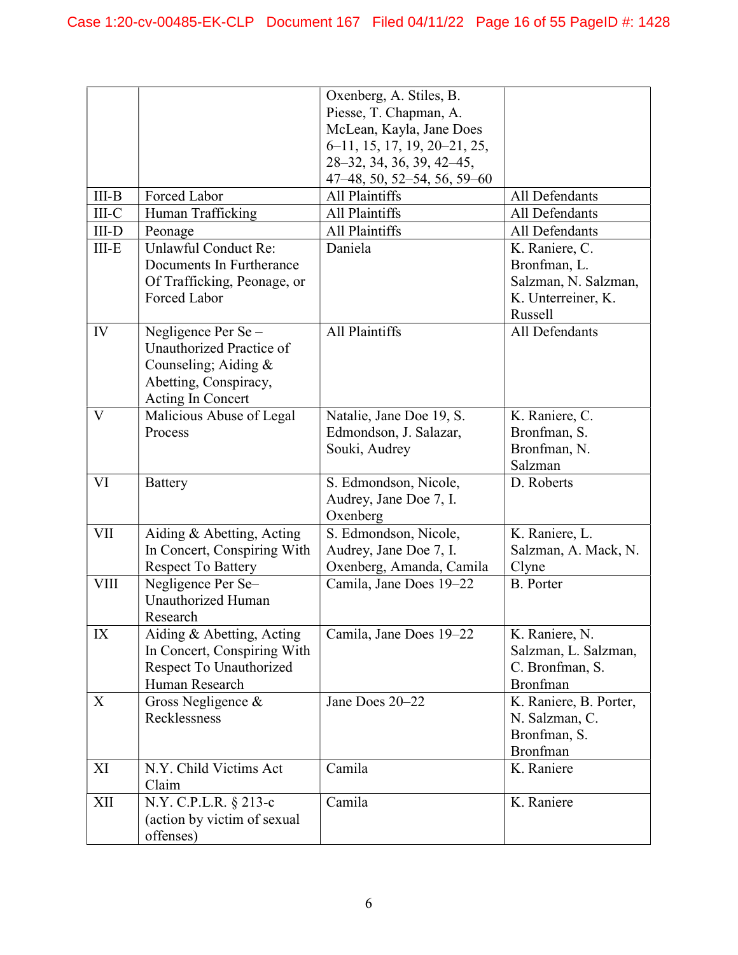|            |                             | Oxenberg, A. Stiles, B.<br>Piesse, T. Chapman, A. |                        |
|------------|-----------------------------|---------------------------------------------------|------------------------|
|            |                             | McLean, Kayla, Jane Does                          |                        |
|            |                             | 6–11, 15, 17, 19, 20–21, 25,                      |                        |
|            |                             | 28-32, 34, 36, 39, 42-45,                         |                        |
|            |                             | 47 - 48, 50, 52 - 54, 56, 59 - 60                 |                        |
| $III-B$    | Forced Labor                | All Plaintiffs                                    | All Defendants         |
| III-C      | Human Trafficking           | All Plaintiffs                                    | All Defendants         |
| $III-D$    | Peonage                     | All Plaintiffs                                    | All Defendants         |
| $III-E$    | Unlawful Conduct Re:        | Daniela                                           | K. Raniere, C.         |
|            | Documents In Furtherance    |                                                   | Bronfman, L.           |
|            | Of Trafficking, Peonage, or |                                                   | Salzman, N. Salzman,   |
|            | Forced Labor                |                                                   | K. Unterreiner, K.     |
|            |                             |                                                   | Russell                |
| IV         | Negligence Per Se-          | All Plaintiffs                                    | All Defendants         |
|            | Unauthorized Practice of    |                                                   |                        |
|            | Counseling; Aiding $&$      |                                                   |                        |
|            | Abetting, Conspiracy,       |                                                   |                        |
|            | Acting In Concert           |                                                   |                        |
| V          | Malicious Abuse of Legal    | Natalie, Jane Doe 19, S.                          | K. Raniere, C.         |
|            | Process                     | Edmondson, J. Salazar,                            | Bronfman, S.           |
|            |                             |                                                   |                        |
|            |                             | Souki, Audrey                                     | Bronfman, N.           |
|            |                             |                                                   | Salzman                |
| VI         | <b>Battery</b>              | S. Edmondson, Nicole,                             | D. Roberts             |
|            |                             | Audrey, Jane Doe 7, I.                            |                        |
|            |                             | Oxenberg                                          |                        |
| <b>VII</b> | Aiding & Abetting, Acting   | S. Edmondson, Nicole,                             | K. Raniere, L.         |
|            | In Concert, Conspiring With | Audrey, Jane Doe 7, I.                            | Salzman, A. Mack, N.   |
|            | <b>Respect To Battery</b>   | Oxenberg, Amanda, Camila                          | Clyne                  |
| VIII       | Negligence Per Se-          | Camila, Jane Does 19–22                           | <b>B.</b> Porter       |
|            | <b>Unauthorized Human</b>   |                                                   |                        |
|            | Research                    |                                                   |                        |
| IX         | Aiding & Abetting, Acting   | Camila, Jane Does 19-22                           | K. Raniere, N.         |
|            | In Concert, Conspiring With |                                                   | Salzman, L. Salzman,   |
|            | Respect To Unauthorized     |                                                   | C. Bronfman, S.        |
|            | Human Research              |                                                   | Bronfman               |
| X          | Gross Negligence &          | Jane Does 20-22                                   | K. Raniere, B. Porter, |
|            | Recklessness                |                                                   | N. Salzman, C.         |
|            |                             |                                                   | Bronfman, S.           |
|            |                             |                                                   | Bronfman               |
| XI         | N.Y. Child Victims Act      | Camila                                            | K. Raniere             |
|            | Claim                       |                                                   |                        |
| XII        | N.Y. C.P.L.R. § 213-c       | Camila                                            | K. Raniere             |
|            | (action by victim of sexual |                                                   |                        |
|            | offenses)                   |                                                   |                        |
|            |                             |                                                   |                        |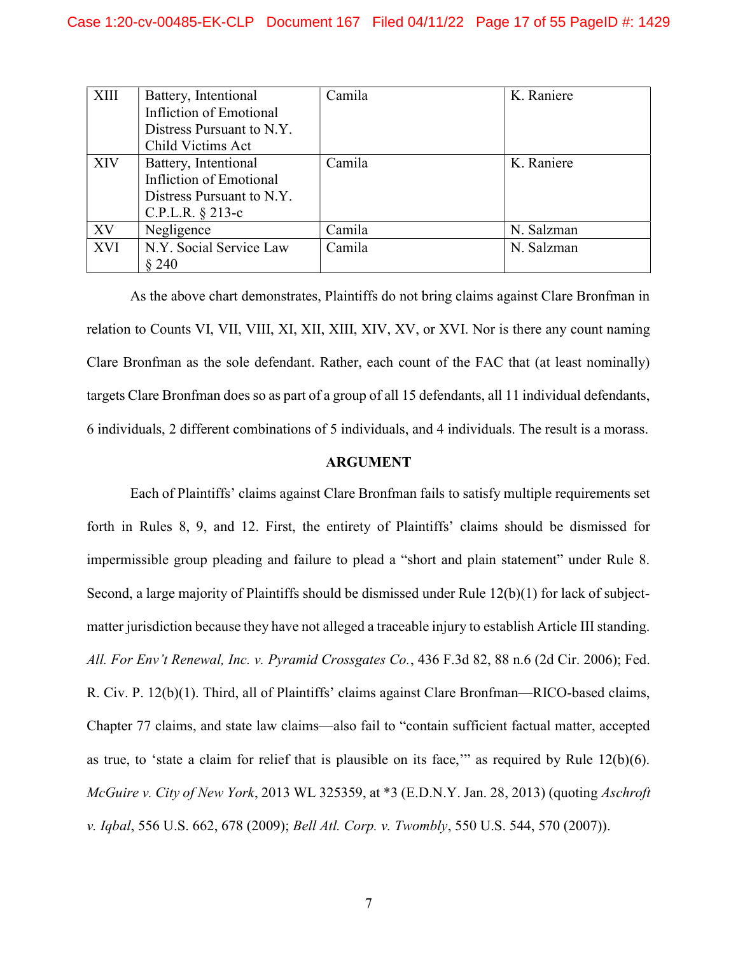| XIII       | Battery, Intentional      | Camila | K. Raniere |
|------------|---------------------------|--------|------------|
|            | Infliction of Emotional   |        |            |
|            | Distress Pursuant to N.Y. |        |            |
|            | Child Victims Act         |        |            |
| XIV        | Battery, Intentional      | Camila | K. Raniere |
|            | Infliction of Emotional   |        |            |
|            | Distress Pursuant to N.Y. |        |            |
|            | C.P.L.R. $§$ 213-c        |        |            |
| XV         | Negligence                | Camila | N. Salzman |
| <b>XVI</b> | N.Y. Social Service Law   | Camila | N. Salzman |
|            | § 240                     |        |            |

As the above chart demonstrates, Plaintiffs do not bring claims against Clare Bronfman in relation to Counts VI, VII, VIII, XI, XII, XIII, XIV, XV, or XVI. Nor is there any count naming Clare Bronfman as the sole defendant. Rather, each count of the FAC that (at least nominally) targets Clare Bronfman does so as part of a group of all 15 defendants, all 11 individual defendants, 6 individuals, 2 different combinations of 5 individuals, and 4 individuals. The result is a morass.

#### ARGUMENT

Each of Plaintiffs' claims against Clare Bronfman fails to satisfy multiple requirements set forth in Rules 8, 9, and 12. First, the entirety of Plaintiffs' claims should be dismissed for impermissible group pleading and failure to plead a "short and plain statement" under Rule 8. Second, a large majority of Plaintiffs should be dismissed under Rule 12(b)(1) for lack of subjectmatter jurisdiction because they have not alleged a traceable injury to establish Article III standing. All. For Env't Renewal, Inc. v. Pyramid Crossgates Co., 436 F.3d 82, 88 n.6 (2d Cir. 2006); Fed. R. Civ. P. 12(b)(1). Third, all of Plaintiffs' claims against Clare Bronfman—RICO-based claims, Chapter 77 claims, and state law claims—also fail to "contain sufficient factual matter, accepted as true, to 'state a claim for relief that is plausible on its face,'" as required by Rule 12(b)(6). McGuire v. City of New York, 2013 WL 325359, at \*3 (E.D.N.Y. Jan. 28, 2013) (quoting Aschroft v. Iqbal, 556 U.S. 662, 678 (2009); Bell Atl. Corp. v. Twombly, 550 U.S. 544, 570 (2007)).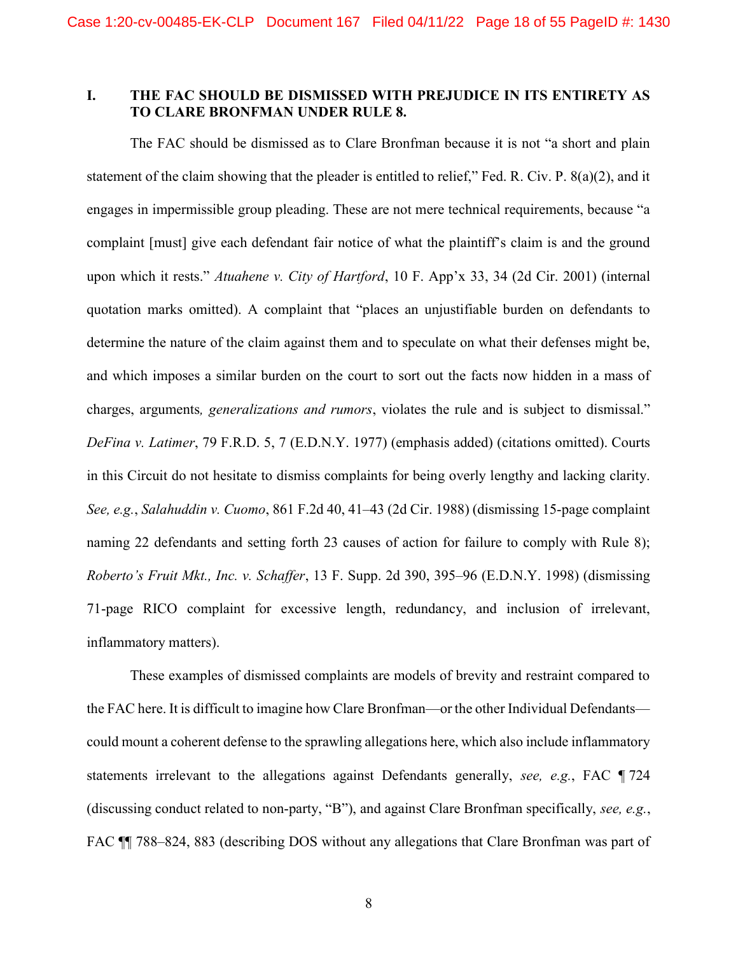## I. THE FAC SHOULD BE DISMISSED WITH PREJUDICE IN ITS ENTIRETY AS TO CLARE BRONFMAN UNDER RULE 8.

The FAC should be dismissed as to Clare Bronfman because it is not "a short and plain statement of the claim showing that the pleader is entitled to relief," Fed. R. Civ. P. 8(a)(2), and it engages in impermissible group pleading. These are not mere technical requirements, because "a complaint [must] give each defendant fair notice of what the plaintiff's claim is and the ground upon which it rests." Atuahene v. City of Hartford, 10 F. App'x 33, 34 (2d Cir. 2001) (internal quotation marks omitted). A complaint that "places an unjustifiable burden on defendants to determine the nature of the claim against them and to speculate on what their defenses might be, and which imposes a similar burden on the court to sort out the facts now hidden in a mass of charges, arguments, generalizations and rumors, violates the rule and is subject to dismissal." DeFina v. Latimer, 79 F.R.D. 5, 7 (E.D.N.Y. 1977) (emphasis added) (citations omitted). Courts in this Circuit do not hesitate to dismiss complaints for being overly lengthy and lacking clarity. See, e.g., Salahuddin v. Cuomo, 861 F.2d 40, 41–43 (2d Cir. 1988) (dismissing 15-page complaint naming 22 defendants and setting forth 23 causes of action for failure to comply with Rule 8); Roberto's Fruit Mkt., Inc. v. Schaffer, 13 F. Supp. 2d 390, 395–96 (E.D.N.Y. 1998) (dismissing 71-page RICO complaint for excessive length, redundancy, and inclusion of irrelevant, inflammatory matters).

These examples of dismissed complaints are models of brevity and restraint compared to the FAC here. It is difficult to imagine how Clare Bronfman—or the other Individual Defendants could mount a coherent defense to the sprawling allegations here, which also include inflammatory statements irrelevant to the allegations against Defendants generally, see, e.g., FAC ¶ 724 (discussing conduct related to non-party, "B"), and against Clare Bronfman specifically, see, e.g., FAC  $\P$  788–824, 883 (describing DOS without any allegations that Clare Bronfman was part of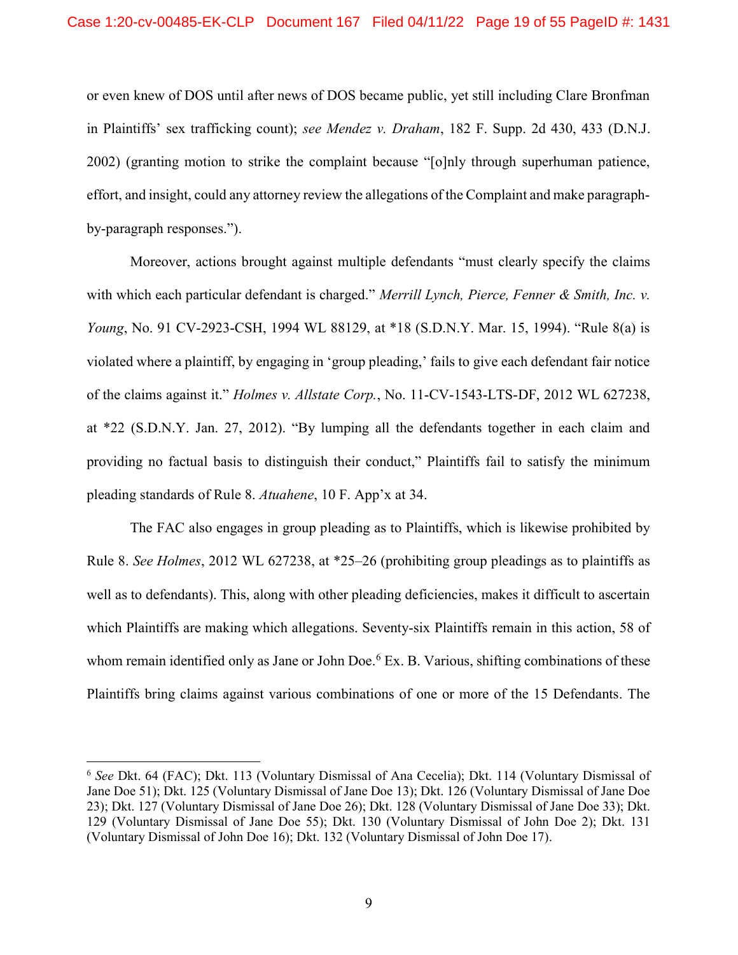or even knew of DOS until after news of DOS became public, yet still including Clare Bronfman in Plaintiffs' sex trafficking count); see Mendez v. Draham, 182 F. Supp. 2d 430, 433 (D.N.J. 2002) (granting motion to strike the complaint because "[o]nly through superhuman patience, effort, and insight, could any attorney review the allegations of the Complaint and make paragraphby-paragraph responses.").

Moreover, actions brought against multiple defendants "must clearly specify the claims with which each particular defendant is charged." Merrill Lynch, Pierce, Fenner & Smith, Inc. v. Young, No. 91 CV-2923-CSH, 1994 WL 88129, at \*18 (S.D.N.Y. Mar. 15, 1994). "Rule 8(a) is violated where a plaintiff, by engaging in 'group pleading,' fails to give each defendant fair notice of the claims against it." Holmes v. Allstate Corp., No. 11-CV-1543-LTS-DF, 2012 WL 627238, at \*22 (S.D.N.Y. Jan. 27, 2012). "By lumping all the defendants together in each claim and providing no factual basis to distinguish their conduct," Plaintiffs fail to satisfy the minimum pleading standards of Rule 8. Atuahene, 10 F. App'x at 34.

The FAC also engages in group pleading as to Plaintiffs, which is likewise prohibited by Rule 8. See Holmes, 2012 WL 627238, at \*25–26 (prohibiting group pleadings as to plaintiffs as well as to defendants). This, along with other pleading deficiencies, makes it difficult to ascertain which Plaintiffs are making which allegations. Seventy-six Plaintiffs remain in this action, 58 of whom remain identified only as Jane or John Doe.<sup>6</sup> Ex. B. Various, shifting combinations of these Plaintiffs bring claims against various combinations of one or more of the 15 Defendants. The

<sup>&</sup>lt;sup>6</sup> See Dkt. 64 (FAC); Dkt. 113 (Voluntary Dismissal of Ana Cecelia); Dkt. 114 (Voluntary Dismissal of Jane Doe 51); Dkt. 125 (Voluntary Dismissal of Jane Doe 13); Dkt. 126 (Voluntary Dismissal of Jane Doe 23); Dkt. 127 (Voluntary Dismissal of Jane Doe 26); Dkt. 128 (Voluntary Dismissal of Jane Doe 33); Dkt. 129 (Voluntary Dismissal of Jane Doe 55); Dkt. 130 (Voluntary Dismissal of John Doe 2); Dkt. 131 (Voluntary Dismissal of John Doe 16); Dkt. 132 (Voluntary Dismissal of John Doe 17).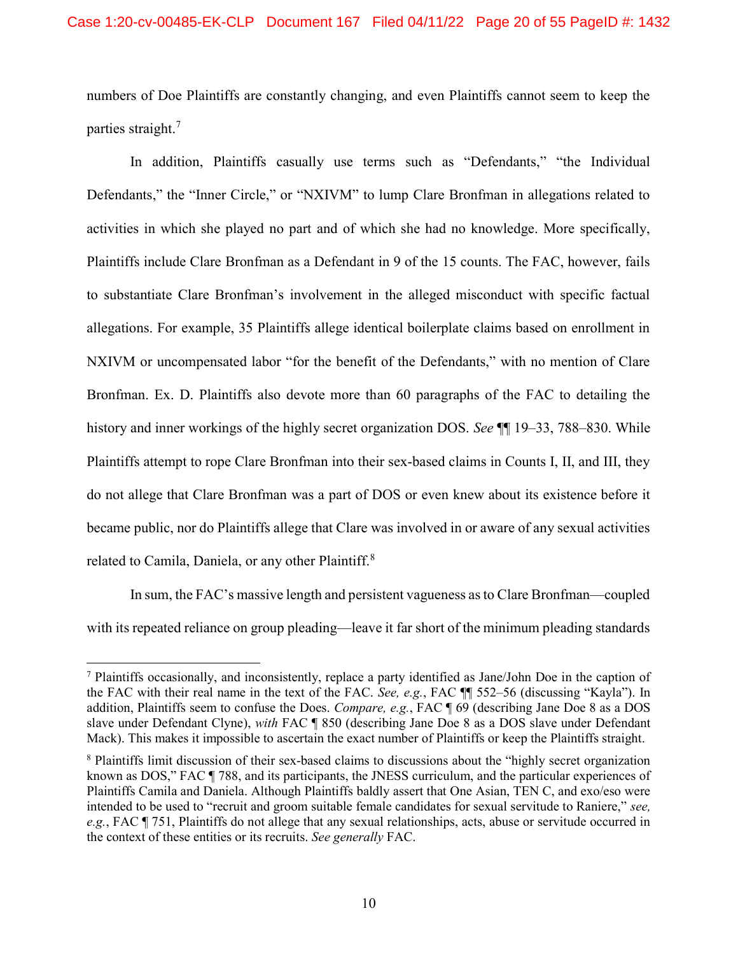numbers of Doe Plaintiffs are constantly changing, and even Plaintiffs cannot seem to keep the parties straight.<sup>7</sup>

In addition, Plaintiffs casually use terms such as "Defendants," "the Individual Defendants," the "Inner Circle," or "NXIVM" to lump Clare Bronfman in allegations related to activities in which she played no part and of which she had no knowledge. More specifically, Plaintiffs include Clare Bronfman as a Defendant in 9 of the 15 counts. The FAC, however, fails to substantiate Clare Bronfman's involvement in the alleged misconduct with specific factual allegations. For example, 35 Plaintiffs allege identical boilerplate claims based on enrollment in NXIVM or uncompensated labor "for the benefit of the Defendants," with no mention of Clare Bronfman. Ex. D. Plaintiffs also devote more than 60 paragraphs of the FAC to detailing the history and inner workings of the highly secret organization DOS. See  $\P$  19–33, 788–830. While Plaintiffs attempt to rope Clare Bronfman into their sex-based claims in Counts I, II, and III, they do not allege that Clare Bronfman was a part of DOS or even knew about its existence before it became public, nor do Plaintiffs allege that Clare was involved in or aware of any sexual activities related to Camila, Daniela, or any other Plaintiff.<sup>8</sup>

In sum, the FAC's massive length and persistent vagueness as to Clare Bronfman—coupled with its repeated reliance on group pleading—leave it far short of the minimum pleading standards

<sup>&</sup>lt;sup>7</sup> Plaintiffs occasionally, and inconsistently, replace a party identified as Jane/John Doe in the caption of the FAC with their real name in the text of the FAC. See, e.g., FAC ¶¶ 552–56 (discussing "Kayla"). In addition, Plaintiffs seem to confuse the Does. Compare, e.g., FAC ¶ 69 (describing Jane Doe 8 as a DOS slave under Defendant Clyne), with FAC ¶ 850 (describing Jane Doe 8 as a DOS slave under Defendant Mack). This makes it impossible to ascertain the exact number of Plaintiffs or keep the Plaintiffs straight.

<sup>&</sup>lt;sup>8</sup> Plaintiffs limit discussion of their sex-based claims to discussions about the "highly secret organization known as DOS," FAC ¶ 788, and its participants, the JNESS curriculum, and the particular experiences of Plaintiffs Camila and Daniela. Although Plaintiffs baldly assert that One Asian, TEN C, and exo/eso were intended to be used to "recruit and groom suitable female candidates for sexual servitude to Raniere," see, e.g., FAC ¶ 751, Plaintiffs do not allege that any sexual relationships, acts, abuse or servitude occurred in the context of these entities or its recruits. See generally FAC.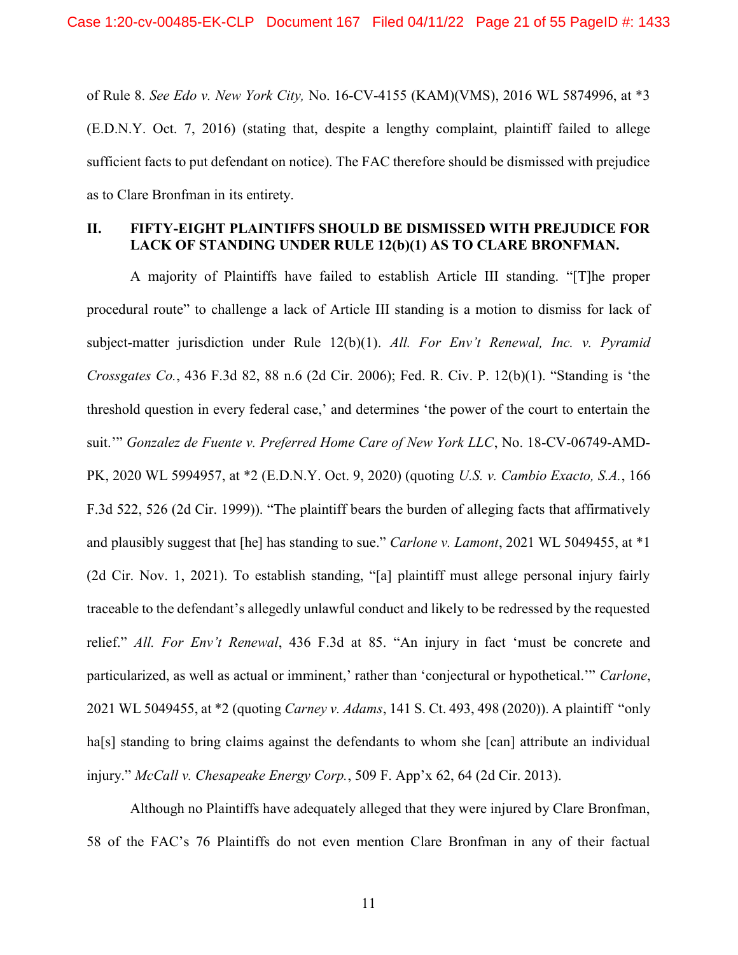of Rule 8. See Edo v. New York City, No. 16-CV-4155 (KAM)(VMS), 2016 WL 5874996, at \*3 (E.D.N.Y. Oct. 7, 2016) (stating that, despite a lengthy complaint, plaintiff failed to allege sufficient facts to put defendant on notice). The FAC therefore should be dismissed with prejudice as to Clare Bronfman in its entirety.

## II. FIFTY-EIGHT PLAINTIFFS SHOULD BE DISMISSED WITH PREJUDICE FOR LACK OF STANDING UNDER RULE 12(b)(1) AS TO CLARE BRONFMAN.

A majority of Plaintiffs have failed to establish Article III standing. "[T]he proper procedural route" to challenge a lack of Article III standing is a motion to dismiss for lack of subject-matter jurisdiction under Rule  $12(b)(1)$ . All. For Env't Renewal, Inc. v. Pyramid Crossgates Co., 436 F.3d 82, 88 n.6 (2d Cir. 2006); Fed. R. Civ. P. 12(b)(1). "Standing is 'the threshold question in every federal case,' and determines 'the power of the court to entertain the suit.'" Gonzalez de Fuente v. Preferred Home Care of New York LLC, No. 18-CV-06749-AMD-PK, 2020 WL 5994957, at \*2 (E.D.N.Y. Oct. 9, 2020) (quoting U.S. v. Cambio Exacto, S.A., 166 F.3d 522, 526 (2d Cir. 1999)). "The plaintiff bears the burden of alleging facts that affirmatively and plausibly suggest that [he] has standing to sue." Carlone v. Lamont, 2021 WL 5049455, at \*1 (2d Cir. Nov. 1, 2021). To establish standing, "[a] plaintiff must allege personal injury fairly traceable to the defendant's allegedly unlawful conduct and likely to be redressed by the requested relief." All. For Env't Renewal, 436 F.3d at 85. "An injury in fact 'must be concrete and particularized, as well as actual or imminent,' rather than 'conjectural or hypothetical.'" Carlone, 2021 WL 5049455, at \*2 (quoting Carney v. Adams, 141 S. Ct. 493, 498 (2020)). A plaintiff "only ha<sup>[s]</sup> standing to bring claims against the defendants to whom she [can] attribute an individual injury." McCall v. Chesapeake Energy Corp., 509 F. App'x 62, 64 (2d Cir. 2013).

Although no Plaintiffs have adequately alleged that they were injured by Clare Bronfman, 58 of the FAC's 76 Plaintiffs do not even mention Clare Bronfman in any of their factual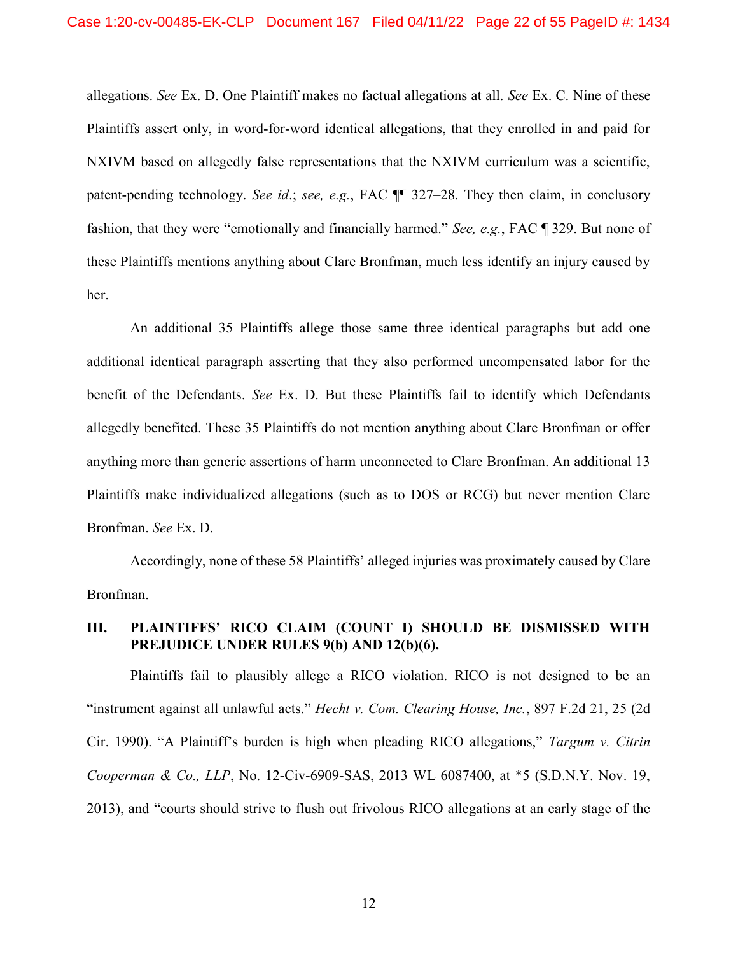allegations. See Ex. D. One Plaintiff makes no factual allegations at all. See Ex. C. Nine of these Plaintiffs assert only, in word-for-word identical allegations, that they enrolled in and paid for NXIVM based on allegedly false representations that the NXIVM curriculum was a scientific, patent-pending technology. See id.; see, e.g., FAC ¶¶ 327–28. They then claim, in conclusory fashion, that they were "emotionally and financially harmed." See, e.g., FAC ¶ 329. But none of these Plaintiffs mentions anything about Clare Bronfman, much less identify an injury caused by her.

An additional 35 Plaintiffs allege those same three identical paragraphs but add one additional identical paragraph asserting that they also performed uncompensated labor for the benefit of the Defendants. See Ex. D. But these Plaintiffs fail to identify which Defendants allegedly benefited. These 35 Plaintiffs do not mention anything about Clare Bronfman or offer anything more than generic assertions of harm unconnected to Clare Bronfman. An additional 13 Plaintiffs make individualized allegations (such as to DOS or RCG) but never mention Clare Bronfman. See Ex. D.

Accordingly, none of these 58 Plaintiffs' alleged injuries was proximately caused by Clare Bronfman.

# III. PLAINTIFFS' RICO CLAIM (COUNT I) SHOULD BE DISMISSED WITH PREJUDICE UNDER RULES 9(b) AND 12(b)(6).

Plaintiffs fail to plausibly allege a RICO violation. RICO is not designed to be an "instrument against all unlawful acts." Hecht v. Com. Clearing House, Inc., 897 F.2d 21, 25 (2d Cir. 1990). "A Plaintiff's burden is high when pleading RICO allegations," Targum v. Citrin Cooperman & Co., LLP, No. 12-Civ-6909-SAS, 2013 WL 6087400, at \*5 (S.D.N.Y. Nov. 19, 2013), and "courts should strive to flush out frivolous RICO allegations at an early stage of the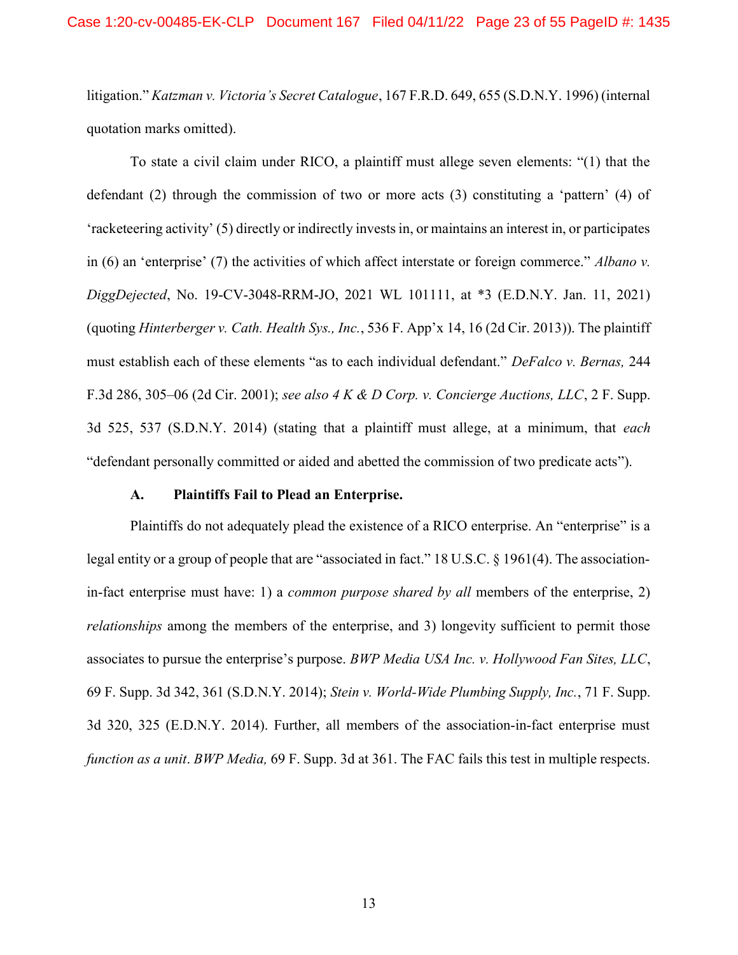litigation." Katzman v. Victoria's Secret Catalogue, 167 F.R.D. 649, 655 (S.D.N.Y. 1996) (internal quotation marks omitted).

To state a civil claim under RICO, a plaintiff must allege seven elements: "(1) that the defendant (2) through the commission of two or more acts (3) constituting a 'pattern' (4) of 'racketeering activity' (5) directly or indirectly invests in, or maintains an interest in, or participates in (6) an 'enterprise' (7) the activities of which affect interstate or foreign commerce." Albano v. DiggDejected, No. 19-CV-3048-RRM-JO, 2021 WL 101111, at \*3 (E.D.N.Y. Jan. 11, 2021) (quoting Hinterberger v. Cath. Health Sys., Inc., 536 F. App'x 14, 16 (2d Cir. 2013)). The plaintiff must establish each of these elements "as to each individual defendant." DeFalco v. Bernas, 244 F.3d 286, 305–06 (2d Cir. 2001); see also 4 K & D Corp. v. Concierge Auctions, LLC, 2 F. Supp. 3d 525, 537 (S.D.N.Y. 2014) (stating that a plaintiff must allege, at a minimum, that each "defendant personally committed or aided and abetted the commission of two predicate acts").

#### A. Plaintiffs Fail to Plead an Enterprise.

Plaintiffs do not adequately plead the existence of a RICO enterprise. An "enterprise" is a legal entity or a group of people that are "associated in fact." 18 U.S.C. § 1961(4). The associationin-fact enterprise must have: 1) a *common purpose shared by all* members of the enterprise, 2) relationships among the members of the enterprise, and 3) longevity sufficient to permit those associates to pursue the enterprise's purpose. BWP Media USA Inc. v. Hollywood Fan Sites, LLC, 69 F. Supp. 3d 342, 361 (S.D.N.Y. 2014); Stein v. World-Wide Plumbing Supply, Inc., 71 F. Supp. 3d 320, 325 (E.D.N.Y. 2014). Further, all members of the association-in-fact enterprise must function as a unit. BWP Media, 69 F. Supp. 3d at 361. The FAC fails this test in multiple respects.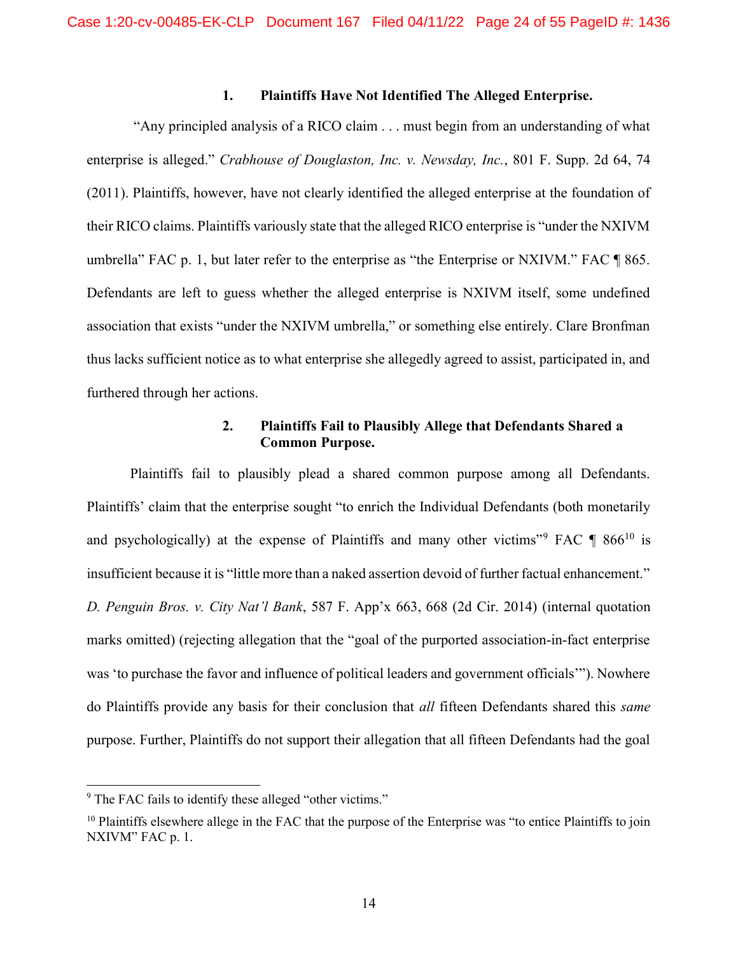# 1. Plaintiffs Have Not Identified The Alleged Enterprise.

 "Any principled analysis of a RICO claim . . . must begin from an understanding of what enterprise is alleged." Crabhouse of Douglaston, Inc. v. Newsday, Inc., 801 F. Supp. 2d 64, 74 (2011). Plaintiffs, however, have not clearly identified the alleged enterprise at the foundation of their RICO claims. Plaintiffs variously state that the alleged RICO enterprise is "under the NXIVM umbrella" FAC p. 1, but later refer to the enterprise as "the Enterprise or NXIVM." FAC ¶ 865. Defendants are left to guess whether the alleged enterprise is NXIVM itself, some undefined association that exists "under the NXIVM umbrella," or something else entirely. Clare Bronfman thus lacks sufficient notice as to what enterprise she allegedly agreed to assist, participated in, and furthered through her actions.

# 2. Plaintiffs Fail to Plausibly Allege that Defendants Shared a Common Purpose.

Plaintiffs fail to plausibly plead a shared common purpose among all Defendants. Plaintiffs' claim that the enterprise sought "to enrich the Individual Defendants (both monetarily and psychologically) at the expense of Plaintiffs and many other victims"<sup>9</sup> FAC  $\P$  866<sup>10</sup> is insufficient because it is "little more than a naked assertion devoid of further factual enhancement." D. Penguin Bros. v. City Nat'l Bank, 587 F. App'x 663, 668 (2d Cir. 2014) (internal quotation marks omitted) (rejecting allegation that the "goal of the purported association-in-fact enterprise was 'to purchase the favor and influence of political leaders and government officials'"). Nowhere do Plaintiffs provide any basis for their conclusion that *all* fifteen Defendants shared this *same* purpose. Further, Plaintiffs do not support their allegation that all fifteen Defendants had the goal

<sup>&</sup>lt;sup>9</sup> The FAC fails to identify these alleged "other victims."

<sup>&</sup>lt;sup>10</sup> Plaintiffs elsewhere allege in the FAC that the purpose of the Enterprise was "to entice Plaintiffs to join NXIVM" FAC p. 1.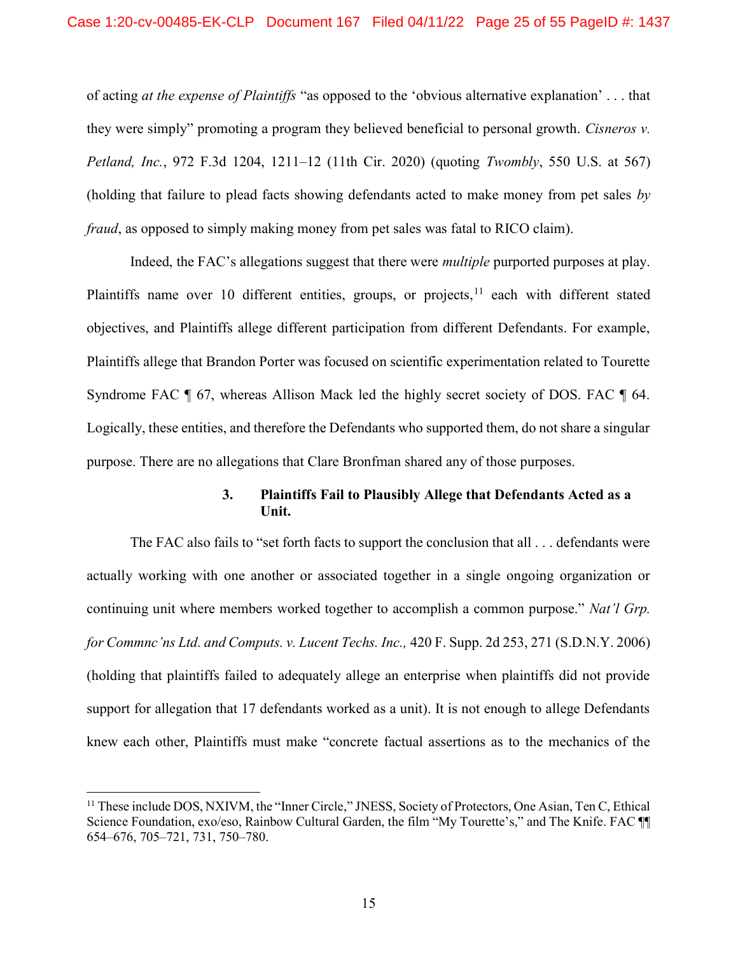of acting at the expense of Plaintiffs "as opposed to the 'obvious alternative explanation' . . . that they were simply" promoting a program they believed beneficial to personal growth. Cisneros v. Petland, Inc., 972 F.3d 1204, 1211–12 (11th Cir. 2020) (quoting Twombly, 550 U.S. at 567) (holding that failure to plead facts showing defendants acted to make money from pet sales by fraud, as opposed to simply making money from pet sales was fatal to RICO claim).

Indeed, the FAC's allegations suggest that there were multiple purported purposes at play. Plaintiffs name over 10 different entities, groups, or projects,  $11$  each with different stated objectives, and Plaintiffs allege different participation from different Defendants. For example, Plaintiffs allege that Brandon Porter was focused on scientific experimentation related to Tourette Syndrome FAC ¶ 67, whereas Allison Mack led the highly secret society of DOS. FAC ¶ 64. Logically, these entities, and therefore the Defendants who supported them, do not share a singular purpose. There are no allegations that Clare Bronfman shared any of those purposes.

## 3. Plaintiffs Fail to Plausibly Allege that Defendants Acted as a Unit.

The FAC also fails to "set forth facts to support the conclusion that all . . . defendants were actually working with one another or associated together in a single ongoing organization or continuing unit where members worked together to accomplish a common purpose." Nat'l Grp. for Commnc'ns Ltd. and Computs. v. Lucent Techs. Inc., 420 F. Supp. 2d 253, 271 (S.D.N.Y. 2006) (holding that plaintiffs failed to adequately allege an enterprise when plaintiffs did not provide support for allegation that 17 defendants worked as a unit). It is not enough to allege Defendants knew each other, Plaintiffs must make "concrete factual assertions as to the mechanics of the

<sup>&</sup>lt;sup>11</sup> These include DOS, NXIVM, the "Inner Circle," JNESS, Society of Protectors, One Asian, Ten C, Ethical Science Foundation, exo/eso, Rainbow Cultural Garden, the film "My Tourette's," and The Knife. FAC ¶¶ 654–676, 705–721, 731, 750–780.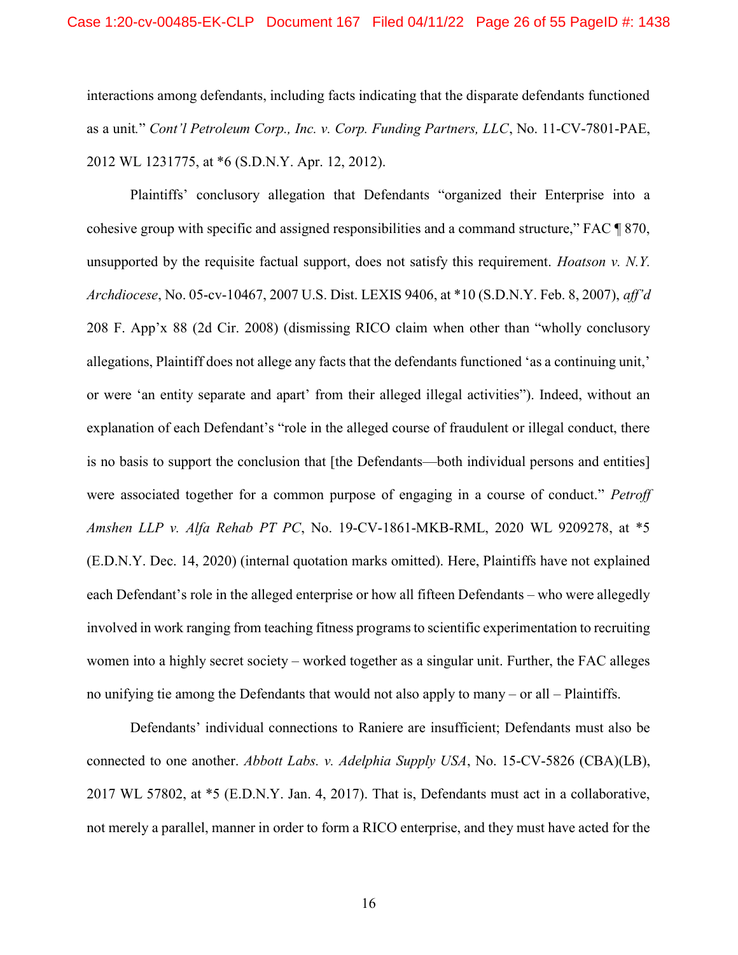interactions among defendants, including facts indicating that the disparate defendants functioned as a unit." Cont'l Petroleum Corp., Inc. v. Corp. Funding Partners, LLC, No. 11-CV-7801-PAE, 2012 WL 1231775, at \*6 (S.D.N.Y. Apr. 12, 2012).

Plaintiffs' conclusory allegation that Defendants "organized their Enterprise into a cohesive group with specific and assigned responsibilities and a command structure," FAC ¶ 870, unsupported by the requisite factual support, does not satisfy this requirement. *Hoatson v. N.Y.* Archdiocese, No. 05-cv-10467, 2007 U.S. Dist. LEXIS 9406, at \*10 (S.D.N.Y. Feb. 8, 2007), aff'd 208 F. App'x 88 (2d Cir. 2008) (dismissing RICO claim when other than "wholly conclusory allegations, Plaintiff does not allege any facts that the defendants functioned 'as a continuing unit,' or were 'an entity separate and apart' from their alleged illegal activities"). Indeed, without an explanation of each Defendant's "role in the alleged course of fraudulent or illegal conduct, there is no basis to support the conclusion that [the Defendants—both individual persons and entities] were associated together for a common purpose of engaging in a course of conduct." Petroff Amshen LLP v. Alfa Rehab PT PC, No. 19-CV-1861-MKB-RML, 2020 WL 9209278, at \*5 (E.D.N.Y. Dec. 14, 2020) (internal quotation marks omitted). Here, Plaintiffs have not explained each Defendant's role in the alleged enterprise or how all fifteen Defendants – who were allegedly involved in work ranging from teaching fitness programs to scientific experimentation to recruiting women into a highly secret society – worked together as a singular unit. Further, the FAC alleges no unifying tie among the Defendants that would not also apply to many – or all – Plaintiffs.

Defendants' individual connections to Raniere are insufficient; Defendants must also be connected to one another. Abbott Labs. v. Adelphia Supply USA, No. 15-CV-5826 (CBA)(LB), 2017 WL 57802, at \*5 (E.D.N.Y. Jan. 4, 2017). That is, Defendants must act in a collaborative, not merely a parallel, manner in order to form a RICO enterprise, and they must have acted for the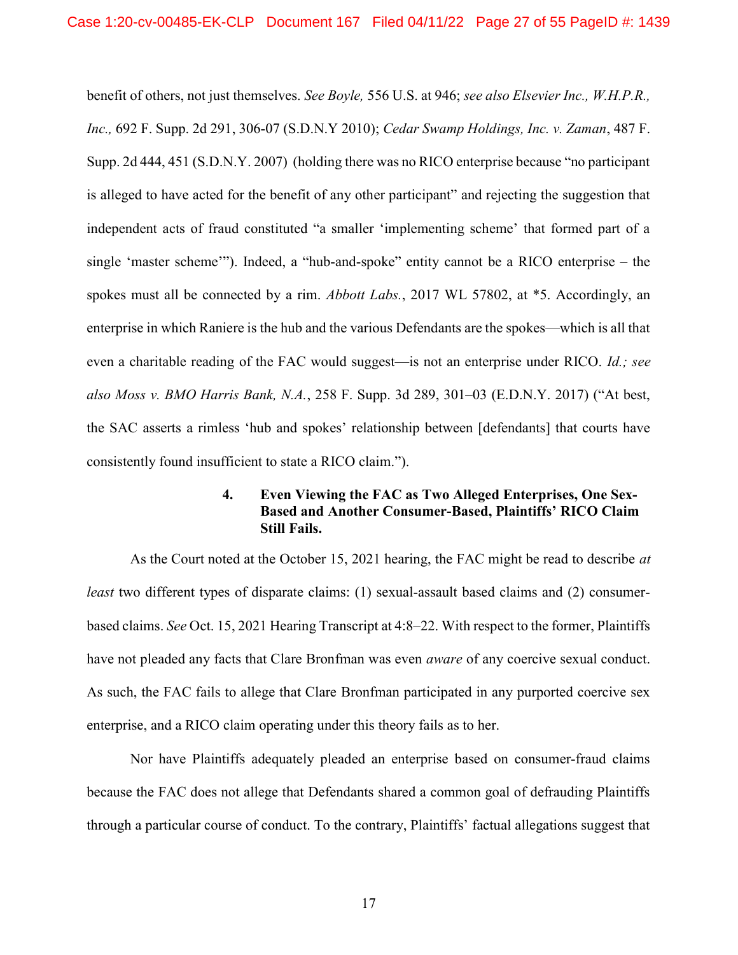benefit of others, not just themselves. See Boyle, 556 U.S. at 946; see also Elsevier Inc., W.H.P.R., Inc., 692 F. Supp. 2d 291, 306-07 (S.D.N.Y 2010); Cedar Swamp Holdings, Inc. v. Zaman, 487 F. Supp. 2d 444, 451 (S.D.N.Y. 2007) (holding there was no RICO enterprise because "no participant is alleged to have acted for the benefit of any other participant" and rejecting the suggestion that independent acts of fraud constituted "a smaller 'implementing scheme' that formed part of a single 'master scheme'"). Indeed, a "hub-and-spoke" entity cannot be a RICO enterprise – the spokes must all be connected by a rim. Abbott Labs., 2017 WL 57802, at \*5. Accordingly, an enterprise in which Raniere is the hub and the various Defendants are the spokes—which is all that even a charitable reading of the FAC would suggest—is not an enterprise under RICO. Id.; see also Moss v. BMO Harris Bank, N.A., 258 F. Supp. 3d 289, 301–03 (E.D.N.Y. 2017) ("At best, the SAC asserts a rimless 'hub and spokes' relationship between [defendants] that courts have consistently found insufficient to state a RICO claim.").

## 4. Even Viewing the FAC as Two Alleged Enterprises, One Sex-Based and Another Consumer-Based, Plaintiffs' RICO Claim Still Fails.

As the Court noted at the October 15, 2021 hearing, the FAC might be read to describe *at* least two different types of disparate claims: (1) sexual-assault based claims and (2) consumerbased claims. See Oct. 15, 2021 Hearing Transcript at 4:8–22. With respect to the former, Plaintiffs have not pleaded any facts that Clare Bronfman was even *aware* of any coercive sexual conduct. As such, the FAC fails to allege that Clare Bronfman participated in any purported coercive sex enterprise, and a RICO claim operating under this theory fails as to her.

Nor have Plaintiffs adequately pleaded an enterprise based on consumer-fraud claims because the FAC does not allege that Defendants shared a common goal of defrauding Plaintiffs through a particular course of conduct. To the contrary, Plaintiffs' factual allegations suggest that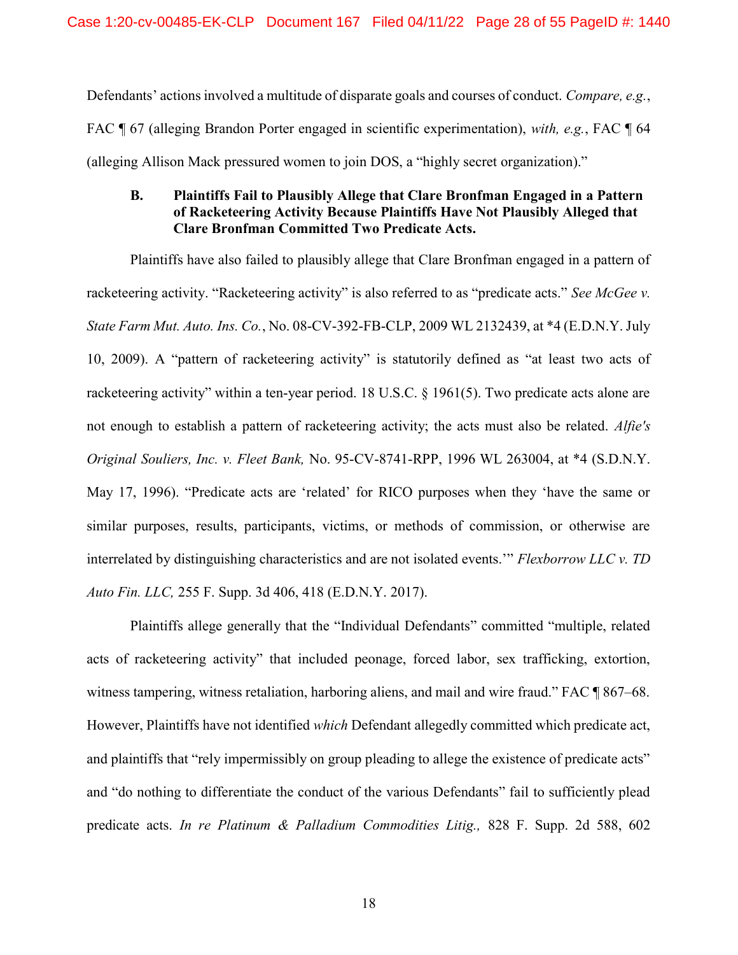Defendants' actions involved a multitude of disparate goals and courses of conduct. Compare, e.g., FAC ¶ 67 (alleging Brandon Porter engaged in scientific experimentation), with, e.g., FAC ¶ 64 (alleging Allison Mack pressured women to join DOS, a "highly secret organization)."

# B. Plaintiffs Fail to Plausibly Allege that Clare Bronfman Engaged in a Pattern of Racketeering Activity Because Plaintiffs Have Not Plausibly Alleged that Clare Bronfman Committed Two Predicate Acts.

Plaintiffs have also failed to plausibly allege that Clare Bronfman engaged in a pattern of racketeering activity. "Racketeering activity" is also referred to as "predicate acts." See McGee v. State Farm Mut. Auto. Ins. Co., No. 08-CV-392-FB-CLP, 2009 WL 2132439, at \*4 (E.D.N.Y. July 10, 2009). A "pattern of racketeering activity" is statutorily defined as "at least two acts of racketeering activity" within a ten-year period. 18 U.S.C. § 1961(5). Two predicate acts alone are not enough to establish a pattern of racketeering activity; the acts must also be related. Alfie's Original Souliers, Inc. v. Fleet Bank, No. 95-CV-8741-RPP, 1996 WL 263004, at \*4 (S.D.N.Y. May 17, 1996). "Predicate acts are 'related' for RICO purposes when they 'have the same or similar purposes, results, participants, victims, or methods of commission, or otherwise are interrelated by distinguishing characteristics and are not isolated events.'" Flexborrow LLC v. TD Auto Fin. LLC, 255 F. Supp. 3d 406, 418 (E.D.N.Y. 2017).

Plaintiffs allege generally that the "Individual Defendants" committed "multiple, related acts of racketeering activity" that included peonage, forced labor, sex trafficking, extortion, witness tampering, witness retaliation, harboring aliens, and mail and wire fraud." FAC ¶ 867–68. However, Plaintiffs have not identified which Defendant allegedly committed which predicate act, and plaintiffs that "rely impermissibly on group pleading to allege the existence of predicate acts" and "do nothing to differentiate the conduct of the various Defendants" fail to sufficiently plead predicate acts. In re Platinum & Palladium Commodities Litig., 828 F. Supp. 2d 588, 602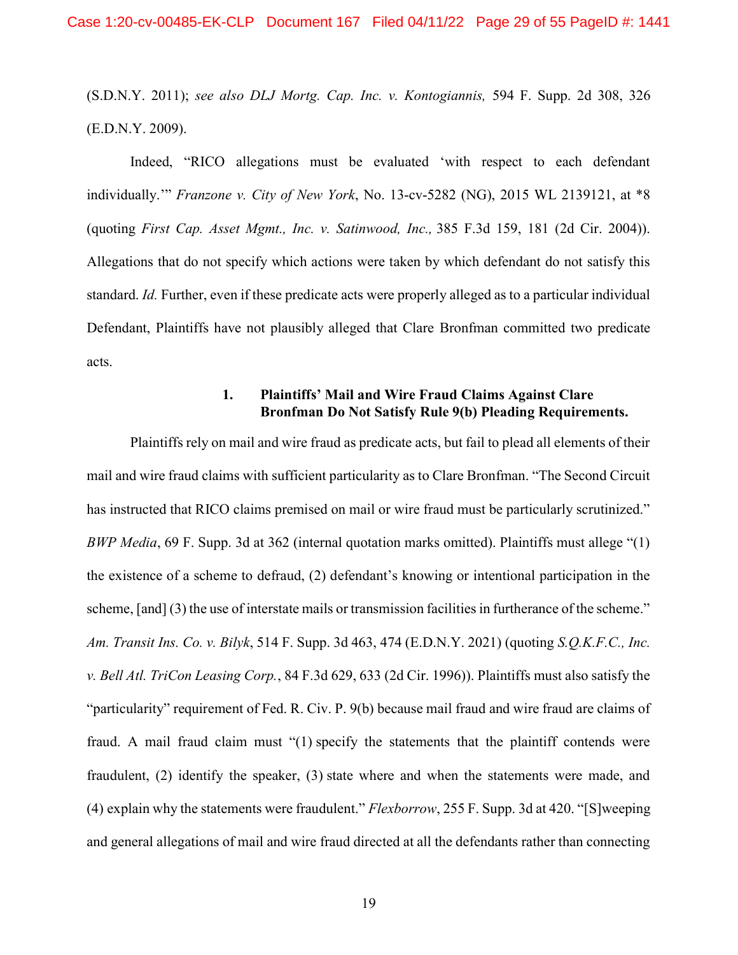(S.D.N.Y. 2011); see also DLJ Mortg. Cap. Inc. v. Kontogiannis, 594 F. Supp. 2d 308, 326 (E.D.N.Y. 2009).

Indeed, "RICO allegations must be evaluated 'with respect to each defendant individually." *Franzone v. City of New York*, No. 13-cv-5282 (NG), 2015 WL 2139121, at \*8 (quoting First Cap. Asset Mgmt., Inc. v. Satinwood, Inc., 385 F.3d 159, 181 (2d Cir. 2004)). Allegations that do not specify which actions were taken by which defendant do not satisfy this standard. Id. Further, even if these predicate acts were properly alleged as to a particular individual Defendant, Plaintiffs have not plausibly alleged that Clare Bronfman committed two predicate acts.

# 1. Plaintiffs' Mail and Wire Fraud Claims Against Clare Bronfman Do Not Satisfy Rule 9(b) Pleading Requirements.

Plaintiffs rely on mail and wire fraud as predicate acts, but fail to plead all elements of their mail and wire fraud claims with sufficient particularity as to Clare Bronfman. "The Second Circuit has instructed that RICO claims premised on mail or wire fraud must be particularly scrutinized." BWP Media, 69 F. Supp. 3d at 362 (internal quotation marks omitted). Plaintiffs must allege "(1) the existence of a scheme to defraud, (2) defendant's knowing or intentional participation in the scheme, [and] (3) the use of interstate mails or transmission facilities in furtherance of the scheme." Am. Transit Ins. Co. v. Bilyk, 514 F. Supp. 3d 463, 474 (E.D.N.Y. 2021) (quoting S.Q.K.F.C., Inc. v. Bell Atl. TriCon Leasing Corp., 84 F.3d 629, 633 (2d Cir. 1996)). Plaintiffs must also satisfy the "particularity" requirement of Fed. R. Civ. P. 9(b) because mail fraud and wire fraud are claims of fraud. A mail fraud claim must "(1) specify the statements that the plaintiff contends were fraudulent, (2) identify the speaker, (3) state where and when the statements were made, and (4) explain why the statements were fraudulent." Flexborrow, 255 F. Supp. 3d at 420. "[S]weeping and general allegations of mail and wire fraud directed at all the defendants rather than connecting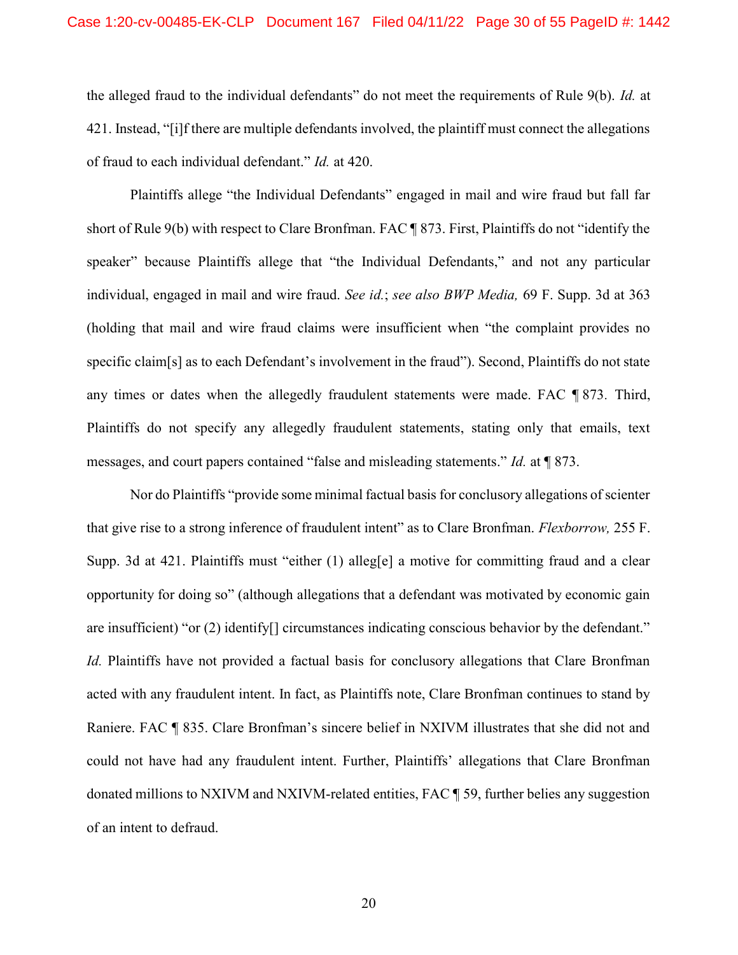the alleged fraud to the individual defendants" do not meet the requirements of Rule 9(b). Id. at 421. Instead, "[i]f there are multiple defendants involved, the plaintiff must connect the allegations of fraud to each individual defendant." Id. at 420.

Plaintiffs allege "the Individual Defendants" engaged in mail and wire fraud but fall far short of Rule 9(b) with respect to Clare Bronfman. FAC ¶ 873. First, Plaintiffs do not "identify the speaker" because Plaintiffs allege that "the Individual Defendants," and not any particular individual, engaged in mail and wire fraud. See id.; see also BWP Media, 69 F. Supp. 3d at 363 (holding that mail and wire fraud claims were insufficient when "the complaint provides no specific claim[s] as to each Defendant's involvement in the fraud"). Second, Plaintiffs do not state any times or dates when the allegedly fraudulent statements were made. FAC ¶ 873. Third, Plaintiffs do not specify any allegedly fraudulent statements, stating only that emails, text messages, and court papers contained "false and misleading statements." Id. at ¶ 873.

Nor do Plaintiffs "provide some minimal factual basis for conclusory allegations of scienter that give rise to a strong inference of fraudulent intent" as to Clare Bronfman. *Flexborrow*, 255 F. Supp. 3d at 421. Plaintiffs must "either  $(1)$  alleg[e] a motive for committing fraud and a clear opportunity for doing so" (although allegations that a defendant was motivated by economic gain are insufficient) "or (2) identify[] circumstances indicating conscious behavior by the defendant." Id. Plaintiffs have not provided a factual basis for conclusory allegations that Clare Bronfman acted with any fraudulent intent. In fact, as Plaintiffs note, Clare Bronfman continues to stand by Raniere. FAC ¶ 835. Clare Bronfman's sincere belief in NXIVM illustrates that she did not and could not have had any fraudulent intent. Further, Plaintiffs' allegations that Clare Bronfman donated millions to NXIVM and NXIVM-related entities, FAC ¶ 59, further belies any suggestion of an intent to defraud.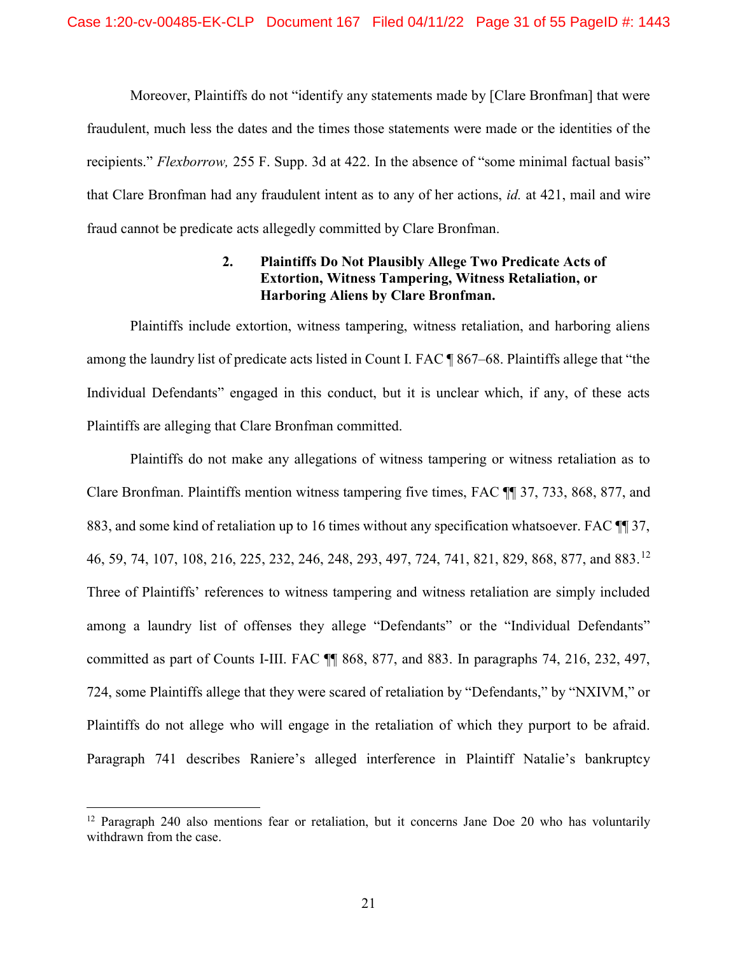Moreover, Plaintiffs do not "identify any statements made by [Clare Bronfman] that were fraudulent, much less the dates and the times those statements were made or the identities of the recipients." Flexborrow, 255 F. Supp. 3d at 422. In the absence of "some minimal factual basis" that Clare Bronfman had any fraudulent intent as to any of her actions, id. at 421, mail and wire fraud cannot be predicate acts allegedly committed by Clare Bronfman.

# 2. Plaintiffs Do Not Plausibly Allege Two Predicate Acts of Extortion, Witness Tampering, Witness Retaliation, or Harboring Aliens by Clare Bronfman.

Plaintiffs include extortion, witness tampering, witness retaliation, and harboring aliens among the laundry list of predicate acts listed in Count I. FAC ¶ 867–68. Plaintiffs allege that "the Individual Defendants" engaged in this conduct, but it is unclear which, if any, of these acts Plaintiffs are alleging that Clare Bronfman committed.

Plaintiffs do not make any allegations of witness tampering or witness retaliation as to Clare Bronfman. Plaintiffs mention witness tampering five times, FAC ¶¶ 37, 733, 868, 877, and 883, and some kind of retaliation up to 16 times without any specification whatsoever. FAC ¶¶ 37, 46, 59, 74, 107, 108, 216, 225, 232, 246, 248, 293, 497, 724, 741, 821, 829, 868, 877, and 883.<sup>12</sup> Three of Plaintiffs' references to witness tampering and witness retaliation are simply included among a laundry list of offenses they allege "Defendants" or the "Individual Defendants" committed as part of Counts I-III. FAC ¶¶ 868, 877, and 883. In paragraphs 74, 216, 232, 497, 724, some Plaintiffs allege that they were scared of retaliation by "Defendants," by "NXIVM," or Plaintiffs do not allege who will engage in the retaliation of which they purport to be afraid. Paragraph 741 describes Raniere's alleged interference in Plaintiff Natalie's bankruptcy

<sup>&</sup>lt;sup>12</sup> Paragraph 240 also mentions fear or retaliation, but it concerns Jane Doe 20 who has voluntarily withdrawn from the case.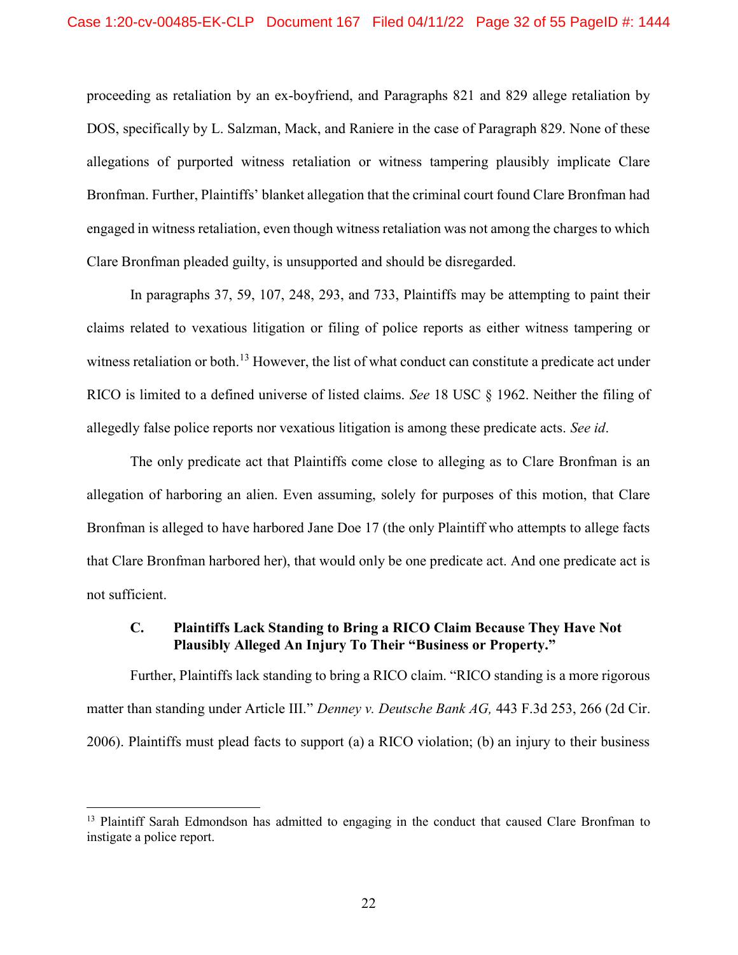proceeding as retaliation by an ex-boyfriend, and Paragraphs 821 and 829 allege retaliation by DOS, specifically by L. Salzman, Mack, and Raniere in the case of Paragraph 829. None of these allegations of purported witness retaliation or witness tampering plausibly implicate Clare Bronfman. Further, Plaintiffs' blanket allegation that the criminal court found Clare Bronfman had engaged in witness retaliation, even though witness retaliation was not among the charges to which Clare Bronfman pleaded guilty, is unsupported and should be disregarded.

In paragraphs 37, 59, 107, 248, 293, and 733, Plaintiffs may be attempting to paint their claims related to vexatious litigation or filing of police reports as either witness tampering or witness retaliation or both.<sup>13</sup> However, the list of what conduct can constitute a predicate act under RICO is limited to a defined universe of listed claims. See 18 USC § 1962. Neither the filing of allegedly false police reports nor vexatious litigation is among these predicate acts. See id.

The only predicate act that Plaintiffs come close to alleging as to Clare Bronfman is an allegation of harboring an alien. Even assuming, solely for purposes of this motion, that Clare Bronfman is alleged to have harbored Jane Doe 17 (the only Plaintiff who attempts to allege facts that Clare Bronfman harbored her), that would only be one predicate act. And one predicate act is not sufficient.

## C. Plaintiffs Lack Standing to Bring a RICO Claim Because They Have Not Plausibly Alleged An Injury To Their "Business or Property."

Further, Plaintiffs lack standing to bring a RICO claim. "RICO standing is a more rigorous matter than standing under Article III." Denney v. Deutsche Bank AG, 443 F.3d 253, 266 (2d Cir. 2006). Plaintiffs must plead facts to support (a) a RICO violation; (b) an injury to their business

<sup>&</sup>lt;sup>13</sup> Plaintiff Sarah Edmondson has admitted to engaging in the conduct that caused Clare Bronfman to instigate a police report.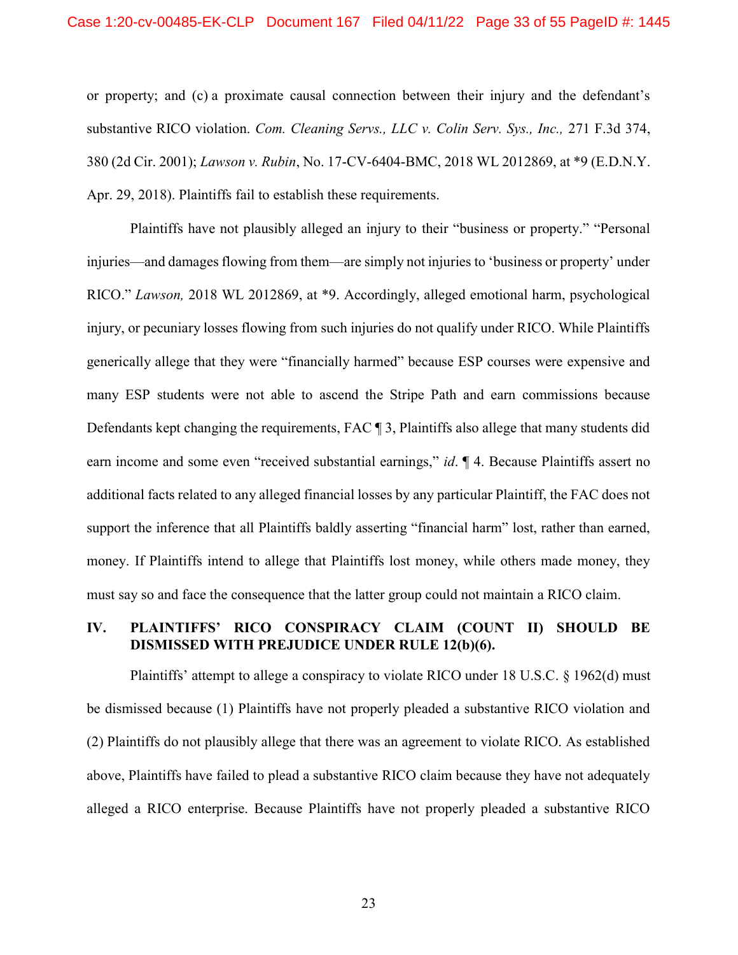or property; and (c) a proximate causal connection between their injury and the defendant's substantive RICO violation. Com. Cleaning Servs., LLC v. Colin Serv. Sys., Inc., 271 F.3d 374, 380 (2d Cir. 2001); Lawson v. Rubin, No. 17-CV-6404-BMC, 2018 WL 2012869, at \*9 (E.D.N.Y. Apr. 29, 2018). Plaintiffs fail to establish these requirements.

Plaintiffs have not plausibly alleged an injury to their "business or property." "Personal injuries—and damages flowing from them—are simply not injuries to 'business or property' under RICO." Lawson, 2018 WL 2012869, at \*9. Accordingly, alleged emotional harm, psychological injury, or pecuniary losses flowing from such injuries do not qualify under RICO. While Plaintiffs generically allege that they were "financially harmed" because ESP courses were expensive and many ESP students were not able to ascend the Stripe Path and earn commissions because Defendants kept changing the requirements, FAC ¶ 3, Plaintiffs also allege that many students did earn income and some even "received substantial earnings," *id*.  $\mathbb{I}$  4. Because Plaintiffs assert no additional facts related to any alleged financial losses by any particular Plaintiff, the FAC does not support the inference that all Plaintiffs baldly asserting "financial harm" lost, rather than earned, money. If Plaintiffs intend to allege that Plaintiffs lost money, while others made money, they must say so and face the consequence that the latter group could not maintain a RICO claim.

### IV. PLAINTIFFS' RICO CONSPIRACY CLAIM (COUNT II) SHOULD BE DISMISSED WITH PREJUDICE UNDER RULE 12(b)(6).

Plaintiffs' attempt to allege a conspiracy to violate RICO under 18 U.S.C. § 1962(d) must be dismissed because (1) Plaintiffs have not properly pleaded a substantive RICO violation and (2) Plaintiffs do not plausibly allege that there was an agreement to violate RICO. As established above, Plaintiffs have failed to plead a substantive RICO claim because they have not adequately alleged a RICO enterprise. Because Plaintiffs have not properly pleaded a substantive RICO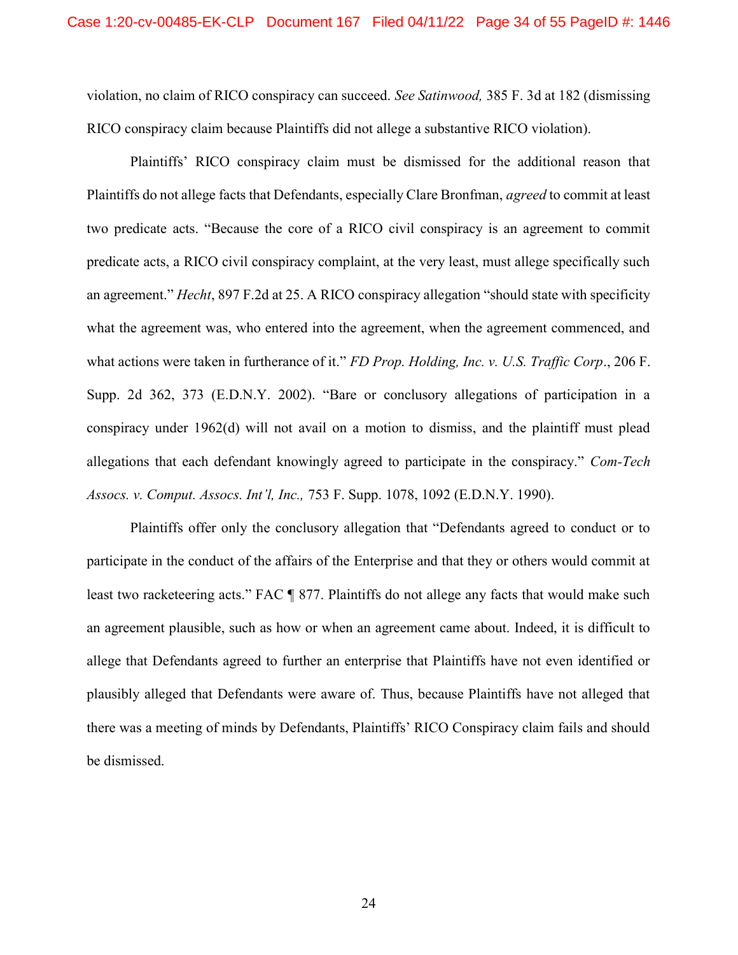violation, no claim of RICO conspiracy can succeed. See Satinwood, 385 F. 3d at 182 (dismissing RICO conspiracy claim because Plaintiffs did not allege a substantive RICO violation).

Plaintiffs' RICO conspiracy claim must be dismissed for the additional reason that Plaintiffs do not allege facts that Defendants, especially Clare Bronfman, agreed to commit at least two predicate acts. "Because the core of a RICO civil conspiracy is an agreement to commit predicate acts, a RICO civil conspiracy complaint, at the very least, must allege specifically such an agreement." Hecht, 897 F.2d at 25. A RICO conspiracy allegation "should state with specificity what the agreement was, who entered into the agreement, when the agreement commenced, and what actions were taken in furtherance of it." FD Prop. Holding, Inc. v. U.S. Traffic Corp., 206 F. Supp. 2d 362, 373 (E.D.N.Y. 2002). "Bare or conclusory allegations of participation in a conspiracy under 1962(d) will not avail on a motion to dismiss, and the plaintiff must plead allegations that each defendant knowingly agreed to participate in the conspiracy." Com-Tech Assocs. v. Comput. Assocs. Int'l, Inc., 753 F. Supp. 1078, 1092 (E.D.N.Y. 1990).

Plaintiffs offer only the conclusory allegation that "Defendants agreed to conduct or to participate in the conduct of the affairs of the Enterprise and that they or others would commit at least two racketeering acts." FAC ¶ 877. Plaintiffs do not allege any facts that would make such an agreement plausible, such as how or when an agreement came about. Indeed, it is difficult to allege that Defendants agreed to further an enterprise that Plaintiffs have not even identified or plausibly alleged that Defendants were aware of. Thus, because Plaintiffs have not alleged that there was a meeting of minds by Defendants, Plaintiffs' RICO Conspiracy claim fails and should be dismissed.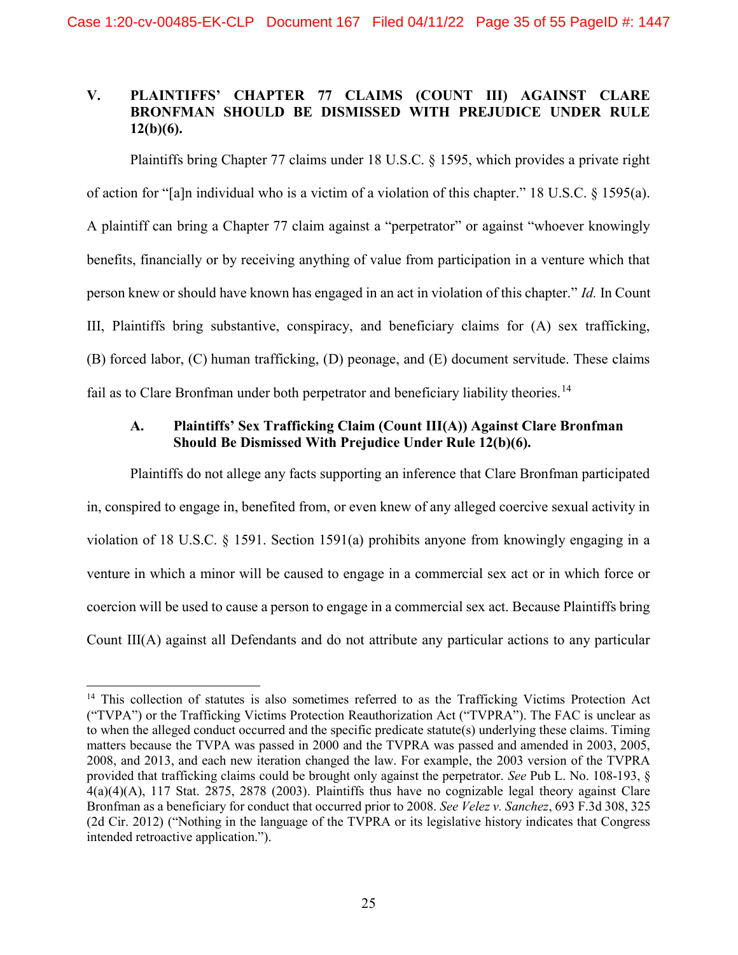# V. PLAINTIFFS' CHAPTER 77 CLAIMS (COUNT III) AGAINST CLARE BRONFMAN SHOULD BE DISMISSED WITH PREJUDICE UNDER RULE  $12(b)(6)$ .

Plaintiffs bring Chapter 77 claims under 18 U.S.C. § 1595, which provides a private right of action for "[a]n individual who is a victim of a violation of this chapter." 18 U.S.C. § 1595(a). A plaintiff can bring a Chapter 77 claim against a "perpetrator" or against "whoever knowingly benefits, financially or by receiving anything of value from participation in a venture which that person knew or should have known has engaged in an act in violation of this chapter." Id. In Count III, Plaintiffs bring substantive, conspiracy, and beneficiary claims for (A) sex trafficking, (B) forced labor, (C) human trafficking, (D) peonage, and (E) document servitude. These claims fail as to Clare Bronfman under both perpetrator and beneficiary liability theories.<sup>14</sup>

# A. Plaintiffs' Sex Trafficking Claim (Count III(A)) Against Clare Bronfman Should Be Dismissed With Prejudice Under Rule 12(b)(6).

Plaintiffs do not allege any facts supporting an inference that Clare Bronfman participated in, conspired to engage in, benefited from, or even knew of any alleged coercive sexual activity in violation of 18 U.S.C. § 1591. Section 1591(a) prohibits anyone from knowingly engaging in a venture in which a minor will be caused to engage in a commercial sex act or in which force or coercion will be used to cause a person to engage in a commercial sex act. Because Plaintiffs bring Count III(A) against all Defendants and do not attribute any particular actions to any particular

 $\overline{a}$ 

<sup>&</sup>lt;sup>14</sup> This collection of statutes is also sometimes referred to as the Trafficking Victims Protection Act ("TVPA") or the Trafficking Victims Protection Reauthorization Act ("TVPRA"). The FAC is unclear as to when the alleged conduct occurred and the specific predicate statute(s) underlying these claims. Timing matters because the TVPA was passed in 2000 and the TVPRA was passed and amended in 2003, 2005, 2008, and 2013, and each new iteration changed the law. For example, the 2003 version of the TVPRA provided that trafficking claims could be brought only against the perpetrator. See Pub L. No. 108-193, §  $4(a)(4)(A)$ , 117 Stat. 2875, 2878 (2003). Plaintiffs thus have no cognizable legal theory against Clare Bronfman as a beneficiary for conduct that occurred prior to 2008. See Velez v. Sanchez, 693 F.3d 308, 325 (2d Cir. 2012) ("Nothing in the language of the TVPRA or its legislative history indicates that Congress intended retroactive application.").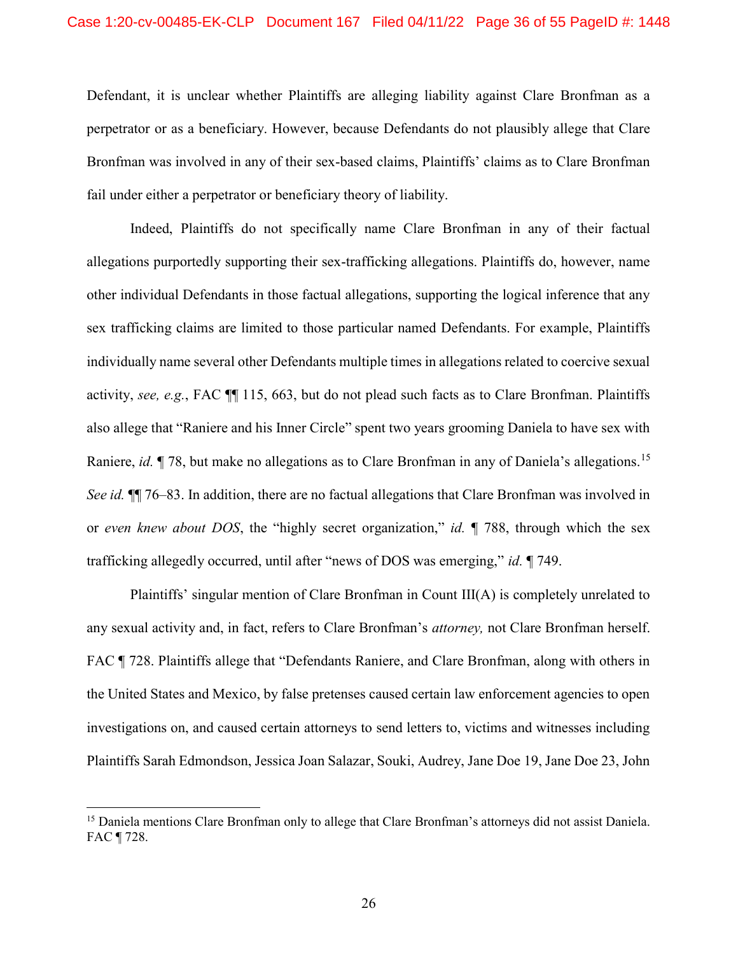Defendant, it is unclear whether Plaintiffs are alleging liability against Clare Bronfman as a perpetrator or as a beneficiary. However, because Defendants do not plausibly allege that Clare Bronfman was involved in any of their sex-based claims, Plaintiffs' claims as to Clare Bronfman fail under either a perpetrator or beneficiary theory of liability.

Indeed, Plaintiffs do not specifically name Clare Bronfman in any of their factual allegations purportedly supporting their sex-trafficking allegations. Plaintiffs do, however, name other individual Defendants in those factual allegations, supporting the logical inference that any sex trafficking claims are limited to those particular named Defendants. For example, Plaintiffs individually name several other Defendants multiple times in allegations related to coercive sexual activity, see, e.g., FAC ¶¶ 115, 663, but do not plead such facts as to Clare Bronfman. Plaintiffs also allege that "Raniere and his Inner Circle" spent two years grooming Daniela to have sex with Raniere, *id.* ¶ 78, but make no allegations as to Clare Bronfman in any of Daniela's allegations.<sup>15</sup> See id.  $\P$  76–83. In addition, there are no factual allegations that Clare Bronfman was involved in or even knew about DOS, the "highly secret organization," id. ¶ 788, through which the sex trafficking allegedly occurred, until after "news of DOS was emerging," id. ¶ 749.

Plaintiffs' singular mention of Clare Bronfman in Count III(A) is completely unrelated to any sexual activity and, in fact, refers to Clare Bronfman's attorney, not Clare Bronfman herself. FAC ¶ 728. Plaintiffs allege that "Defendants Raniere, and Clare Bronfman, along with others in the United States and Mexico, by false pretenses caused certain law enforcement agencies to open investigations on, and caused certain attorneys to send letters to, victims and witnesses including Plaintiffs Sarah Edmondson, Jessica Joan Salazar, Souki, Audrey, Jane Doe 19, Jane Doe 23, John

<sup>&</sup>lt;sup>15</sup> Daniela mentions Clare Bronfman only to allege that Clare Bronfman's attorneys did not assist Daniela. FAC ¶ 728.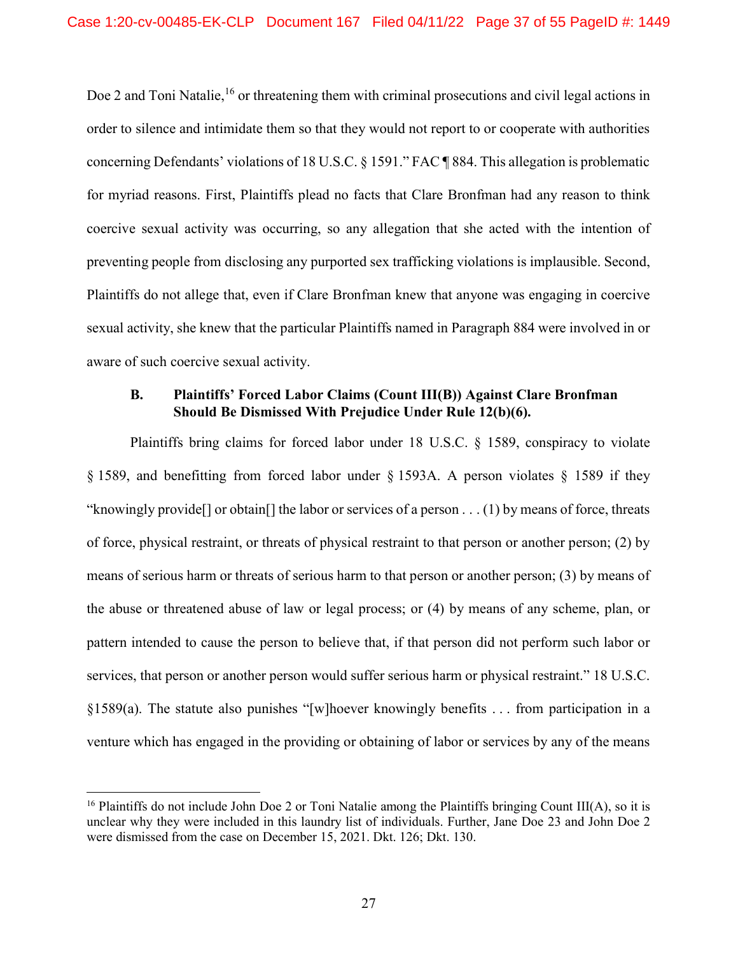Doe 2 and Toni Natalie,<sup>16</sup> or threatening them with criminal prosecutions and civil legal actions in order to silence and intimidate them so that they would not report to or cooperate with authorities concerning Defendants' violations of 18 U.S.C. § 1591." FAC ¶ 884. This allegation is problematic for myriad reasons. First, Plaintiffs plead no facts that Clare Bronfman had any reason to think coercive sexual activity was occurring, so any allegation that she acted with the intention of preventing people from disclosing any purported sex trafficking violations is implausible. Second, Plaintiffs do not allege that, even if Clare Bronfman knew that anyone was engaging in coercive sexual activity, she knew that the particular Plaintiffs named in Paragraph 884 were involved in or aware of such coercive sexual activity.

### B. Plaintiffs' Forced Labor Claims (Count III(B)) Against Clare Bronfman Should Be Dismissed With Prejudice Under Rule 12(b)(6).

Plaintiffs bring claims for forced labor under 18 U.S.C. § 1589, conspiracy to violate § 1589, and benefitting from forced labor under § 1593A. A person violates § 1589 if they "knowingly provide[] or obtain[] the labor or services of a person . . . (1) by means of force, threats of force, physical restraint, or threats of physical restraint to that person or another person; (2) by means of serious harm or threats of serious harm to that person or another person; (3) by means of the abuse or threatened abuse of law or legal process; or (4) by means of any scheme, plan, or pattern intended to cause the person to believe that, if that person did not perform such labor or services, that person or another person would suffer serious harm or physical restraint." 18 U.S.C. §1589(a). The statute also punishes "[w]hoever knowingly benefits . . . from participation in a venture which has engaged in the providing or obtaining of labor or services by any of the means

<sup>&</sup>lt;sup>16</sup> Plaintiffs do not include John Doe 2 or Toni Natalie among the Plaintiffs bringing Count III(A), so it is unclear why they were included in this laundry list of individuals. Further, Jane Doe 23 and John Doe 2 were dismissed from the case on December 15, 2021. Dkt. 126; Dkt. 130.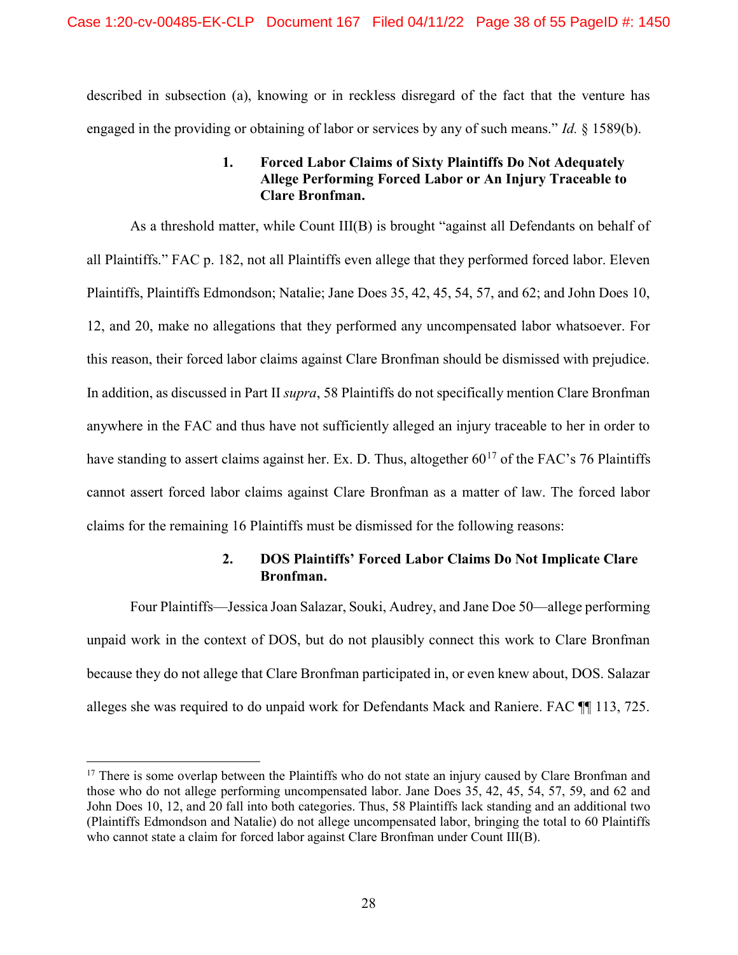described in subsection (a), knowing or in reckless disregard of the fact that the venture has engaged in the providing or obtaining of labor or services by any of such means." *Id.* § 1589(b).

# 1. Forced Labor Claims of Sixty Plaintiffs Do Not Adequately Allege Performing Forced Labor or An Injury Traceable to Clare Bronfman.

As a threshold matter, while Count III(B) is brought "against all Defendants on behalf of all Plaintiffs." FAC p. 182, not all Plaintiffs even allege that they performed forced labor. Eleven Plaintiffs, Plaintiffs Edmondson; Natalie; Jane Does 35, 42, 45, 54, 57, and 62; and John Does 10, 12, and 20, make no allegations that they performed any uncompensated labor whatsoever. For this reason, their forced labor claims against Clare Bronfman should be dismissed with prejudice. In addition, as discussed in Part II supra, 58 Plaintiffs do not specifically mention Clare Bronfman anywhere in the FAC and thus have not sufficiently alleged an injury traceable to her in order to have standing to assert claims against her. Ex. D. Thus, altogether  $60^{17}$  of the FAC's 76 Plaintiffs cannot assert forced labor claims against Clare Bronfman as a matter of law. The forced labor claims for the remaining 16 Plaintiffs must be dismissed for the following reasons:

# 2. DOS Plaintiffs' Forced Labor Claims Do Not Implicate Clare Bronfman.

Four Plaintiffs—Jessica Joan Salazar, Souki, Audrey, and Jane Doe 50—allege performing unpaid work in the context of DOS, but do not plausibly connect this work to Clare Bronfman because they do not allege that Clare Bronfman participated in, or even knew about, DOS. Salazar alleges she was required to do unpaid work for Defendants Mack and Raniere. FAC ¶¶ 113, 725.

<sup>&</sup>lt;sup>17</sup> There is some overlap between the Plaintiffs who do not state an injury caused by Clare Bronfman and those who do not allege performing uncompensated labor. Jane Does 35, 42, 45, 54, 57, 59, and 62 and John Does 10, 12, and 20 fall into both categories. Thus, 58 Plaintiffs lack standing and an additional two (Plaintiffs Edmondson and Natalie) do not allege uncompensated labor, bringing the total to 60 Plaintiffs who cannot state a claim for forced labor against Clare Bronfman under Count III(B).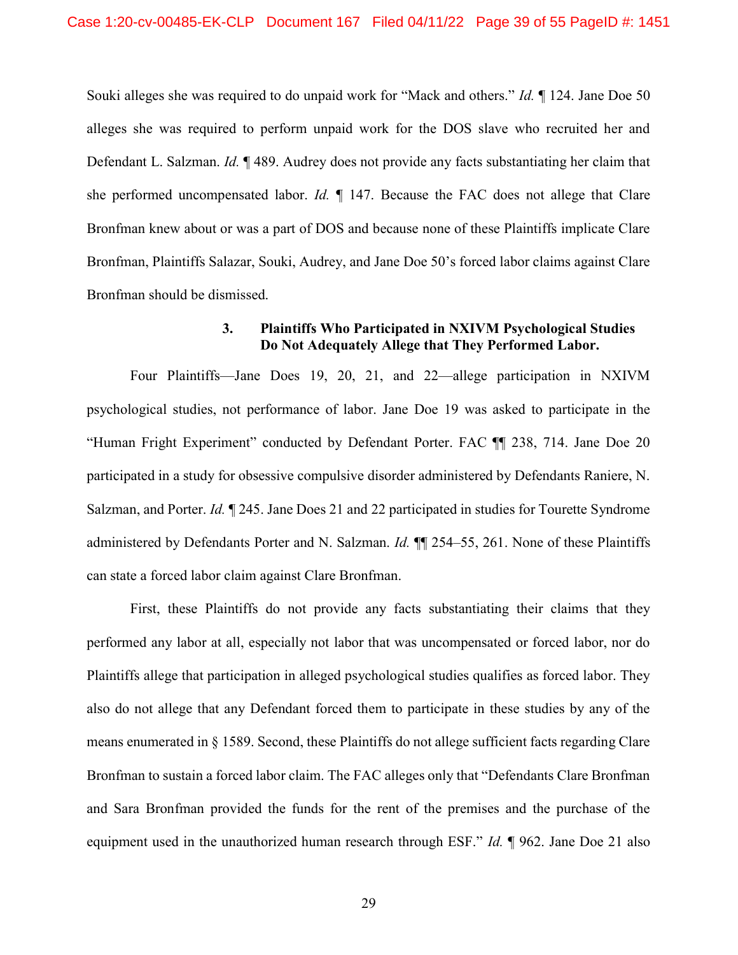Souki alleges she was required to do unpaid work for "Mack and others." Id. ¶ 124. Jane Doe 50 alleges she was required to perform unpaid work for the DOS slave who recruited her and Defendant L. Salzman. Id. ¶ 489. Audrey does not provide any facts substantiating her claim that she performed uncompensated labor. Id.  $\P$  147. Because the FAC does not allege that Clare Bronfman knew about or was a part of DOS and because none of these Plaintiffs implicate Clare Bronfman, Plaintiffs Salazar, Souki, Audrey, and Jane Doe 50's forced labor claims against Clare Bronfman should be dismissed.

## 3. Plaintiffs Who Participated in NXIVM Psychological Studies Do Not Adequately Allege that They Performed Labor.

Four Plaintiffs—Jane Does 19, 20, 21, and 22—allege participation in NXIVM psychological studies, not performance of labor. Jane Doe 19 was asked to participate in the "Human Fright Experiment" conducted by Defendant Porter. FAC ¶¶ 238, 714. Jane Doe 20 participated in a study for obsessive compulsive disorder administered by Defendants Raniere, N. Salzman, and Porter. Id. 1245. Jane Does 21 and 22 participated in studies for Tourette Syndrome administered by Defendants Porter and N. Salzman. *Id.* **[14** 254–55, 261. None of these Plaintiffs can state a forced labor claim against Clare Bronfman.

First, these Plaintiffs do not provide any facts substantiating their claims that they performed any labor at all, especially not labor that was uncompensated or forced labor, nor do Plaintiffs allege that participation in alleged psychological studies qualifies as forced labor. They also do not allege that any Defendant forced them to participate in these studies by any of the means enumerated in § 1589. Second, these Plaintiffs do not allege sufficient facts regarding Clare Bronfman to sustain a forced labor claim. The FAC alleges only that "Defendants Clare Bronfman and Sara Bronfman provided the funds for the rent of the premises and the purchase of the equipment used in the unauthorized human research through ESF." *Id.* 1962. Jane Doe 21 also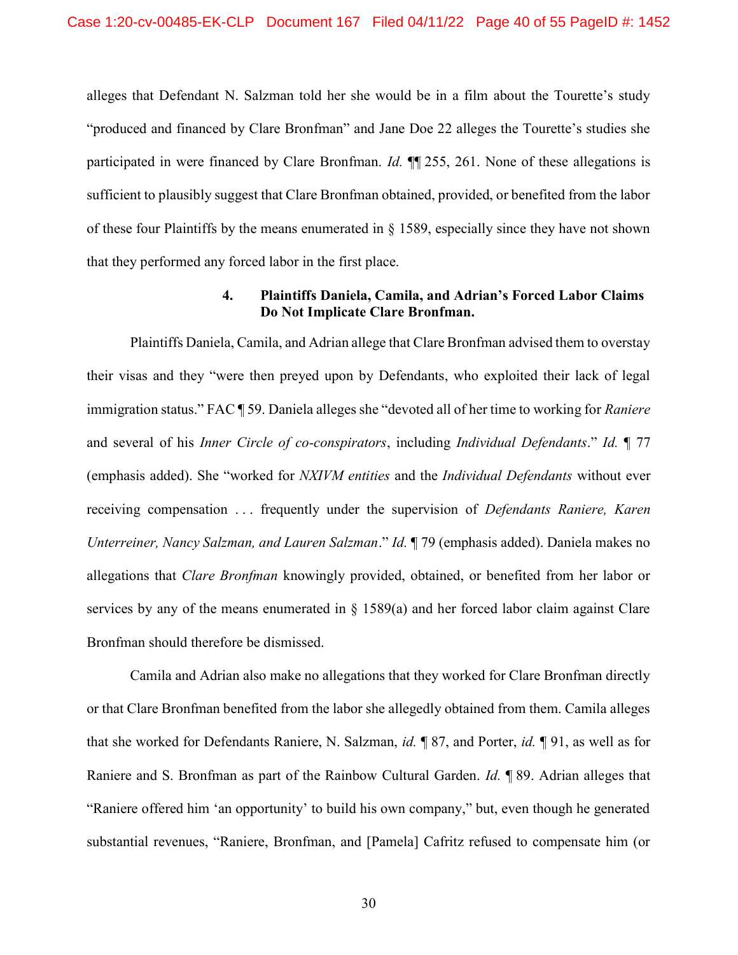alleges that Defendant N. Salzman told her she would be in a film about the Tourette's study "produced and financed by Clare Bronfman" and Jane Doe 22 alleges the Tourette's studies she participated in were financed by Clare Bronfman. Id.  $\P$  255, 261. None of these allegations is sufficient to plausibly suggest that Clare Bronfman obtained, provided, or benefited from the labor of these four Plaintiffs by the means enumerated in  $\S$  1589, especially since they have not shown that they performed any forced labor in the first place.

#### 4. Plaintiffs Daniela, Camila, and Adrian's Forced Labor Claims Do Not Implicate Clare Bronfman.

Plaintiffs Daniela, Camila, and Adrian allege that Clare Bronfman advised them to overstay their visas and they "were then preyed upon by Defendants, who exploited their lack of legal immigration status." FAC ¶ 59. Daniela alleges she "devoted all of her time to working for Raniere and several of his Inner Circle of co-conspirators, including Individual Defendants." Id. ¶ 77 (emphasis added). She "worked for NXIVM entities and the Individual Defendants without ever receiving compensation ... frequently under the supervision of *Defendants Raniere, Karen* Unterreiner, Nancy Salzman, and Lauren Salzman." Id. ¶ 79 (emphasis added). Daniela makes no allegations that Clare Bronfman knowingly provided, obtained, or benefited from her labor or services by any of the means enumerated in  $\S$  1589(a) and her forced labor claim against Clare Bronfman should therefore be dismissed.

Camila and Adrian also make no allegations that they worked for Clare Bronfman directly or that Clare Bronfman benefited from the labor she allegedly obtained from them. Camila alleges that she worked for Defendants Raniere, N. Salzman, id. ¶ 87, and Porter, id. ¶ 91, as well as for Raniere and S. Bronfman as part of the Rainbow Cultural Garden. Id. ¶ 89. Adrian alleges that "Raniere offered him 'an opportunity' to build his own company," but, even though he generated substantial revenues, "Raniere, Bronfman, and [Pamela] Cafritz refused to compensate him (or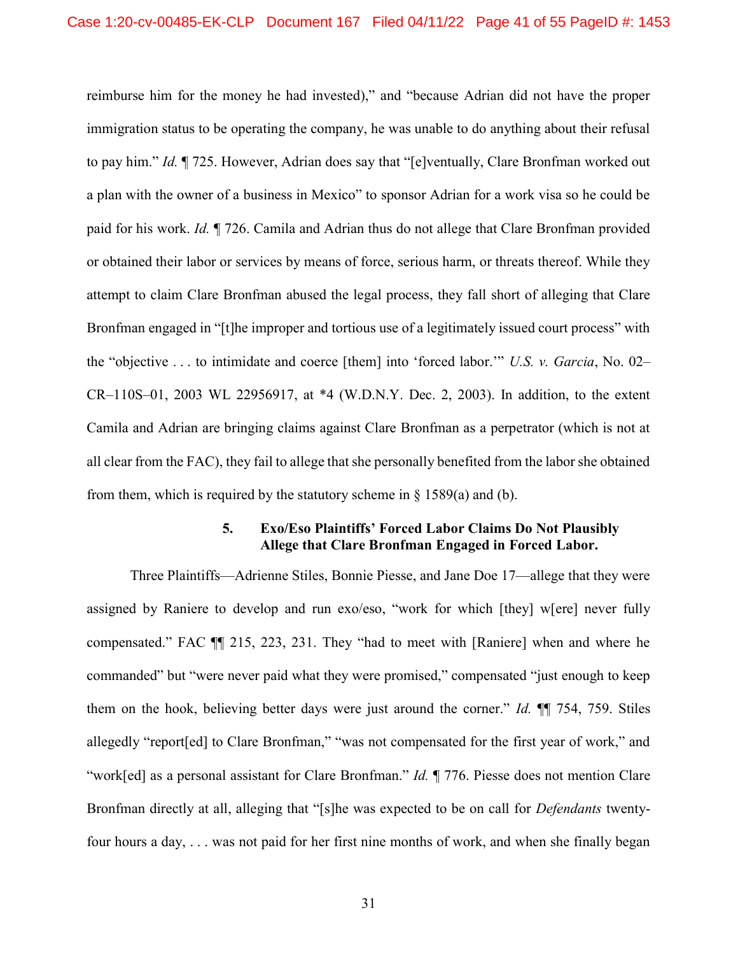reimburse him for the money he had invested)," and "because Adrian did not have the proper immigration status to be operating the company, he was unable to do anything about their refusal to pay him." Id.  $\P$  725. However, Adrian does say that "[e]ventually, Clare Bronfman worked out a plan with the owner of a business in Mexico" to sponsor Adrian for a work visa so he could be paid for his work. Id. ¶ 726. Camila and Adrian thus do not allege that Clare Bronfman provided or obtained their labor or services by means of force, serious harm, or threats thereof. While they attempt to claim Clare Bronfman abused the legal process, they fall short of alleging that Clare Bronfman engaged in "[t]he improper and tortious use of a legitimately issued court process" with the "objective . . . to intimidate and coerce [them] into 'forced labor.'" U.S. v. Garcia, No. 02– CR–110S–01, 2003 WL 22956917, at \*4 (W.D.N.Y. Dec. 2, 2003). In addition, to the extent Camila and Adrian are bringing claims against Clare Bronfman as a perpetrator (which is not at all clear from the FAC), they fail to allege that she personally benefited from the labor she obtained from them, which is required by the statutory scheme in  $\S$  1589(a) and (b).

#### 5. Exo/Eso Plaintiffs' Forced Labor Claims Do Not Plausibly Allege that Clare Bronfman Engaged in Forced Labor.

Three Plaintiffs—Adrienne Stiles, Bonnie Piesse, and Jane Doe 17—allege that they were assigned by Raniere to develop and run exo/eso, "work for which [they] w[ere] never fully compensated." FAC ¶¶ 215, 223, 231. They "had to meet with [Raniere] when and where he commanded" but "were never paid what they were promised," compensated "just enough to keep them on the hook, believing better days were just around the corner." Id. ¶¶ 754, 759. Stiles allegedly "report[ed] to Clare Bronfman," "was not compensated for the first year of work," and "work[ed] as a personal assistant for Clare Bronfman." Id. ¶ 776. Piesse does not mention Clare Bronfman directly at all, alleging that "[s]he was expected to be on call for Defendants twentyfour hours a day, . . . was not paid for her first nine months of work, and when she finally began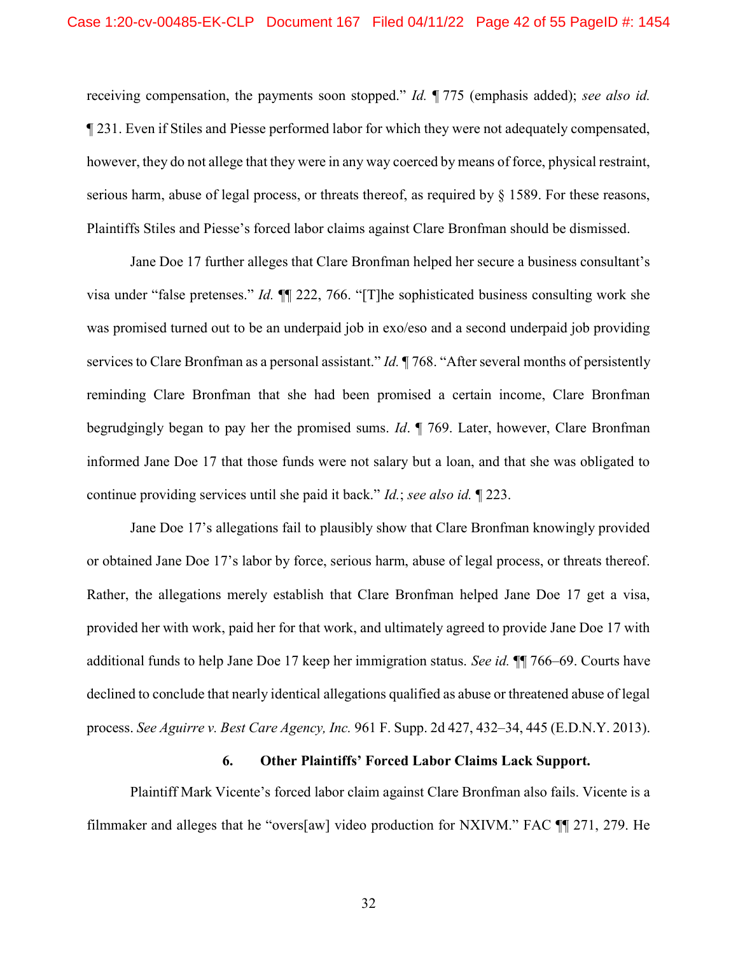receiving compensation, the payments soon stopped." Id. ¶ 775 (emphasis added); see also id. ¶ 231. Even if Stiles and Piesse performed labor for which they were not adequately compensated, however, they do not allege that they were in any way coerced by means of force, physical restraint, serious harm, abuse of legal process, or threats thereof, as required by  $\S$  1589. For these reasons, Plaintiffs Stiles and Piesse's forced labor claims against Clare Bronfman should be dismissed.

Jane Doe 17 further alleges that Clare Bronfman helped her secure a business consultant's visa under "false pretenses." Id. ¶¶ 222, 766. "[T]he sophisticated business consulting work she was promised turned out to be an underpaid job in exo/eso and a second underpaid job providing services to Clare Bronfman as a personal assistant."  $Id$ .  $\P$  768. "After several months of persistently reminding Clare Bronfman that she had been promised a certain income, Clare Bronfman begrudgingly began to pay her the promised sums. Id. ¶ 769. Later, however, Clare Bronfman informed Jane Doe 17 that those funds were not salary but a loan, and that she was obligated to continue providing services until she paid it back." Id.; see also id. ¶ 223.

Jane Doe 17's allegations fail to plausibly show that Clare Bronfman knowingly provided or obtained Jane Doe 17's labor by force, serious harm, abuse of legal process, or threats thereof. Rather, the allegations merely establish that Clare Bronfman helped Jane Doe 17 get a visa, provided her with work, paid her for that work, and ultimately agreed to provide Jane Doe 17 with additional funds to help Jane Doe 17 keep her immigration status. See id. ¶¶ 766–69. Courts have declined to conclude that nearly identical allegations qualified as abuse or threatened abuse of legal process. See Aguirre v. Best Care Agency, Inc. 961 F. Supp. 2d 427, 432–34, 445 (E.D.N.Y. 2013).

#### 6. Other Plaintiffs' Forced Labor Claims Lack Support.

Plaintiff Mark Vicente's forced labor claim against Clare Bronfman also fails. Vicente is a filmmaker and alleges that he "overs[aw] video production for NXIVM." FAC ¶¶ 271, 279. He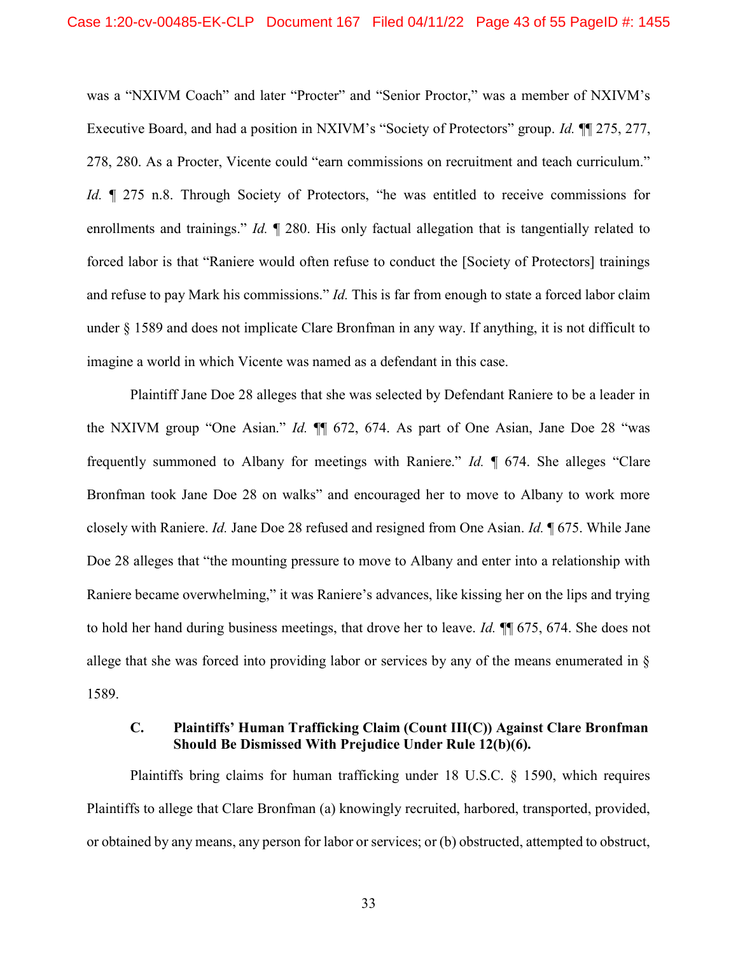was a "NXIVM Coach" and later "Procter" and "Senior Proctor," was a member of NXIVM's Executive Board, and had a position in NXIVM's "Society of Protectors" group. *Id.* ¶ 275, 277, 278, 280. As a Procter, Vicente could "earn commissions on recruitment and teach curriculum." Id.  $\parallel$  275 n.8. Through Society of Protectors, "he was entitled to receive commissions for enrollments and trainings." *Id.*  $\llbracket$  280. His only factual allegation that is tangentially related to forced labor is that "Raniere would often refuse to conduct the [Society of Protectors] trainings and refuse to pay Mark his commissions." *Id*. This is far from enough to state a forced labor claim under § 1589 and does not implicate Clare Bronfman in any way. If anything, it is not difficult to imagine a world in which Vicente was named as a defendant in this case.

Plaintiff Jane Doe 28 alleges that she was selected by Defendant Raniere to be a leader in the NXIVM group "One Asian." Id. ¶¶ 672, 674. As part of One Asian, Jane Doe 28 "was frequently summoned to Albany for meetings with Raniere." Id. ¶ 674. She alleges "Clare Bronfman took Jane Doe 28 on walks" and encouraged her to move to Albany to work more closely with Raniere. Id. Jane Doe 28 refused and resigned from One Asian. Id. ¶ 675. While Jane Doe 28 alleges that "the mounting pressure to move to Albany and enter into a relationship with Raniere became overwhelming," it was Raniere's advances, like kissing her on the lips and trying to hold her hand during business meetings, that drove her to leave. Id. ¶¶ 675, 674. She does not allege that she was forced into providing labor or services by any of the means enumerated in § 1589.

## C. Plaintiffs' Human Trafficking Claim (Count III(C)) Against Clare Bronfman Should Be Dismissed With Prejudice Under Rule 12(b)(6).

Plaintiffs bring claims for human trafficking under 18 U.S.C. § 1590, which requires Plaintiffs to allege that Clare Bronfman (a) knowingly recruited, harbored, transported, provided, or obtained by any means, any person for labor or services; or (b) obstructed, attempted to obstruct,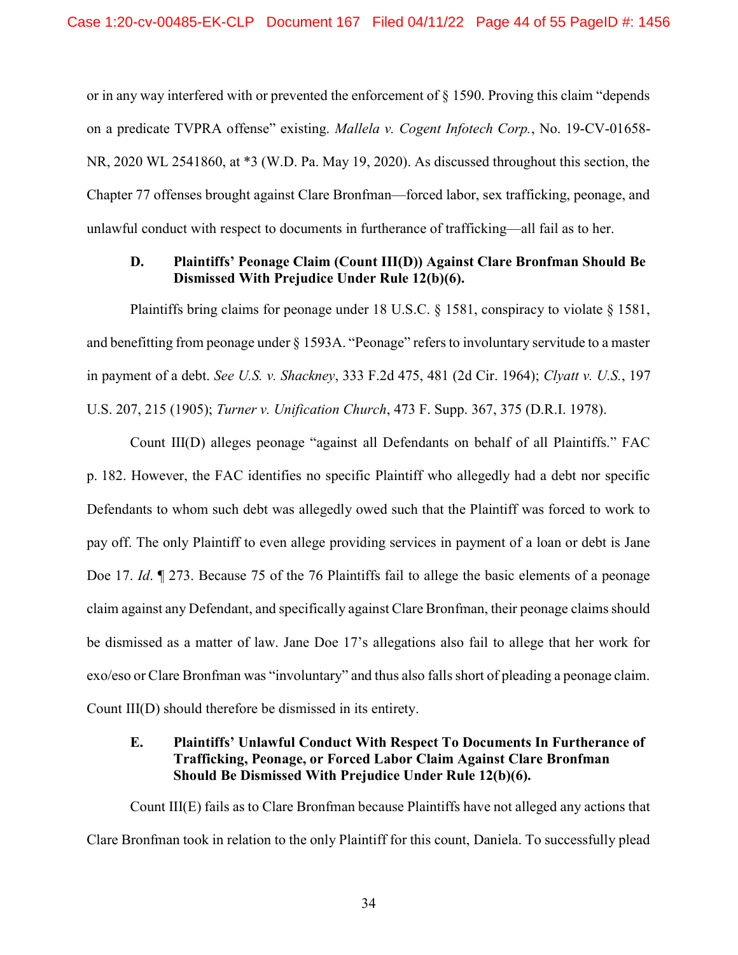or in any way interfered with or prevented the enforcement of § 1590. Proving this claim "depends on a predicate TVPRA offense" existing. Mallela v. Cogent Infotech Corp., No. 19-CV-01658- NR, 2020 WL 2541860, at \*3 (W.D. Pa. May 19, 2020). As discussed throughout this section, the Chapter 77 offenses brought against Clare Bronfman—forced labor, sex trafficking, peonage, and unlawful conduct with respect to documents in furtherance of trafficking—all fail as to her.

#### D. Plaintiffs' Peonage Claim (Count III(D)) Against Clare Bronfman Should Be Dismissed With Prejudice Under Rule 12(b)(6).

Plaintiffs bring claims for peonage under 18 U.S.C. § 1581, conspiracy to violate § 1581, and benefitting from peonage under § 1593A. "Peonage" refers to involuntary servitude to a master in payment of a debt. See U.S. v. Shackney, 333 F.2d 475, 481 (2d Cir. 1964); Clyatt v. U.S., 197 U.S. 207, 215 (1905); Turner v. Unification Church, 473 F. Supp. 367, 375 (D.R.I. 1978).

Count III(D) alleges peonage "against all Defendants on behalf of all Plaintiffs." FAC p. 182. However, the FAC identifies no specific Plaintiff who allegedly had a debt nor specific Defendants to whom such debt was allegedly owed such that the Plaintiff was forced to work to pay off. The only Plaintiff to even allege providing services in payment of a loan or debt is Jane Doe 17. *Id.*  $\parallel$  273. Because 75 of the 76 Plaintiffs fail to allege the basic elements of a peonage claim against any Defendant, and specifically against Clare Bronfman, their peonage claims should be dismissed as a matter of law. Jane Doe 17's allegations also fail to allege that her work for exo/eso or Clare Bronfman was "involuntary" and thus also falls short of pleading a peonage claim. Count III(D) should therefore be dismissed in its entirety.

# E. Plaintiffs' Unlawful Conduct With Respect To Documents In Furtherance of Trafficking, Peonage, or Forced Labor Claim Against Clare Bronfman Should Be Dismissed With Prejudice Under Rule 12(b)(6).

Count III(E) fails as to Clare Bronfman because Plaintiffs have not alleged any actions that Clare Bronfman took in relation to the only Plaintiff for this count, Daniela. To successfully plead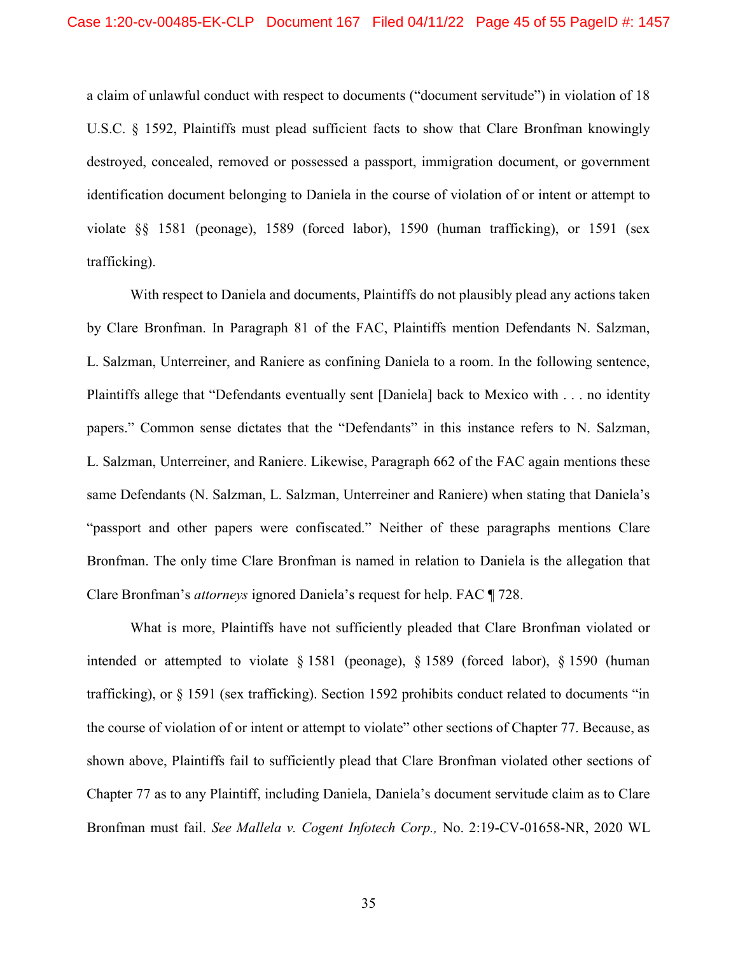a claim of unlawful conduct with respect to documents ("document servitude") in violation of 18 U.S.C. § 1592, Plaintiffs must plead sufficient facts to show that Clare Bronfman knowingly destroyed, concealed, removed or possessed a passport, immigration document, or government identification document belonging to Daniela in the course of violation of or intent or attempt to violate §§ 1581 (peonage), 1589 (forced labor), 1590 (human trafficking), or 1591 (sex trafficking).

With respect to Daniela and documents, Plaintiffs do not plausibly plead any actions taken by Clare Bronfman. In Paragraph 81 of the FAC, Plaintiffs mention Defendants N. Salzman, L. Salzman, Unterreiner, and Raniere as confining Daniela to a room. In the following sentence, Plaintiffs allege that "Defendants eventually sent [Daniela] back to Mexico with . . . no identity papers." Common sense dictates that the "Defendants" in this instance refers to N. Salzman, L. Salzman, Unterreiner, and Raniere. Likewise, Paragraph 662 of the FAC again mentions these same Defendants (N. Salzman, L. Salzman, Unterreiner and Raniere) when stating that Daniela's "passport and other papers were confiscated." Neither of these paragraphs mentions Clare Bronfman. The only time Clare Bronfman is named in relation to Daniela is the allegation that Clare Bronfman's attorneys ignored Daniela's request for help. FAC ¶ 728.

What is more, Plaintiffs have not sufficiently pleaded that Clare Bronfman violated or intended or attempted to violate § 1581 (peonage), § 1589 (forced labor), § 1590 (human trafficking), or § 1591 (sex trafficking). Section 1592 prohibits conduct related to documents "in the course of violation of or intent or attempt to violate" other sections of Chapter 77. Because, as shown above, Plaintiffs fail to sufficiently plead that Clare Bronfman violated other sections of Chapter 77 as to any Plaintiff, including Daniela, Daniela's document servitude claim as to Clare Bronfman must fail. See Mallela v. Cogent Infotech Corp., No. 2:19-CV-01658-NR, 2020 WL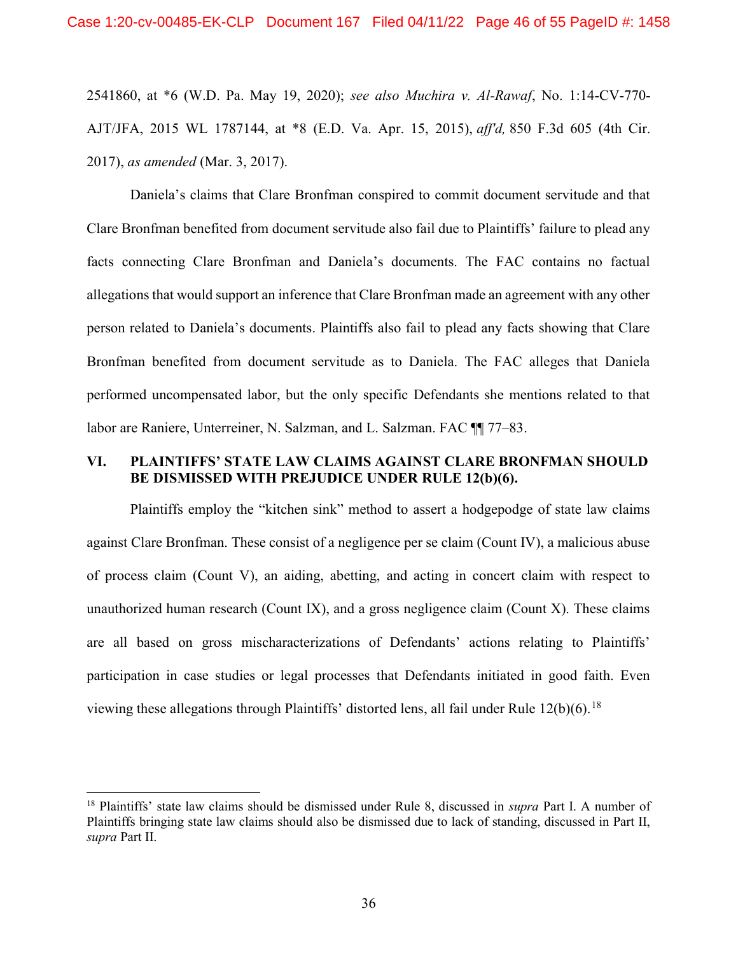2541860, at \*6 (W.D. Pa. May 19, 2020); see also Muchira v. Al-Rawaf, No. 1:14-CV-770- AJT/JFA, 2015 WL 1787144, at \*8 (E.D. Va. Apr. 15, 2015), aff'd, 850 F.3d 605 (4th Cir. 2017), as amended (Mar. 3, 2017).

Daniela's claims that Clare Bronfman conspired to commit document servitude and that Clare Bronfman benefited from document servitude also fail due to Plaintiffs' failure to plead any facts connecting Clare Bronfman and Daniela's documents. The FAC contains no factual allegations that would support an inference that Clare Bronfman made an agreement with any other person related to Daniela's documents. Plaintiffs also fail to plead any facts showing that Clare Bronfman benefited from document servitude as to Daniela. The FAC alleges that Daniela performed uncompensated labor, but the only specific Defendants she mentions related to that labor are Raniere, Unterreiner, N. Salzman, and L. Salzman. FAC ¶¶ 77–83.

### VI. PLAINTIFFS' STATE LAW CLAIMS AGAINST CLARE BRONFMAN SHOULD BE DISMISSED WITH PREJUDICE UNDER RULE 12(b)(6).

Plaintiffs employ the "kitchen sink" method to assert a hodgepodge of state law claims against Clare Bronfman. These consist of a negligence per se claim (Count IV), a malicious abuse of process claim (Count V), an aiding, abetting, and acting in concert claim with respect to unauthorized human research (Count IX), and a gross negligence claim (Count X). These claims are all based on gross mischaracterizations of Defendants' actions relating to Plaintiffs' participation in case studies or legal processes that Defendants initiated in good faith. Even viewing these allegations through Plaintiffs' distorted lens, all fail under Rule 12(b)(6).<sup>18</sup>

<sup>&</sup>lt;sup>18</sup> Plaintiffs' state law claims should be dismissed under Rule 8, discussed in *supra* Part I. A number of Plaintiffs bringing state law claims should also be dismissed due to lack of standing, discussed in Part II, supra Part II.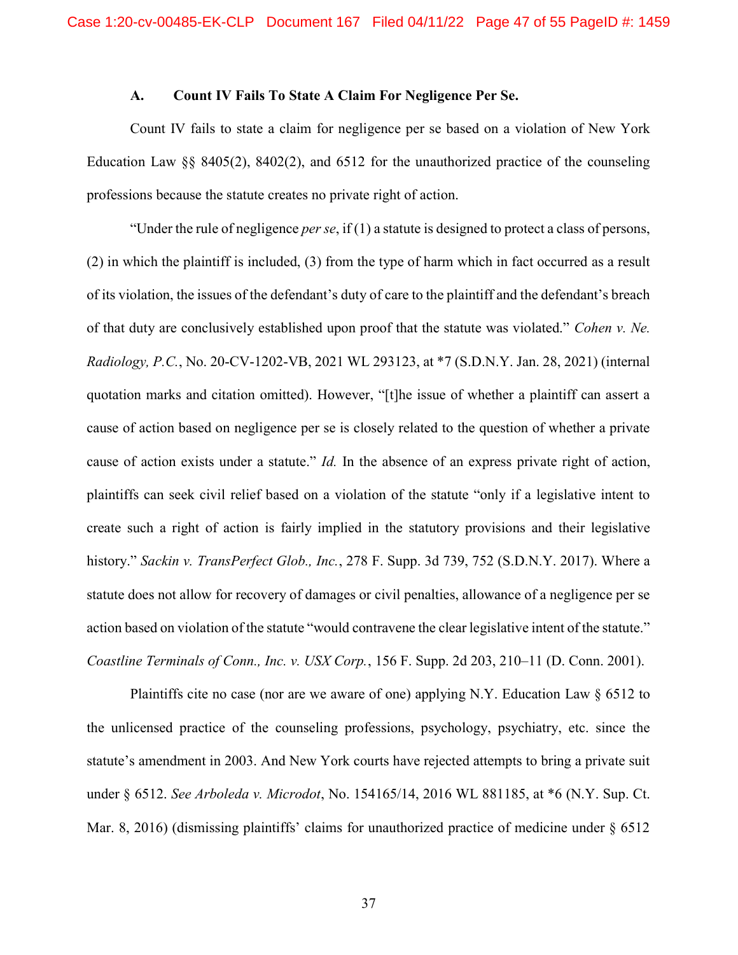### A. Count IV Fails To State A Claim For Negligence Per Se.

Count IV fails to state a claim for negligence per se based on a violation of New York Education Law §§ 8405(2), 8402(2), and 6512 for the unauthorized practice of the counseling professions because the statute creates no private right of action.

"Under the rule of negligence *per se*, if  $(1)$  a statute is designed to protect a class of persons, (2) in which the plaintiff is included, (3) from the type of harm which in fact occurred as a result of its violation, the issues of the defendant's duty of care to the plaintiff and the defendant's breach of that duty are conclusively established upon proof that the statute was violated." Cohen v. Ne. Radiology, P.C., No. 20-CV-1202-VB, 2021 WL 293123, at \*7 (S.D.N.Y. Jan. 28, 2021) (internal quotation marks and citation omitted). However, "[t]he issue of whether a plaintiff can assert a cause of action based on negligence per se is closely related to the question of whether a private cause of action exists under a statute." Id. In the absence of an express private right of action, plaintiffs can seek civil relief based on a violation of the statute "only if a legislative intent to create such a right of action is fairly implied in the statutory provisions and their legislative history." Sackin v. TransPerfect Glob., Inc., 278 F. Supp. 3d 739, 752 (S.D.N.Y. 2017). Where a statute does not allow for recovery of damages or civil penalties, allowance of a negligence per se action based on violation of the statute "would contravene the clear legislative intent of the statute." Coastline Terminals of Conn., Inc. v. USX Corp., 156 F. Supp. 2d 203, 210–11 (D. Conn. 2001).

Plaintiffs cite no case (nor are we aware of one) applying N.Y. Education Law § 6512 to the unlicensed practice of the counseling professions, psychology, psychiatry, etc. since the statute's amendment in 2003. And New York courts have rejected attempts to bring a private suit under § 6512. See Arboleda v. Microdot, No. 154165/14, 2016 WL 881185, at \*6 (N.Y. Sup. Ct. Mar. 8, 2016) (dismissing plaintiffs' claims for unauthorized practice of medicine under  $\S$  6512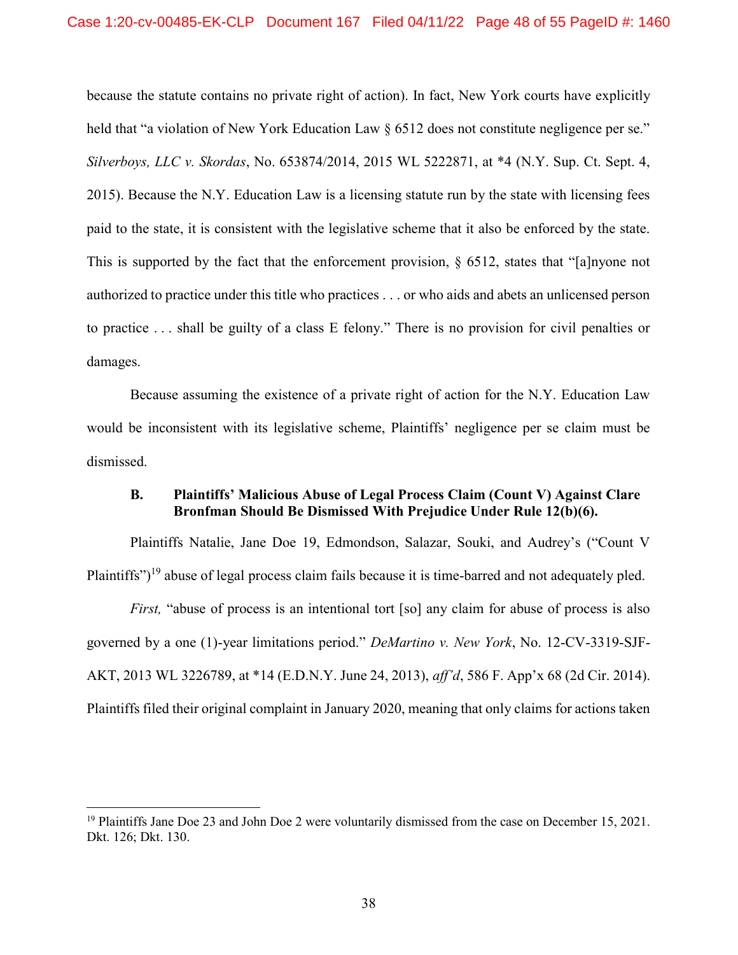because the statute contains no private right of action). In fact, New York courts have explicitly held that "a violation of New York Education Law § 6512 does not constitute negligence per se." Silverboys, LLC v. Skordas, No. 653874/2014, 2015 WL 5222871, at \*4 (N.Y. Sup. Ct. Sept. 4, 2015). Because the N.Y. Education Law is a licensing statute run by the state with licensing fees paid to the state, it is consistent with the legislative scheme that it also be enforced by the state. This is supported by the fact that the enforcement provision, § 6512, states that "[a]nyone not authorized to practice under this title who practices . . . or who aids and abets an unlicensed person to practice . . . shall be guilty of a class E felony." There is no provision for civil penalties or damages.

Because assuming the existence of a private right of action for the N.Y. Education Law would be inconsistent with its legislative scheme, Plaintiffs' negligence per se claim must be dismissed.

## B. Plaintiffs' Malicious Abuse of Legal Process Claim (Count V) Against Clare Bronfman Should Be Dismissed With Prejudice Under Rule 12(b)(6).

Plaintiffs Natalie, Jane Doe 19, Edmondson, Salazar, Souki, and Audrey's ("Count V Plaintiffs")<sup>19</sup> abuse of legal process claim fails because it is time-barred and not adequately pled.

First, "abuse of process is an intentional tort [so] any claim for abuse of process is also governed by a one (1)-year limitations period." DeMartino v. New York, No. 12-CV-3319-SJF-AKT, 2013 WL 3226789, at \*14 (E.D.N.Y. June 24, 2013), aff'd, 586 F. App'x 68 (2d Cir. 2014). Plaintiffs filed their original complaint in January 2020, meaning that only claims for actions taken

-

<sup>&</sup>lt;sup>19</sup> Plaintiffs Jane Doe 23 and John Doe 2 were voluntarily dismissed from the case on December 15, 2021. Dkt. 126; Dkt. 130.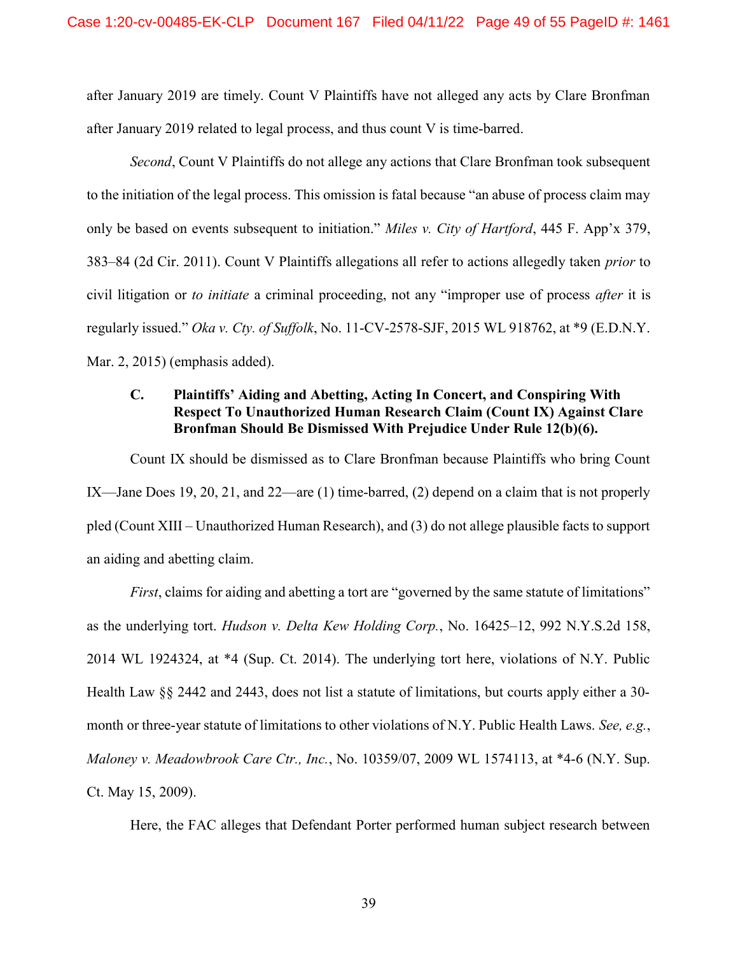after January 2019 are timely. Count V Plaintiffs have not alleged any acts by Clare Bronfman after January 2019 related to legal process, and thus count V is time-barred.

Second, Count V Plaintiffs do not allege any actions that Clare Bronfman took subsequent to the initiation of the legal process. This omission is fatal because "an abuse of process claim may only be based on events subsequent to initiation." Miles v. City of Hartford, 445 F. App'x 379, 383–84 (2d Cir. 2011). Count V Plaintiffs allegations all refer to actions allegedly taken prior to civil litigation or to *initiate* a criminal proceeding, not any "improper use of process *after* it is regularly issued." Oka v. Cty. of Suffolk, No. 11-CV-2578-SJF, 2015 WL 918762, at \*9 (E.D.N.Y. Mar. 2, 2015) (emphasis added).

# C. Plaintiffs' Aiding and Abetting, Acting In Concert, and Conspiring With Respect To Unauthorized Human Research Claim (Count IX) Against Clare Bronfman Should Be Dismissed With Prejudice Under Rule 12(b)(6).

Count IX should be dismissed as to Clare Bronfman because Plaintiffs who bring Count IX—Jane Does 19, 20, 21, and 22—are (1) time-barred, (2) depend on a claim that is not properly pled (Count XIII – Unauthorized Human Research), and (3) do not allege plausible facts to support an aiding and abetting claim.

First, claims for aiding and abetting a tort are "governed by the same statute of limitations" as the underlying tort. Hudson v. Delta Kew Holding Corp., No. 16425–12, 992 N.Y.S.2d 158, 2014 WL 1924324, at \*4 (Sup. Ct. 2014). The underlying tort here, violations of N.Y. Public Health Law §§ 2442 and 2443, does not list a statute of limitations, but courts apply either a 30 month or three-year statute of limitations to other violations of N.Y. Public Health Laws. See, e.g., Maloney v. Meadowbrook Care Ctr., Inc., No. 10359/07, 2009 WL 1574113, at \*4-6 (N.Y. Sup. Ct. May 15, 2009).

Here, the FAC alleges that Defendant Porter performed human subject research between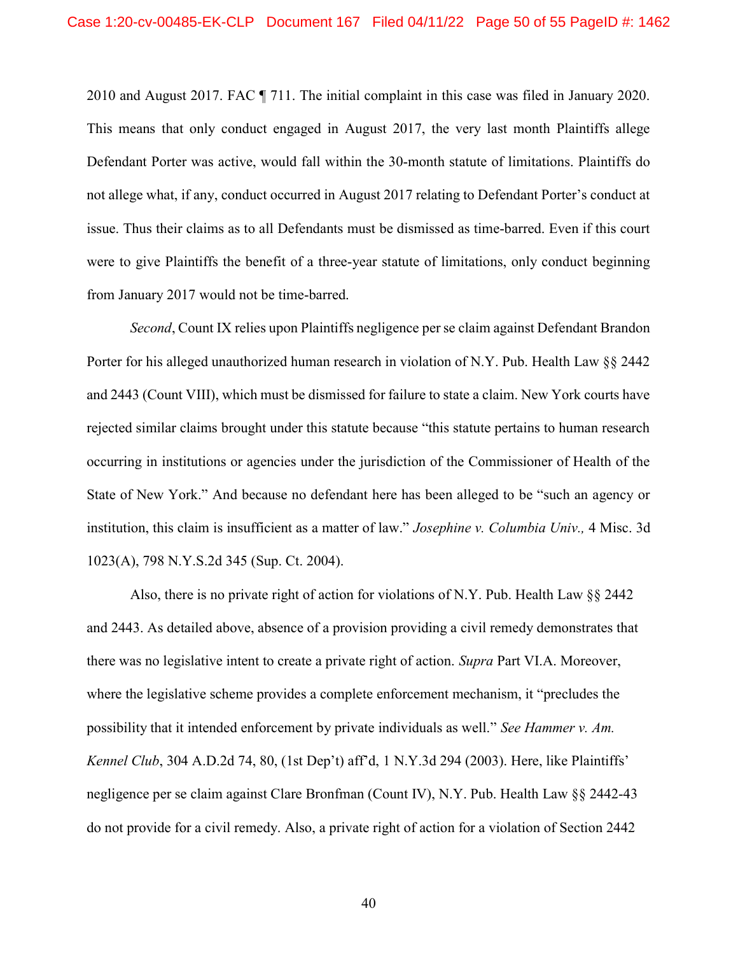2010 and August 2017. FAC ¶ 711. The initial complaint in this case was filed in January 2020. This means that only conduct engaged in August 2017, the very last month Plaintiffs allege Defendant Porter was active, would fall within the 30-month statute of limitations. Plaintiffs do not allege what, if any, conduct occurred in August 2017 relating to Defendant Porter's conduct at issue. Thus their claims as to all Defendants must be dismissed as time-barred. Even if this court were to give Plaintiffs the benefit of a three-year statute of limitations, only conduct beginning from January 2017 would not be time-barred.

Second, Count IX relies upon Plaintiffs negligence per se claim against Defendant Brandon Porter for his alleged unauthorized human research in violation of N.Y. Pub. Health Law §§ 2442 and 2443 (Count VIII), which must be dismissed for failure to state a claim. New York courts have rejected similar claims brought under this statute because "this statute pertains to human research occurring in institutions or agencies under the jurisdiction of the Commissioner of Health of the State of New York." And because no defendant here has been alleged to be "such an agency or institution, this claim is insufficient as a matter of law." *Josephine v. Columbia Univ.*, 4 Misc. 3d 1023(A), 798 N.Y.S.2d 345 (Sup. Ct. 2004).

Also, there is no private right of action for violations of N.Y. Pub. Health Law §§ 2442 and 2443. As detailed above, absence of a provision providing a civil remedy demonstrates that there was no legislative intent to create a private right of action. Supra Part VI.A. Moreover, where the legislative scheme provides a complete enforcement mechanism, it "precludes the possibility that it intended enforcement by private individuals as well." See Hammer v. Am. Kennel Club, 304 A.D.2d 74, 80, (1st Dep't) aff'd, 1 N.Y.3d 294 (2003). Here, like Plaintiffs' negligence per se claim against Clare Bronfman (Count IV), N.Y. Pub. Health Law §§ 2442-43 do not provide for a civil remedy. Also, a private right of action for a violation of Section 2442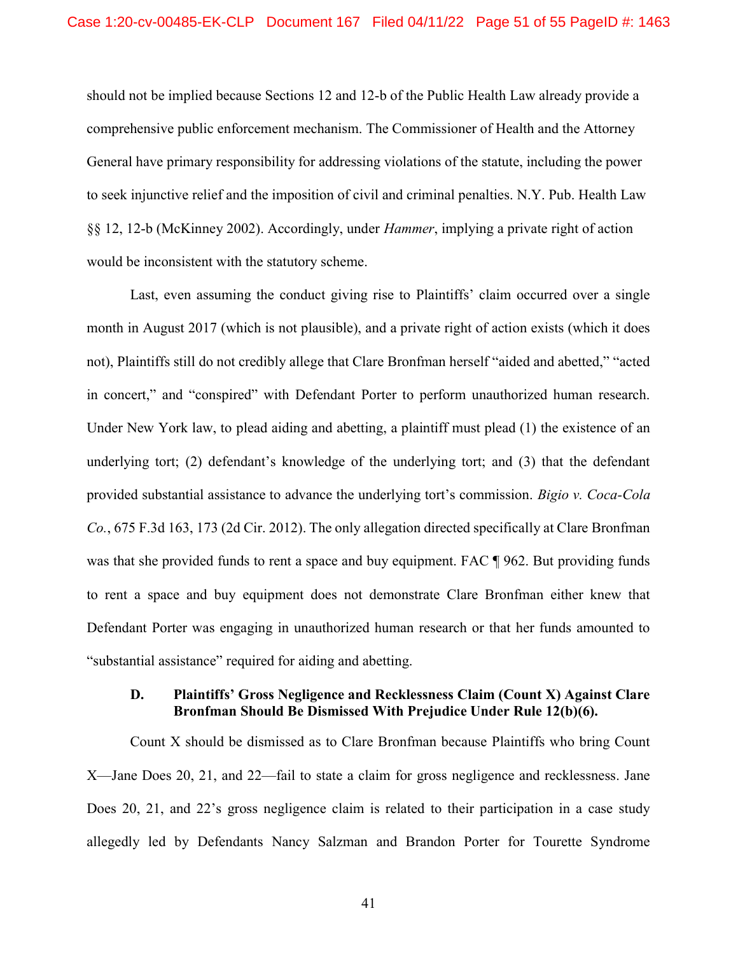should not be implied because Sections 12 and 12-b of the Public Health Law already provide a comprehensive public enforcement mechanism. The Commissioner of Health and the Attorney General have primary responsibility for addressing violations of the statute, including the power to seek injunctive relief and the imposition of civil and criminal penalties. N.Y. Pub. Health Law §§ 12, 12-b (McKinney 2002). Accordingly, under Hammer, implying a private right of action would be inconsistent with the statutory scheme.

Last, even assuming the conduct giving rise to Plaintiffs' claim occurred over a single month in August 2017 (which is not plausible), and a private right of action exists (which it does not), Plaintiffs still do not credibly allege that Clare Bronfman herself "aided and abetted," "acted in concert," and "conspired" with Defendant Porter to perform unauthorized human research. Under New York law, to plead aiding and abetting, a plaintiff must plead (1) the existence of an underlying tort; (2) defendant's knowledge of the underlying tort; and (3) that the defendant provided substantial assistance to advance the underlying tort's commission. Bigio v. Coca-Cola Co., 675 F.3d 163, 173 (2d Cir. 2012). The only allegation directed specifically at Clare Bronfman was that she provided funds to rent a space and buy equipment. FAC ¶ 962. But providing funds to rent a space and buy equipment does not demonstrate Clare Bronfman either knew that Defendant Porter was engaging in unauthorized human research or that her funds amounted to "substantial assistance" required for aiding and abetting.

## D. Plaintiffs' Gross Negligence and Recklessness Claim (Count X) Against Clare Bronfman Should Be Dismissed With Prejudice Under Rule 12(b)(6).

Count X should be dismissed as to Clare Bronfman because Plaintiffs who bring Count X—Jane Does 20, 21, and 22—fail to state a claim for gross negligence and recklessness. Jane Does 20, 21, and 22's gross negligence claim is related to their participation in a case study allegedly led by Defendants Nancy Salzman and Brandon Porter for Tourette Syndrome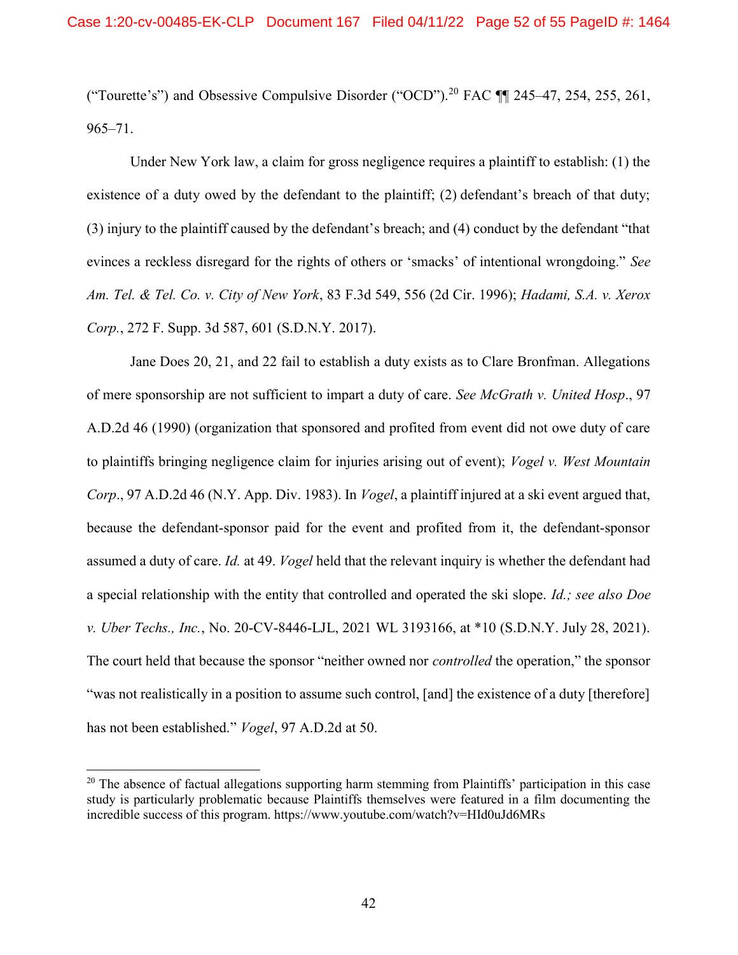("Tourette's") and Obsessive Compulsive Disorder ("OCD").<sup>20</sup> FAC ¶¶ 245–47, 254, 255, 261, 965–71.

Under New York law, a claim for gross negligence requires a plaintiff to establish: (1) the existence of a duty owed by the defendant to the plaintiff; (2) defendant's breach of that duty; (3) injury to the plaintiff caused by the defendant's breach; and (4) conduct by the defendant "that evinces a reckless disregard for the rights of others or 'smacks' of intentional wrongdoing." See Am. Tel. & Tel. Co. v. City of New York, 83 F.3d 549, 556 (2d Cir. 1996); Hadami, S.A. v. Xerox Corp., 272 F. Supp. 3d 587, 601 (S.D.N.Y. 2017).

Jane Does 20, 21, and 22 fail to establish a duty exists as to Clare Bronfman. Allegations of mere sponsorship are not sufficient to impart a duty of care. See McGrath v. United Hosp., 97 A.D.2d 46 (1990) (organization that sponsored and profited from event did not owe duty of care to plaintiffs bringing negligence claim for injuries arising out of event); Vogel v. West Mountain Corp., 97 A.D.2d 46 (N.Y. App. Div. 1983). In *Vogel*, a plaintiff injured at a ski event argued that, because the defendant-sponsor paid for the event and profited from it, the defendant-sponsor assumed a duty of care. Id. at 49. Vogel held that the relevant inquiry is whether the defendant had a special relationship with the entity that controlled and operated the ski slope. Id.; see also Doe v. Uber Techs., Inc., No. 20-CV-8446-LJL, 2021 WL 3193166, at \*10 (S.D.N.Y. July 28, 2021). The court held that because the sponsor "neither owned nor *controlled* the operation," the sponsor "was not realistically in a position to assume such control, [and] the existence of a duty [therefore] has not been established." *Vogel*, 97 A.D.2d at 50.

<sup>&</sup>lt;sup>20</sup> The absence of factual allegations supporting harm stemming from Plaintiffs' participation in this case study is particularly problematic because Plaintiffs themselves were featured in a film documenting the incredible success of this program. https://www.youtube.com/watch?v=HId0uJd6MRs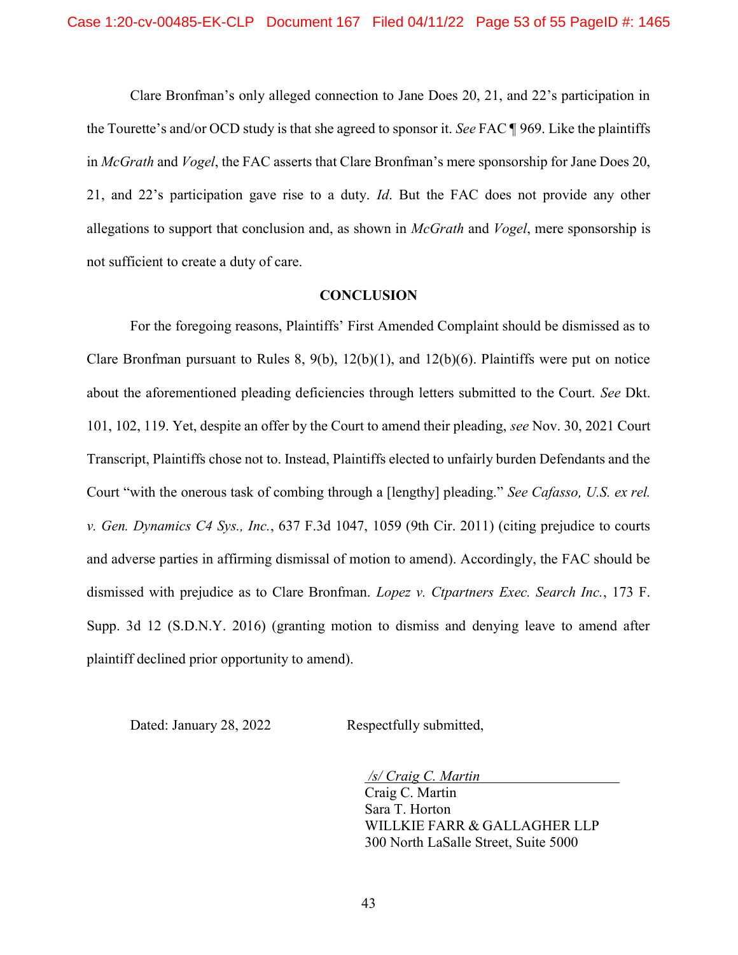Clare Bronfman's only alleged connection to Jane Does 20, 21, and 22's participation in the Tourette's and/or OCD study is that she agreed to sponsor it. See FAC ¶ 969. Like the plaintiffs in *McGrath* and *Vogel*, the FAC asserts that Clare Bronfman's mere sponsorship for Jane Does 20, 21, and 22's participation gave rise to a duty. Id. But the FAC does not provide any other allegations to support that conclusion and, as shown in *McGrath* and *Vogel*, mere sponsorship is not sufficient to create a duty of care.

#### **CONCLUSION**

For the foregoing reasons, Plaintiffs' First Amended Complaint should be dismissed as to Clare Bronfman pursuant to Rules 8, 9(b), 12(b)(1), and 12(b)(6). Plaintiffs were put on notice about the aforementioned pleading deficiencies through letters submitted to the Court. See Dkt. 101, 102, 119. Yet, despite an offer by the Court to amend their pleading, see Nov. 30, 2021 Court Transcript, Plaintiffs chose not to. Instead, Plaintiffs elected to unfairly burden Defendants and the Court "with the onerous task of combing through a Hengthy] pleading." See Cafasso, U.S. ex rel. v. Gen. Dynamics C4 Sys., Inc., 637 F.3d 1047, 1059 (9th Cir. 2011) (citing prejudice to courts and adverse parties in affirming dismissal of motion to amend). Accordingly, the FAC should be dismissed with prejudice as to Clare Bronfman. Lopez v. Ctpartners Exec. Search Inc., 173 F. Supp. 3d 12 (S.D.N.Y. 2016) (granting motion to dismiss and denying leave to amend after plaintiff declined prior opportunity to amend).

Dated: January 28, 2022 Respectfully submitted,

/s/ Craig C. Martin Craig C. Martin Sara T. Horton WILLKIE FARR & GALLAGHER LLP

300 North LaSalle Street, Suite 5000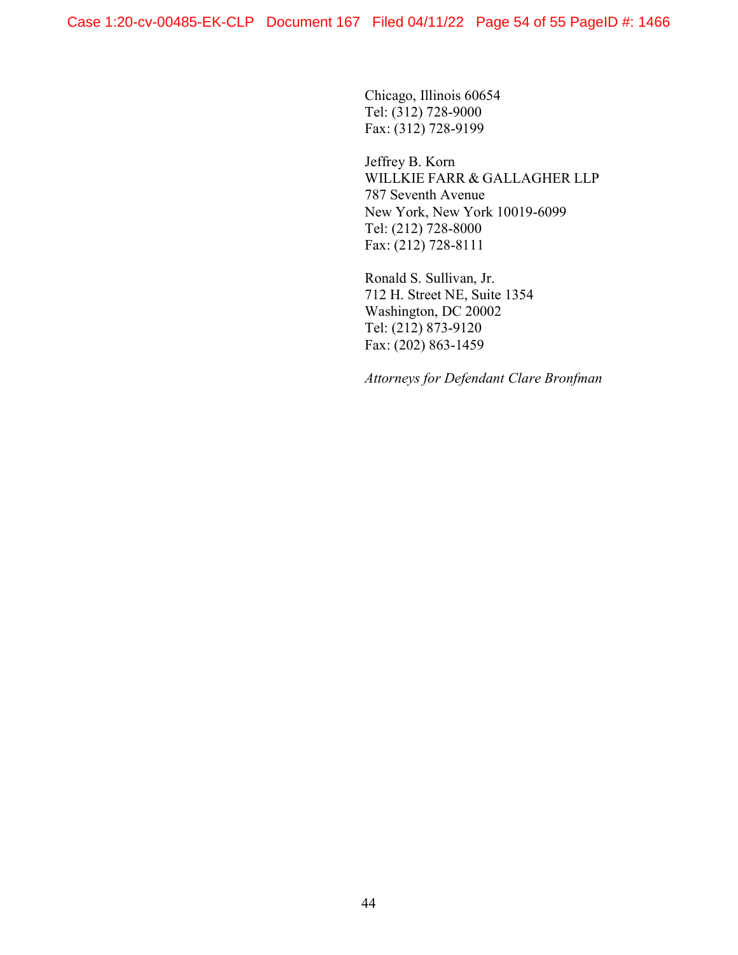Chicago, Illinois 60654 Tel: (312) 728-9000 Fax: (312) 728-9199

Jeffrey B. Korn WILLKIE FARR & GALLAGHER LLP 787 Seventh Avenue New York, New York 10019-6099 Tel: (212) 728-8000 Fax: (212) 728-8111

Ronald S. Sullivan, Jr. 712 H. Street NE, Suite 1354 Washington, DC 20002 Tel: (212) 873-9120 Fax: (202) 863-1459

Attorneys for Defendant Clare Bronfman